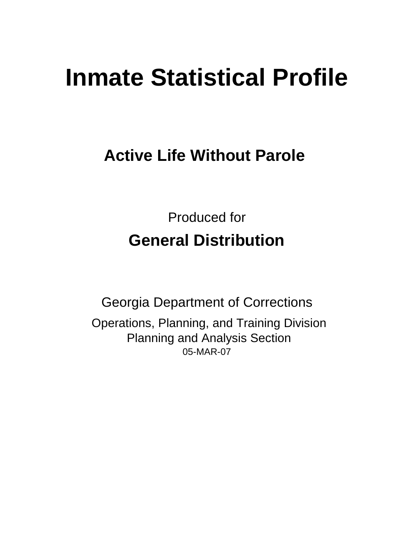# **Inmate Statistical Profile**

# **Active Life Without Parole**

Produced for **General Distribution**

05-MAR-07 Georgia Department of Corrections Operations, Planning, and Training Division Planning and Analysis Section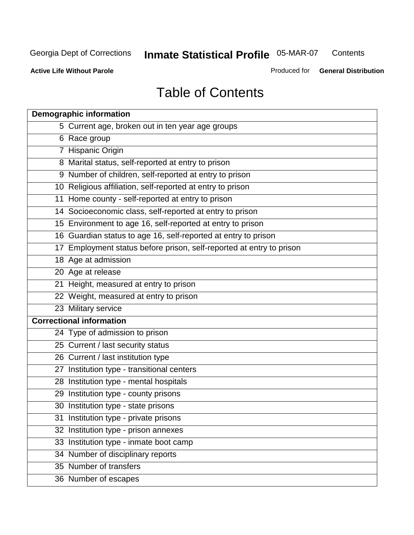**Contents** 

**Active Life Without Parole** 

Produced for **General Distribution**

# Table of Contents

| <b>Demographic information</b>                                       |
|----------------------------------------------------------------------|
| 5 Current age, broken out in ten year age groups                     |
| 6 Race group                                                         |
| 7 Hispanic Origin                                                    |
| 8 Marital status, self-reported at entry to prison                   |
| 9 Number of children, self-reported at entry to prison               |
| 10 Religious affiliation, self-reported at entry to prison           |
| 11 Home county - self-reported at entry to prison                    |
| 14 Socioeconomic class, self-reported at entry to prison             |
| 15 Environment to age 16, self-reported at entry to prison           |
| 16 Guardian status to age 16, self-reported at entry to prison       |
| 17 Employment status before prison, self-reported at entry to prison |
| 18 Age at admission                                                  |
| 20 Age at release                                                    |
| 21 Height, measured at entry to prison                               |
| 22 Weight, measured at entry to prison                               |
| 23 Military service                                                  |
| <b>Correctional information</b>                                      |
| 24 Type of admission to prison                                       |
| 25 Current / last security status                                    |
| 26 Current / last institution type                                   |
| 27 Institution type - transitional centers                           |
| 28 Institution type - mental hospitals                               |
| 29 Institution type - county prisons                                 |
| 30 Institution type - state prisons                                  |
| 31 Institution type - private prisons                                |
| 32 Institution type - prison annexes                                 |
| 33 Institution type - inmate boot camp                               |
| 34 Number of disciplinary reports                                    |
| 35 Number of transfers                                               |
| 36 Number of escapes                                                 |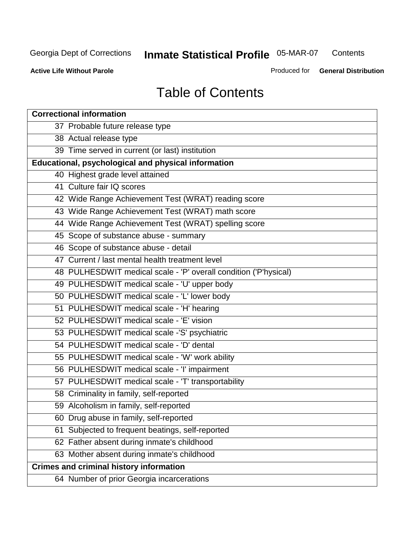**Contents** 

**Active Life Without Parole** 

Produced for **General Distribution**

# Table of Contents

| <b>Correctional information</b>                                  |
|------------------------------------------------------------------|
| 37 Probable future release type                                  |
| 38 Actual release type                                           |
| 39 Time served in current (or last) institution                  |
| Educational, psychological and physical information              |
| 40 Highest grade level attained                                  |
| 41 Culture fair IQ scores                                        |
| 42 Wide Range Achievement Test (WRAT) reading score              |
| 43 Wide Range Achievement Test (WRAT) math score                 |
| 44 Wide Range Achievement Test (WRAT) spelling score             |
| 45 Scope of substance abuse - summary                            |
| 46 Scope of substance abuse - detail                             |
| 47 Current / last mental health treatment level                  |
| 48 PULHESDWIT medical scale - 'P' overall condition ('P'hysical) |
| 49 PULHESDWIT medical scale - 'U' upper body                     |
| 50 PULHESDWIT medical scale - 'L' lower body                     |
| 51 PULHESDWIT medical scale - 'H' hearing                        |
| 52 PULHESDWIT medical scale - 'E' vision                         |
| 53 PULHESDWIT medical scale -'S' psychiatric                     |
| 54 PULHESDWIT medical scale - 'D' dental                         |
| 55 PULHESDWIT medical scale - 'W' work ability                   |
| 56 PULHESDWIT medical scale - 'I' impairment                     |
| 57 PULHESDWIT medical scale - 'T' transportability               |
| 58 Criminality in family, self-reported                          |
| 59 Alcoholism in family, self-reported                           |
| 60 Drug abuse in family, self-reported                           |
| 61 Subjected to frequent beatings, self-reported                 |
| 62 Father absent during inmate's childhood                       |
| 63 Mother absent during inmate's childhood                       |
| <b>Crimes and criminal history information</b>                   |
| 64 Number of prior Georgia incarcerations                        |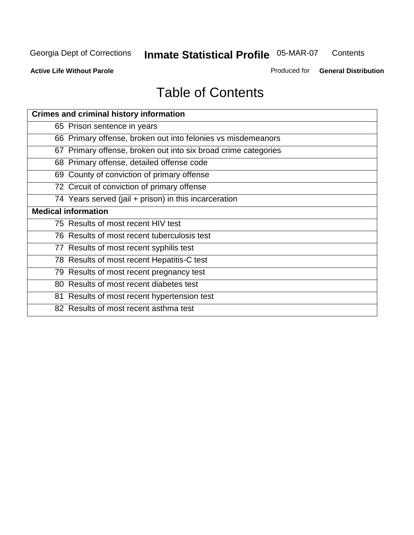**Contents** 

**Active Life Without Parole** 

Produced for **General Distribution**

# Table of Contents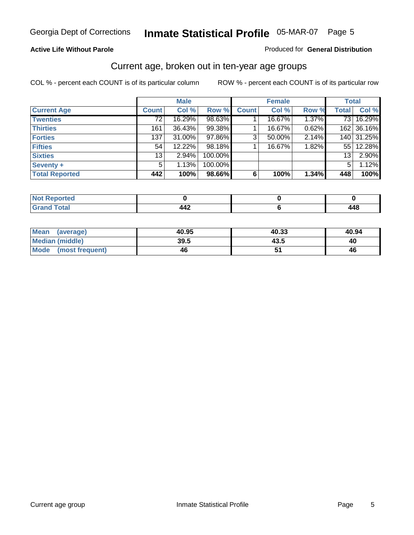#### **Active Life Without Parole**

#### Produced for **General Distribution**

### Current age, broken out in ten-year age groups

|                       |              | <b>Male</b> |         |              | <b>Female</b> |       |                 | <b>Total</b> |
|-----------------------|--------------|-------------|---------|--------------|---------------|-------|-----------------|--------------|
| <b>Current Age</b>    | <b>Count</b> | Col %       | Row %   | <b>Count</b> | Col %         | Row % | <b>Total</b>    | Col %        |
| <b>Twenties</b>       | 72           | 16.29%      | 98.63%  |              | 16.67%        | 1.37% | 73 L            | 16.29%       |
| <b>Thirties</b>       | 161          | 36.43%      | 99.38%  |              | 16.67%        | 0.62% |                 | 162 36.16%   |
| <b>Forties</b>        | 137          | $31.00\%$   | 97.86%  | 3            | 50.00%        | 2.14% |                 | 140 31.25%   |
| <b>Fifties</b>        | 54           | $12.22\%$   | 98.18%  |              | 16.67%        | 1.82% |                 | 55 12.28%    |
| <b>Sixties</b>        | 13           | $2.94\%$    | 100.00% |              |               |       | 13 <sub>1</sub> | 2.90%        |
| Seventy +             | 5            | 1.13%       | 100.00% |              |               |       | 5               | 1.12%        |
| <b>Total Reported</b> | 442          | 100%        | 98.66%  | 6            | 100%          | 1.34% | 448             | 100%         |

| <b>Not Reported</b> |       |                          |
|---------------------|-------|--------------------------|
| <b>Total</b>        | 11°   | $\overline{\phantom{a}}$ |
| $\mathbf{v}$ and    | – – – | 440                      |

| Mean (average)       | 40.95 | 40.33 | 40.94 |
|----------------------|-------|-------|-------|
| Median (middle)      | 39.5  | 43.5  | 40    |
| Mode (most frequent) | 46    |       | 46    |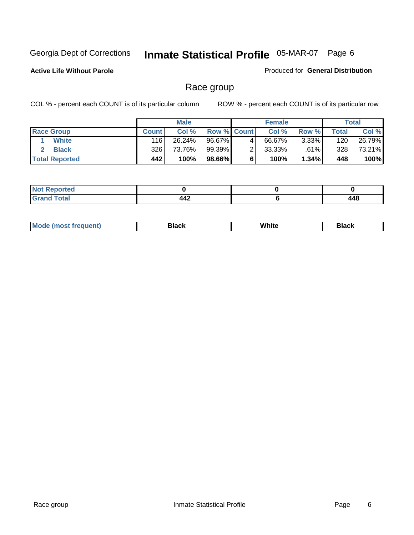**Active Life Without Parole** 

Produced for **General Distribution**

### Race group

|                       |              | <b>Male</b> |                    |   | <b>Female</b> |          |       | <b>Total</b> |
|-----------------------|--------------|-------------|--------------------|---|---------------|----------|-------|--------------|
| <b>Race Group</b>     | <b>Count</b> | Col %       | <b>Row % Count</b> |   | Col %         | Row %    | Total | Col %        |
| <b>White</b>          | 116          | 26.24%      | 96.67%             | 4 | 66.67%        | $3.33\%$ | 120   | 26.79%       |
| <b>Black</b>          | 326          | 73.76%      | 99.39%             |   | 33.33%        | .61%     | 328   | 73.21%       |
| <b>Total Reported</b> | 442          | 100%        | 98.66%I            |   | 100%          | 1.34%    | 448   | 100%         |

| المناسب بالتعبين<br>prteu<br>$\cdots$ |         |                                    |
|---------------------------------------|---------|------------------------------------|
| $- - - - - -$                         | <br>44£ | $\overline{\phantom{a}}$<br>$\sim$ |

| $^1$ Mo. | Rlack | White | 3lack |
|----------|-------|-------|-------|
| .        |       |       |       |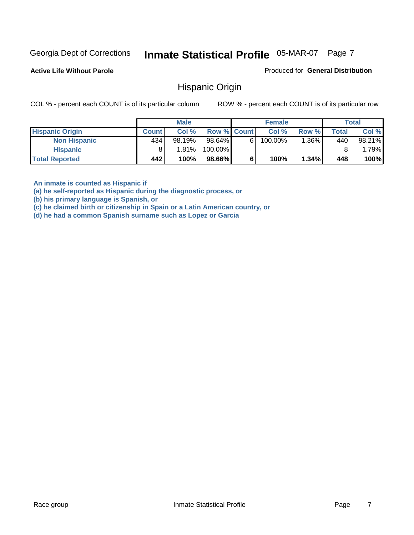**Active Life Without Parole** 

Produced for **General Distribution**

### Hispanic Origin

COL % - percent each COUNT is of its particular column ROW % - percent each COUNT is of its particular row

|                        |              | <b>Male</b> |             |    | <b>Female</b> |         |       | <b>Total</b> |
|------------------------|--------------|-------------|-------------|----|---------------|---------|-------|--------------|
| <b>Hispanic Origin</b> | <b>Count</b> | Col%        | Row % Count |    | Col %         | Row %   | Total | Col %        |
| <b>Non Hispanic</b>    | 434          | 98.19%      | 98.64%      | 61 | 100.00%       | $.36\%$ | 440   | 98.21%       |
| Hispanic               |              | 1.81%       | 100.00%     |    |               |         |       | 1.79%        |
| <b>Total Reported</b>  | 442          | 100%        | 98.66%      |    | 100%          | 1.34%   | 448   | 100%         |

**An inmate is counted as Hispanic if** 

**(a) he self-reported as Hispanic during the diagnostic process, or** 

**(b) his primary language is Spanish, or** 

**(c) he claimed birth or citizenship in Spain or a Latin American country, or** 

**(d) he had a common Spanish surname such as Lopez or Garcia**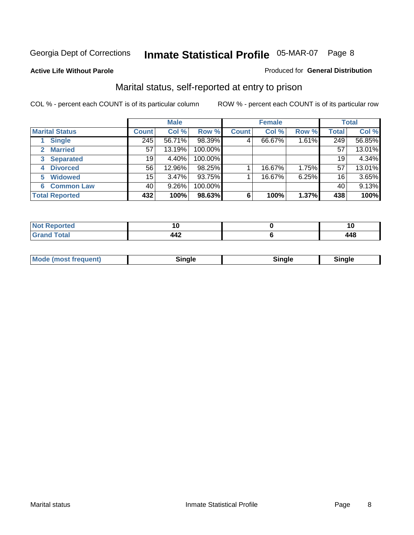#### **Active Life Without Parole**

#### Produced for **General Distribution**

### Marital status, self-reported at entry to prison

|                        | <b>Male</b>  |          |         | <b>Female</b> |        |       | <b>Total</b>    |        |
|------------------------|--------------|----------|---------|---------------|--------|-------|-----------------|--------|
| <b>Marital Status</b>  | <b>Count</b> | Col %    | Row %   | <b>Count</b>  | Col %  | Row % | <b>Total</b>    | Col %  |
| <b>Single</b>          | 245          | 56.71%   | 98.39%  | 4             | 66.67% | 1.61% | 249             | 56.85% |
| <b>Married</b><br>2.   | 57           | 13.19%   | 100.00% |               |        |       | 57              | 13.01% |
| <b>Separated</b><br>3  | 19           | 4.40%    | 100.00% |               |        |       | 19              | 4.34%  |
| <b>Divorced</b><br>4   | 56           | 12.96%   | 98.25%  |               | 16.67% | 1.75% | 57              | 13.01% |
| <b>Widowed</b><br>5    | 15           | 3.47%    | 93.75%  |               | 16.67% | 6.25% | 16 <sub>1</sub> | 3.65%  |
| <b>Common Law</b><br>6 | 40           | $9.26\%$ | 100.00% |               |        |       | 40              | 9.13%  |
| <b>Total Reported</b>  | 432          | 100%     | 98.63%  | 6             | 100%   | 1.37% | 438             | 100%   |

|             | י י |
|-------------|-----|
| <b>TTA.</b> |     |

| <b>Mode (most frequent)</b><br>Sinale<br>™ale |
|-----------------------------------------------|
|-----------------------------------------------|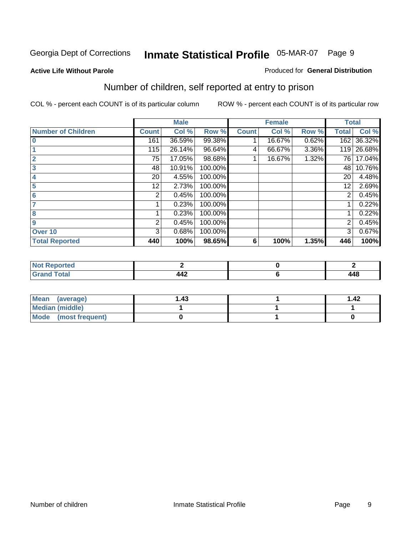#### **Active Life Without Parole**

#### Produced for **General Distribution**

### Number of children, self reported at entry to prison

|                           |              | <b>Male</b> |         |              | <b>Female</b> |          | <b>Total</b> |        |
|---------------------------|--------------|-------------|---------|--------------|---------------|----------|--------------|--------|
| <b>Number of Children</b> | <b>Count</b> | Col %       | Row %   | <b>Count</b> | Col %         | Row %    | <b>Total</b> | Col %  |
| $\bf{0}$                  | 161          | 36.59%      | 99.38%  |              | 16.67%        | 0.62%    | 162          | 36.32% |
|                           | 115          | 26.14%      | 96.64%  | 4            | 66.67%        | $3.36\%$ | 119          | 26.68% |
| $\overline{2}$            | 75           | 17.05%      | 98.68%  |              | 16.67%        | 1.32%    | 761          | 17.04% |
| 3                         | 48           | 10.91%      | 100.00% |              |               |          | 48           | 10.76% |
| 4                         | 20           | 4.55%       | 100.00% |              |               |          | 20           | 4.48%  |
| 5                         | 12.          | 2.73%       | 100.00% |              |               |          | 12           | 2.69%  |
| 6                         | 2            | 0.45%       | 100.00% |              |               |          | 2            | 0.45%  |
|                           |              | 0.23%       | 100.00% |              |               |          |              | 0.22%  |
| 8                         |              | 0.23%       | 100.00% |              |               |          |              | 0.22%  |
| 9                         | 2            | 0.45%       | 100.00% |              |               |          | 2            | 0.45%  |
| Over 10                   | 3            | 0.68%       | 100.00% |              |               |          | 3            | 0.67%  |
| <b>Total Reported</b>     | 440          | 100%        | 98.65%  | 6            | 100%          | 1.35%    | 446          | 100%   |

| tao    |                                 |     |
|--------|---------------------------------|-----|
| $\sim$ | $\overline{\phantom{a}}$<br>77Ł | 448 |

| Mean (average)         | .43 | 1.42 |
|------------------------|-----|------|
| <b>Median (middle)</b> |     |      |
| Mode (most frequent)   |     |      |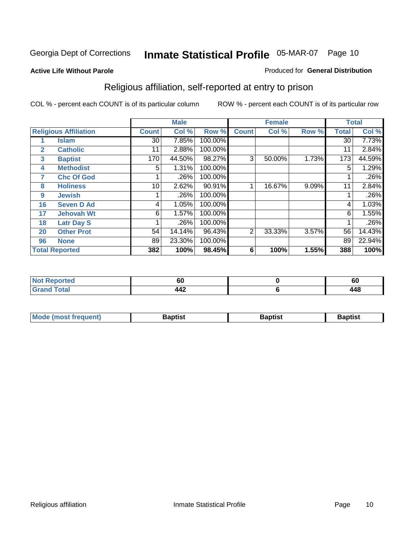#### **Active Life Without Parole**

#### Produced for **General Distribution**

### Religious affiliation, self-reported at entry to prison

|              |                              |                 | <b>Male</b> |         |                | <b>Female</b> |       |              | <b>Total</b> |
|--------------|------------------------------|-----------------|-------------|---------|----------------|---------------|-------|--------------|--------------|
|              | <b>Religious Affiliation</b> | <b>Count</b>    | Col %       | Row %   | <b>Count</b>   | Col %         | Row % | <b>Total</b> | Col %        |
|              | <b>Islam</b>                 | $\overline{30}$ | 7.85%       | 100.00% |                |               |       | 30           | 7.73%        |
| $\mathbf{2}$ | <b>Catholic</b>              | 11              | 2.88%       | 100.00% |                |               |       | 11           | 2.84%        |
| 3            | <b>Baptist</b>               | 170             | 44.50%      | 98.27%  | 3              | 50.00%        | 1.73% | 173          | 44.59%       |
| 4            | <b>Methodist</b>             | 5               | 1.31%       | 100.00% |                |               |       | 5            | 1.29%        |
| 7            | <b>Chc Of God</b>            |                 | .26%        | 100.00% |                |               |       |              | .26%         |
| 8            | <b>Holiness</b>              | 10              | 2.62%       | 90.91%  |                | 16.67%        | 9.09% | 11           | 2.84%        |
| 9            | <b>Jewish</b>                |                 | .26%        | 100.00% |                |               |       |              | .26%         |
| 16           | <b>Seven D Ad</b>            | 4               | 1.05%       | 100.00% |                |               |       | 4            | 1.03%        |
| 17           | <b>Jehovah Wt</b>            | 6               | 1.57%       | 100.00% |                |               |       | 6            | 1.55%        |
| 18           | <b>Latr Day S</b>            |                 | .26%        | 100.00% |                |               |       |              | .26%         |
| 20           | <b>Other Prot</b>            | 54              | 14.14%      | 96.43%  | $\overline{2}$ | 33.33%        | 3.57% | 56           | 14.43%       |
| 96           | <b>None</b>                  | 89              | 23.30%      | 100.00% |                |               |       | 89           | 22.94%       |
|              | <b>Total Reported</b>        | 382             | 100%        | 98.45%  | 6              | 100%          | 1.55% | 388          | 100%         |

| <b>rted</b> | υu         | υu    |
|-------------|------------|-------|
| <b>otal</b> | <b>TTA</b> | A A R |

| ' Mo<br>went | <b>}aptist</b> | Baptist<br>$ -$ | <b>Baptist</b> |
|--------------|----------------|-----------------|----------------|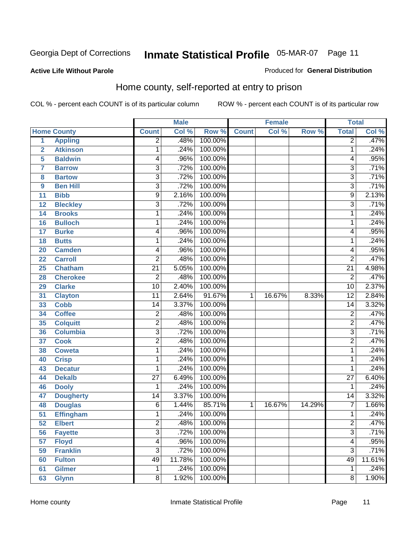#### **Active Life Without Parole**

#### Produced for **General Distribution**

### Home county, self-reported at entry to prison

|                |                    |                 | <b>Male</b> |         |              | <b>Female</b> |        | <b>Total</b>              |        |
|----------------|--------------------|-----------------|-------------|---------|--------------|---------------|--------|---------------------------|--------|
|                | <b>Home County</b> | <b>Count</b>    | Col %       | Row %   | <b>Count</b> | Col %         | Row %  | <b>Total</b>              | Col %  |
| $\overline{1}$ | <b>Appling</b>     | $\overline{2}$  | .48%        | 100.00% |              |               |        | $\overline{2}$            | .47%   |
| $\overline{2}$ | <b>Atkinson</b>    | 1               | .24%        | 100.00% |              |               |        | 1                         | .24%   |
| 5              | <b>Baldwin</b>     | 4               | .96%        | 100.00% |              |               |        | 4                         | .95%   |
| 7              | <b>Barrow</b>      | $\overline{3}$  | .72%        | 100.00% |              |               |        | $\overline{3}$            | .71%   |
| 8              | <b>Bartow</b>      | $\overline{3}$  | .72%        | 100.00% |              |               |        | $\overline{3}$            | .71%   |
| 9              | <b>Ben Hill</b>    | $\overline{3}$  | .72%        | 100.00% |              |               |        | $\overline{3}$            | .71%   |
| 11             | <b>Bibb</b>        | $\overline{9}$  | 2.16%       | 100.00% |              |               |        | 9                         | 2.13%  |
| 12             | <b>Bleckley</b>    | $\overline{3}$  | .72%        | 100.00% |              |               |        | $\overline{3}$            | .71%   |
| 14             | <b>Brooks</b>      | 1               | .24%        | 100.00% |              |               |        | 1                         | .24%   |
| 16             | <b>Bulloch</b>     | 1               | .24%        | 100.00% |              |               |        | 1                         | .24%   |
| 17             | <b>Burke</b>       | 4               | .96%        | 100.00% |              |               |        | 4                         | .95%   |
| 18             | <b>Butts</b>       | 1               | .24%        | 100.00% |              |               |        | 1                         | .24%   |
| 20             | <b>Camden</b>      | 4               | .96%        | 100.00% |              |               |        | 4                         | .95%   |
| 22             | <b>Carroll</b>     | $\overline{2}$  | .48%        | 100.00% |              |               |        | $\overline{2}$            | .47%   |
| 25             | <b>Chatham</b>     | $\overline{21}$ | 5.05%       | 100.00% |              |               |        | $\overline{21}$           | 4.98%  |
| 28             | <b>Cherokee</b>    | $\overline{2}$  | .48%        | 100.00% |              |               |        | $\overline{2}$            | .47%   |
| 29             | <b>Clarke</b>      | $\overline{10}$ | 2.40%       | 100.00% |              |               |        | $\overline{10}$           | 2.37%  |
| 31             | <b>Clayton</b>     | 11              | 2.64%       | 91.67%  | 1            | 16.67%        | 8.33%  | $\overline{12}$           | 2.84%  |
| 33             | <b>Cobb</b>        | 14              | 3.37%       | 100.00% |              |               |        | $\overline{14}$           | 3.32%  |
| 34             | <b>Coffee</b>      | $\overline{2}$  | .48%        | 100.00% |              |               |        | $\overline{c}$            | .47%   |
| 35             | <b>Colquitt</b>    | $\overline{2}$  | .48%        | 100.00% |              |               |        | $\overline{2}$            | .47%   |
| 36             | <b>Columbia</b>    | $\overline{3}$  | .72%        | 100.00% |              |               |        | $\overline{3}$            | .71%   |
| 37             | <b>Cook</b>        | $\overline{2}$  | .48%        | 100.00% |              |               |        | $\overline{2}$            | .47%   |
| 38             | <b>Coweta</b>      | 1               | .24%        | 100.00% |              |               |        | 1                         | .24%   |
| 40             | <b>Crisp</b>       | 1               | .24%        | 100.00% |              |               |        | 1                         | .24%   |
| 43             | <b>Decatur</b>     | 1               | .24%        | 100.00% |              |               |        | 1                         | .24%   |
| 44             | <b>Dekalb</b>      | $\overline{27}$ | 6.49%       | 100.00% |              |               |        | $\overline{27}$           | 6.40%  |
| 46             | <b>Dooly</b>       | 1               | .24%        | 100.00% |              |               |        | 1                         | .24%   |
| 47             | <b>Dougherty</b>   | 14              | 3.37%       | 100.00% |              |               |        | $\overline{14}$           | 3.32%  |
| 48             | <b>Douglas</b>     | 6               | 1.44%       | 85.71%  | 1            | 16.67%        | 14.29% | 7                         | 1.66%  |
| 51             | <b>Effingham</b>   | 1               | .24%        | 100.00% |              |               |        | 1                         | .24%   |
| 52             | <b>Elbert</b>      | 2               | .48%        | 100.00% |              |               |        | $\overline{c}$            | .47%   |
| 56             | <b>Fayette</b>     | $\overline{3}$  | .72%        | 100.00% |              |               |        | $\overline{\overline{3}}$ | .71%   |
| 57             | <b>Floyd</b>       | 4               | .96%        | 100.00% |              |               |        | 4                         | .95%   |
| 59             | <b>Franklin</b>    | $\overline{3}$  | .72%        | 100.00% |              |               |        | $\overline{3}$            | .71%   |
| 60             | <b>Fulton</b>      | 49              | 11.78%      | 100.00% |              |               |        | 49                        | 11.61% |
| 61             | <b>Gilmer</b>      | 1               | .24%        | 100.00% |              |               |        | 1                         | .24%   |
| 63             | <b>Glynn</b>       | $\overline{8}$  | 1.92%       | 100.00% |              |               |        | $\overline{8}$            | 1.90%  |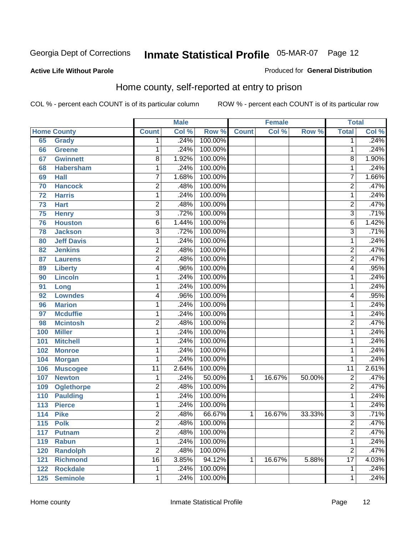#### **Active Life Without Parole**

#### Produced for **General Distribution**

### Home county, self-reported at entry to prison

|     |                    |                | <b>Male</b> |         |              | <b>Female</b> |        | <b>Total</b>    |       |
|-----|--------------------|----------------|-------------|---------|--------------|---------------|--------|-----------------|-------|
|     | <b>Home County</b> | <b>Count</b>   | Col %       | Row %   | <b>Count</b> | Col %         | Row %  | <b>Total</b>    | Col % |
| 65  | <b>Grady</b>       | 1              | .24%        | 100.00% |              |               |        | 1               | .24%  |
| 66  | Greene             | 1              | .24%        | 100.00% |              |               |        | 1               | .24%  |
| 67  | <b>Gwinnett</b>    | 8              | 1.92%       | 100.00% |              |               |        | 8               | 1.90% |
| 68  | <b>Habersham</b>   | 1              | .24%        | 100.00% |              |               |        | 1               | .24%  |
| 69  | <b>Hall</b>        | 7              | 1.68%       | 100.00% |              |               |        | 7               | 1.66% |
| 70  | <b>Hancock</b>     | $\overline{2}$ | .48%        | 100.00% |              |               |        | $\overline{2}$  | .47%  |
| 72  | <b>Harris</b>      | 1              | .24%        | 100.00% |              |               |        | 1               | .24%  |
| 73  | <b>Hart</b>        | $\overline{2}$ | .48%        | 100.00% |              |               |        | $\overline{2}$  | .47%  |
| 75  | <b>Henry</b>       | 3              | .72%        | 100.00% |              |               |        | 3               | .71%  |
| 76  | <b>Houston</b>     | 6              | 1.44%       | 100.00% |              |               |        | 6               | 1.42% |
| 78  | <b>Jackson</b>     | 3              | .72%        | 100.00% |              |               |        | $\overline{3}$  | .71%  |
| 80  | <b>Jeff Davis</b>  | 1              | .24%        | 100.00% |              |               |        | 1               | .24%  |
| 82  | <b>Jenkins</b>     | 2              | .48%        | 100.00% |              |               |        | 2               | .47%  |
| 87  | <b>Laurens</b>     | $\overline{2}$ | .48%        | 100.00% |              |               |        | $\overline{2}$  | .47%  |
| 89  | <b>Liberty</b>     | 4              | .96%        | 100.00% |              |               |        | 4               | .95%  |
| 90  | <b>Lincoln</b>     | 1              | .24%        | 100.00% |              |               |        | 1               | .24%  |
| 91  | Long               | 1              | .24%        | 100.00% |              |               |        | 1               | .24%  |
| 92  | <b>Lowndes</b>     | 4              | .96%        | 100.00% |              |               |        | 4               | .95%  |
| 96  | <b>Marion</b>      | 1              | .24%        | 100.00% |              |               |        | 1               | .24%  |
| 97  | <b>Mcduffie</b>    | 1              | .24%        | 100.00% |              |               |        | 1               | .24%  |
| 98  | <b>Mcintosh</b>    | 2              | .48%        | 100.00% |              |               |        | 2               | .47%  |
| 100 | <b>Miller</b>      | 1              | .24%        | 100.00% |              |               |        | 1               | .24%  |
| 101 | <b>Mitchell</b>    | 1              | .24%        | 100.00% |              |               |        | 1               | .24%  |
| 102 | <b>Monroe</b>      | 1              | .24%        | 100.00% |              |               |        | 1               | .24%  |
| 104 | <b>Morgan</b>      | 1              | .24%        | 100.00% |              |               |        | 1               | .24%  |
| 106 | <b>Muscogee</b>    | 11             | 2.64%       | 100.00% |              |               |        | $\overline{11}$ | 2.61% |
| 107 | <b>Newton</b>      | 1              | .24%        | 50.00%  | 1            | 16.67%        | 50.00% | $\overline{2}$  | .47%  |
| 109 | <b>Oglethorpe</b>  | $\overline{2}$ | .48%        | 100.00% |              |               |        | $\overline{2}$  | .47%  |
| 110 | <b>Paulding</b>    | $\mathbf{1}$   | .24%        | 100.00% |              |               |        | 1               | .24%  |
| 113 | <b>Pierce</b>      | 1              | .24%        | 100.00% |              |               |        | 1               | .24%  |
| 114 | <b>Pike</b>        | 2              | .48%        | 66.67%  | 1            | 16.67%        | 33.33% | 3               | .71%  |
| 115 | <b>Polk</b>        | 2              | .48%        | 100.00% |              |               |        | $\overline{c}$  | .47%  |
| 117 | <b>Putnam</b>      | $\overline{2}$ | .48%        | 100.00% |              |               |        | $\overline{2}$  | .47%  |
| 119 | <b>Rabun</b>       | 1              | .24%        | 100.00% |              |               |        | 1               | .24%  |
| 120 | <b>Randolph</b>    | $\overline{2}$ | .48%        | 100.00% |              |               |        | $\overline{2}$  | .47%  |
| 121 | <b>Richmond</b>    | 16             | 3.85%       | 94.12%  | 1            | 16.67%        | 5.88%  | $\overline{17}$ | 4.03% |
| 122 | <b>Rockdale</b>    | 1              | .24%        | 100.00% |              |               |        | 1               | .24%  |
| 125 | <b>Seminole</b>    | $\mathbf{1}$   | .24%        | 100.00% |              |               |        | 1               | .24%  |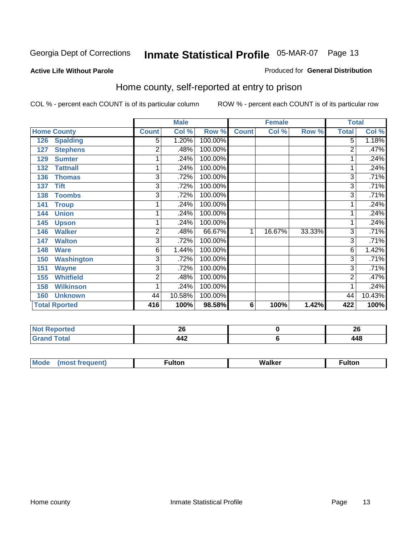#### **Active Life Without Parole**

#### Produced for **General Distribution**

### Home county, self-reported at entry to prison

|                          | <b>Male</b>    |        |         | <b>Female</b> |        |        | <b>Total</b>   |        |
|--------------------------|----------------|--------|---------|---------------|--------|--------|----------------|--------|
| <b>Home County</b>       | <b>Count</b>   | Col %  | Row %   | <b>Count</b>  | Col %  | Row %  | <b>Total</b>   | Col %  |
| 126<br><b>Spalding</b>   | 5              | 1.20%  | 100.00% |               |        |        | $\overline{5}$ | 1.18%  |
| <b>Stephens</b><br>127   | 2              | .48%   | 100.00% |               |        |        | $\overline{2}$ | .47%   |
| <b>Sumter</b><br>129     | 1              | .24%   | 100.00% |               |        |        |                | .24%   |
| <b>Tattnall</b><br>132   | 1              | .24%   | 100.00% |               |        |        |                | .24%   |
| 136<br><b>Thomas</b>     | 3              | .72%   | 100.00% |               |        |        | 3              | .71%   |
| <b>Tift</b><br>137       | 3              | .72%   | 100.00% |               |        |        | 3              | .71%   |
| <b>Toombs</b><br>138     | 3              | .72%   | 100.00% |               |        |        | 3              | .71%   |
| <b>Troup</b><br>141      |                | .24%   | 100.00% |               |        |        |                | .24%   |
| <b>Union</b><br>144      | 1              | .24%   | 100.00% |               |        |        |                | .24%   |
| 145<br><b>Upson</b>      | 1              | .24%   | 100.00% |               |        |        |                | .24%   |
| <b>Walker</b><br>146     | $\overline{2}$ | .48%   | 66.67%  | 1             | 16.67% | 33.33% | 3              | .71%   |
| <b>Walton</b><br>147     | $\overline{3}$ | .72%   | 100.00% |               |        |        | 3              | .71%   |
| <b>Ware</b><br>148       | 6              | 1.44%  | 100.00% |               |        |        | 6              | 1.42%  |
| 150<br><b>Washington</b> | 3              | .72%   | 100.00% |               |        |        | 3              | .71%   |
| <b>Wayne</b><br>151      | 3              | .72%   | 100.00% |               |        |        | 3              | .71%   |
| <b>Whitfield</b><br>155  | 2              | .48%   | 100.00% |               |        |        | 2              | .47%   |
| <b>Wilkinson</b><br>158  | 1              | .24%   | 100.00% |               |        |        |                | .24%   |
| <b>Unknown</b><br>160    | 44             | 10.58% | 100.00% |               |        |        | 44             | 10.43% |
| <b>Total Rported</b>     | 416            | 100%   | 98.58%  | 6             | 100%   | 1.42%  | 422            | 100%   |

| N0<br><u>ica</u><br>           | ^^<br>Zu | .<br>ZU |
|--------------------------------|----------|---------|
| $- \cdot$<br>$\cdots$ $\cdots$ | 77A      | $\sim$  |

| <b>Mo</b><br>$\cdots$ | --- | w | ullui |
|-----------------------|-----|---|-------|
|                       |     |   |       |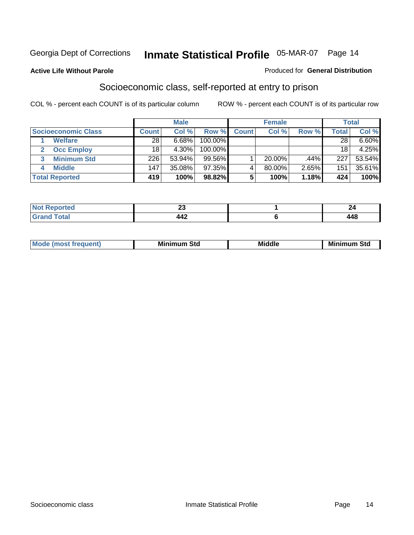#### **Active Life Without Parole**

#### Produced for **General Distribution**

### Socioeconomic class, self-reported at entry to prison

|                                   | <b>Male</b>  |           | <b>Female</b> |              |           | <b>Total</b> |       |        |
|-----------------------------------|--------------|-----------|---------------|--------------|-----------|--------------|-------|--------|
| <b>Socioeconomic Class</b>        | <b>Count</b> | Col %     | Row %         | <b>Count</b> | Col %     | Row %        | Total | Col %  |
| <b>Welfare</b>                    | 28           | 6.68%     | 100.00%       |              |           |              | 28    | 6.60%  |
| <b>Occ Employ</b><br>$\mathbf{2}$ | 18           | $4.30\%$  | $100.00\%$    |              |           |              | 18    | 4.25%  |
| <b>Minimum Std</b><br>3           | 226          | 53.94%    | $99.56\%$     |              | $20.00\%$ | .44%         | 227   | 53.54% |
| <b>Middle</b>                     | 147          | $35.08\%$ | $97.35\%$     |              | 80.00%    | 2.65%        | 151   | 35.61% |
| <b>Total Reported</b>             | 419          | 100%      | 98.82%        |              | 100%      | 1.18%        | 424   | 100%   |

| <b>rted</b><br>NZ<br>.                 | $\overline{\phantom{a}}$<br>~ |           |
|----------------------------------------|-------------------------------|-----------|
| <b>Total</b><br><b>C</b> roy<br>$\sim$ | $\Lambda \Lambda$<br>--       | ΛQ<br>74V |

| M<br>Mir<br>Mi<br><b>Middle</b><br><b>C</b> ta<br>Sta<br>oτu<br>.<br>the contract of the contract of the contract of the contract of the contract of the contract of the contract of<br>___ |
|---------------------------------------------------------------------------------------------------------------------------------------------------------------------------------------------|
|---------------------------------------------------------------------------------------------------------------------------------------------------------------------------------------------|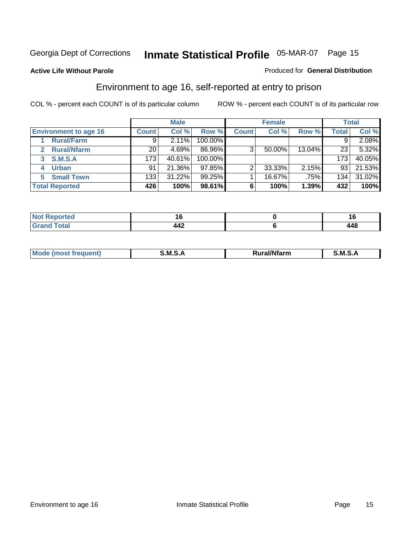**Active Life Without Parole** 

#### Produced for **General Distribution**

### Environment to age 16, self-reported at entry to prison

|                              | <b>Male</b>  |        | <b>Female</b> |              |        | <b>Total</b> |              |        |
|------------------------------|--------------|--------|---------------|--------------|--------|--------------|--------------|--------|
| <b>Environment to age 16</b> | <b>Count</b> | Col %  | Row %         | <b>Count</b> | Col %  | Row %        | <b>Total</b> | Col %  |
| <b>Rural/Farm</b>            | 9            | 2.11%  | 100.00%       |              |        |              |              | 2.08%  |
| <b>Rural/Nfarm</b><br>2      | 20           | 4.69%  | 86.96%        | 3            | 50.00% | 13.04%       | 23           | 5.32%  |
| S.M.S.A<br>3                 | 173          | 40.61% | 100.00%       |              |        |              | 173          | 40.05% |
| <b>Urban</b>                 | 91           | 21.36% | $97.85\%$     |              | 33.33% | 2.15%        | 93           | 21.53% |
| <b>Small Town</b><br>5.      | 133          | 31.22% | 99.25%        |              | 16.67% | .75%         | 134.         | 31.02% |
| <b>Total Reported</b>        | 426          | 100%   | 98.61%        | 6            | 100%   | 1.39%        | 432          | 100%   |

| Reported<br>Not<br>$\sim$ |   |     |
|---------------------------|---|-----|
| <b>Total</b><br>Grand     | ╌ | 448 |

| <b>Mo</b> | ---<br>. .<br>м | .<br>'tarn | м |
|-----------|-----------------|------------|---|
|           |                 |            |   |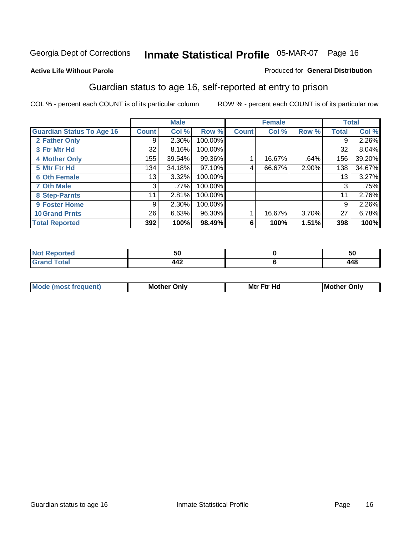#### **Active Life Without Parole**

#### Produced for **General Distribution**

### Guardian status to age 16, self-reported at entry to prison

|                                  |                 | <b>Male</b> |         |              | <b>Female</b> |       |              | <b>Total</b> |
|----------------------------------|-----------------|-------------|---------|--------------|---------------|-------|--------------|--------------|
| <b>Guardian Status To Age 16</b> | <b>Count</b>    | Col %       | Row %   | <b>Count</b> | Col %         | Row % | <b>Total</b> | Col %        |
| 2 Father Only                    | 9               | 2.30%       | 100.00% |              |               |       | 9            | 2.26%        |
| 3 Ftr Mtr Hd                     | 32              | 8.16%       | 100.00% |              |               |       | 32           | 8.04%        |
| <b>4 Mother Only</b>             | 155             | 39.54%      | 99.36%  |              | 16.67%        | .64%  | 156          | 39.20%       |
| 5 Mtr Ftr Hd                     | 134             | 34.18%      | 97.10%  | 4            | 66.67%        | 2.90% | 138          | 34.67%       |
| <b>6 Oth Female</b>              | 13              | 3.32%       | 100.00% |              |               |       | 13           | 3.27%        |
| <b>7 Oth Male</b>                | 3               | .77%        | 100.00% |              |               |       | 3            | .75%         |
| 8 Step-Parnts                    | 11              | 2.81%       | 100.00% |              |               |       | 11           | 2.76%        |
| 9 Foster Home                    | 9               | 2.30%       | 100.00% |              |               |       | 9            | 2.26%        |
| <b>10 Grand Prnts</b>            | 26 <sub>1</sub> | 6.63%       | 96.30%  |              | 16.67%        | 3.70% | 27           | 6.78%        |
| <b>Total Reported</b>            | 392             | 100%        | 98.49%  | 6            | 100%          | 1.51% | 398          | 100%         |

|   | ึงเ         | วเ |
|---|-------------|----|
| - | $\sim$<br>. | .  |

| <b>Mou</b> | Mother<br>Onlv | Hd<br>Mtr<br>E4w | M<br>Only<br>. |
|------------|----------------|------------------|----------------|
|            |                |                  |                |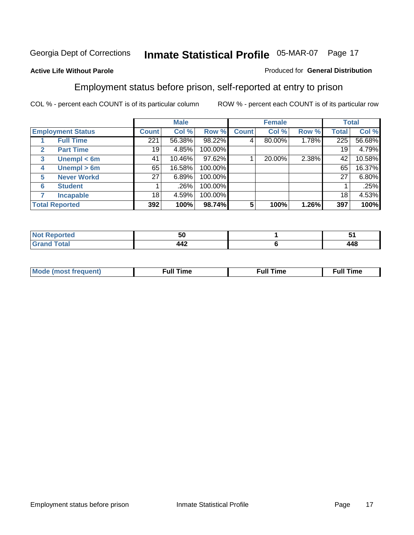#### **Active Life Without Parole**

#### Produced for **General Distribution**

### Employment status before prison, self-reported at entry to prison

|                          |                    | <b>Male</b>  |        | <b>Female</b> |              |        | <b>Total</b> |              |        |
|--------------------------|--------------------|--------------|--------|---------------|--------------|--------|--------------|--------------|--------|
| <b>Employment Status</b> |                    | <b>Count</b> | Col %  | Row %         | <b>Count</b> | Col %  | Row %        | <b>Total</b> | Col %  |
|                          | <b>Full Time</b>   | 221          | 56.38% | 98.22%        |              | 80.00% | 1.78%        | 225          | 56.68% |
| $\mathbf{2}$             | <b>Part Time</b>   | 19           | 4.85%  | 100.00%       |              |        |              | 19           | 4.79%  |
| 3                        | Unempl $<$ 6m      | 41           | 10.46% | 97.62%        |              | 20.00% | 2.38%        | 42           | 10.58% |
| 4                        | Unempl $> 6m$      | 65           | 16.58% | 100.00%       |              |        |              | 65           | 16.37% |
| 5                        | <b>Never Workd</b> | 27           | 6.89%  | 100.00%       |              |        |              | 27           | 6.80%  |
| 6                        | <b>Student</b>     |              | .26%   | 100.00%       |              |        |              |              | .25%   |
|                          | <b>Incapable</b>   | 18           | 4.59%  | 100.00%       |              |        |              | 18           | 4.53%  |
| <b>Total Reported</b>    |                    | 392          | 100%   | 98.74%        | 5            | 100%   | 1.26%        | 397          | 100%   |

|             | 50                    | w                 |
|-------------|-----------------------|-------------------|
| $- - - - -$ | $\cdot$<br><b>TTA</b> | . A C<br>.<br>ᅲᅲ℧ |

| Mo | 'me<br>uн<br>the contract of the contract of the contract of the contract of the contract of the contract of the contract of the contract of the contract of the contract of the contract of the contract of the contract of the contract o | ïme<br>uı.<br>the contract of the contract of the contract of the contract of the contract of the contract of the contract of |
|----|---------------------------------------------------------------------------------------------------------------------------------------------------------------------------------------------------------------------------------------------|-------------------------------------------------------------------------------------------------------------------------------|
|    |                                                                                                                                                                                                                                             |                                                                                                                               |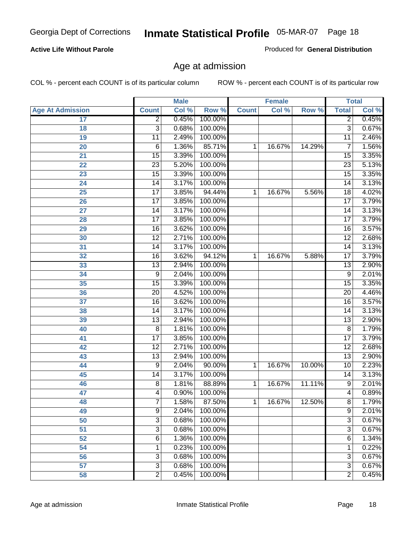#### **Active Life Without Parole**

Produced for **General Distribution**

### Age at admission

|                         |                 | <b>Male</b> |         |              | <b>Female</b> |        | <b>Total</b>    |       |
|-------------------------|-----------------|-------------|---------|--------------|---------------|--------|-----------------|-------|
| <b>Age At Admission</b> | <b>Count</b>    | Col %       | Row %   | <b>Count</b> | Col %         | Row %  | <b>Total</b>    | Col % |
| 17                      | $\overline{2}$  | 0.45%       | 100.00% |              |               |        | $\overline{2}$  | 0.45% |
| 18                      | $\overline{3}$  | 0.68%       | 100.00% |              |               |        | $\overline{3}$  | 0.67% |
| 19                      | 11              | 2.49%       | 100.00% |              |               |        | $\overline{11}$ | 2.46% |
| 20                      | 6               | 1.36%       | 85.71%  | 1            | 16.67%        | 14.29% | 7               | 1.56% |
| $\overline{21}$         | $\overline{15}$ | 3.39%       | 100.00% |              |               |        | $\overline{15}$ | 3.35% |
| 22                      | $\overline{23}$ | 5.20%       | 100.00% |              |               |        | $\overline{23}$ | 5.13% |
| 23                      | $\overline{15}$ | 3.39%       | 100.00% |              |               |        | $\overline{15}$ | 3.35% |
| 24                      | $\overline{14}$ | 3.17%       | 100.00% |              |               |        | 14              | 3.13% |
| 25                      | $\overline{17}$ | 3.85%       | 94.44%  | 1            | 16.67%        | 5.56%  | $\overline{18}$ | 4.02% |
| 26                      | $\overline{17}$ | 3.85%       | 100.00% |              |               |        | $\overline{17}$ | 3.79% |
| 27                      | $\overline{14}$ | 3.17%       | 100.00% |              |               |        | $\overline{14}$ | 3.13% |
| 28                      | $\overline{17}$ | 3.85%       | 100.00% |              |               |        | $\overline{17}$ | 3.79% |
| 29                      | $\overline{16}$ | 3.62%       | 100.00% |              |               |        | 16              | 3.57% |
| 30                      | $\overline{12}$ | 2.71%       | 100.00% |              |               |        | $\overline{12}$ | 2.68% |
| 31                      | $\overline{14}$ | 3.17%       | 100.00% |              |               |        | $\overline{14}$ | 3.13% |
| 32                      | $\overline{16}$ | 3.62%       | 94.12%  | 1            | 16.67%        | 5.88%  | 17              | 3.79% |
| 33                      | $\overline{13}$ | 2.94%       | 100.00% |              |               |        | 13              | 2.90% |
| 34                      | 9               | 2.04%       | 100.00% |              |               |        | $\overline{9}$  | 2.01% |
| 35                      | $\overline{15}$ | 3.39%       | 100.00% |              |               |        | $\overline{15}$ | 3.35% |
| 36                      | $\overline{20}$ | 4.52%       | 100.00% |              |               |        | $\overline{20}$ | 4.46% |
| 37                      | $\overline{16}$ | 3.62%       | 100.00% |              |               |        | 16              | 3.57% |
| 38                      | $\overline{14}$ | 3.17%       | 100.00% |              |               |        | $\overline{14}$ | 3.13% |
| 39                      | $\overline{13}$ | 2.94%       | 100.00% |              |               |        | $\overline{13}$ | 2.90% |
| 40                      | $\overline{8}$  | 1.81%       | 100.00% |              |               |        | 8               | 1.79% |
| 41                      | $\overline{17}$ | 3.85%       | 100.00% |              |               |        | $\overline{17}$ | 3.79% |
| 42                      | $\overline{12}$ | 2.71%       | 100.00% |              |               |        | $\overline{12}$ | 2.68% |
| 43                      | $\overline{13}$ | 2.94%       | 100.00% |              |               |        | $\overline{13}$ | 2.90% |
| 44                      | 9               | 2.04%       | 90.00%  | 1            | 16.67%        | 10.00% | 10              | 2.23% |
| 45                      | 14              | 3.17%       | 100.00% |              |               |        | $\overline{14}$ | 3.13% |
| 46                      | $\overline{8}$  | 1.81%       | 88.89%  | 1            | 16.67%        | 11.11% | $\overline{9}$  | 2.01% |
| 47                      | 4               | 0.90%       | 100.00% |              |               |        | 4               | 0.89% |
| 48                      | 7               | 1.58%       | 87.50%  | 1            | 16.67%        | 12.50% | 8               | 1.79% |
| 49                      | $\overline{9}$  | 2.04%       | 100.00% |              |               |        | $\overline{9}$  | 2.01% |
| 50                      | $\overline{3}$  | 0.68%       | 100.00% |              |               |        | $\overline{3}$  | 0.67% |
| 51                      | 3               | 0.68%       | 100.00% |              |               |        | $\overline{3}$  | 0.67% |
| 52                      | 6               | 1.36%       | 100.00% |              |               |        | 6               | 1.34% |
| 54                      | 1               | 0.23%       | 100.00% |              |               |        | 1               | 0.22% |
| 56                      | 3               | 0.68%       | 100.00% |              |               |        | $\overline{3}$  | 0.67% |
| 57                      | $\overline{3}$  | 0.68%       | 100.00% |              |               |        | $\overline{3}$  | 0.67% |
| 58                      | $\overline{2}$  | 0.45%       | 100.00% |              |               |        | $\overline{2}$  | 0.45% |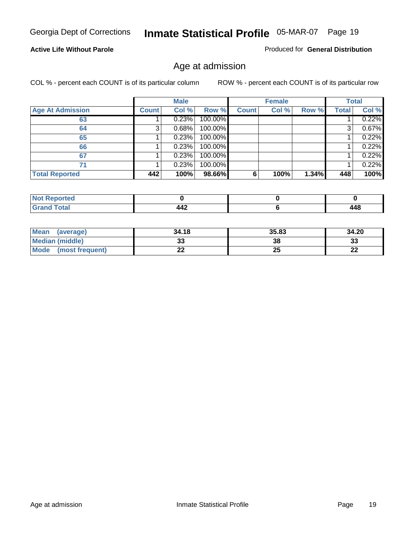#### **Active Life Without Parole**

Produced for **General Distribution**

### Age at admission

|                         |              | <b>Male</b> |         |              | <b>Female</b> |       |              | <b>Total</b> |
|-------------------------|--------------|-------------|---------|--------------|---------------|-------|--------------|--------------|
| <b>Age At Admission</b> | <b>Count</b> | Col %       | Row %   | <b>Count</b> | Col %         | Row % | <b>Total</b> | Col %        |
| 63                      |              | 0.23%       | 100.00% |              |               |       |              | 0.22%        |
| 64                      |              | 0.68%       | 100.00% |              |               |       |              | 0.67%        |
| 65                      |              | 0.23%       | 100.00% |              |               |       |              | 0.22%        |
| 66                      |              | 0.23%       | 100.00% |              |               |       |              | 0.22%        |
| 67                      |              | 0.23%       | 100.00% |              |               |       |              | 0.22%        |
| 71                      |              | 0.23%       | 100.00% |              |               |       |              | 0.22%        |
| <b>Total Reported</b>   | 442          | 100%        | 98.66%  | 6            | 100%          | 1.34% | 448          | 100%         |

| <b>Reported</b><br>-N.          |     |     |
|---------------------------------|-----|-----|
| <b>otal</b><br>$\mathbf{v}$ and | 442 | 448 |

| Mean (average)         | 34.18 | 35.83 | 34.20     |
|------------------------|-------|-------|-----------|
| <b>Median (middle)</b> | აა    | 38    | 33        |
| Mode (most frequent)   | ∸∸    | 25    | n g<br>LL |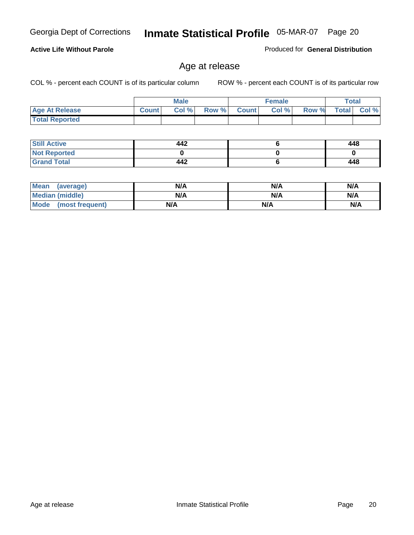#### **Active Life Without Parole**

Produced for **General Distribution**

### Age at release

|                       |              | <b>Male</b> |       |              | <b>Female</b> |       |       | <b>Total</b> |
|-----------------------|--------------|-------------|-------|--------------|---------------|-------|-------|--------------|
| <b>Age At Release</b> | <b>Count</b> | Col %       | Row % | <b>Count</b> | Col %         | Row % | Total | Col %        |
| <b>Total Reported</b> |              |             |       |              |               |       |       |              |

| <b>Still Active</b> | 442 | 448 |
|---------------------|-----|-----|
| <b>Not Reported</b> |     |     |
| <b>Grand Total</b>  | 442 | 448 |

| Mean<br>(average)      | N/A | N/A | N/A |
|------------------------|-----|-----|-----|
| <b>Median (middle)</b> | N/A | N/A | N/A |
| Mode (most frequent)   | N/A | N/A | N/A |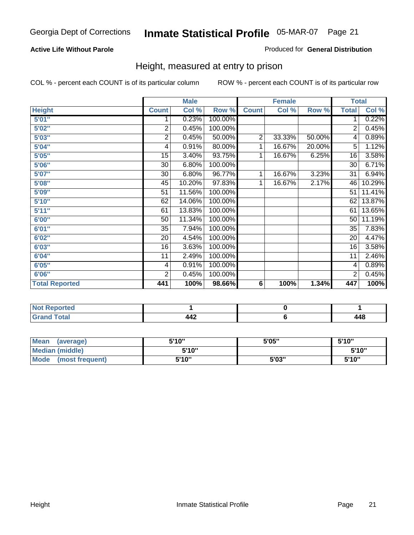#### **Active Life Without Parole**

#### Produced for **General Distribution**

### Height, measured at entry to prison

|                       |                | <b>Male</b> |         |              | <b>Female</b> |        |                 | <b>Total</b>        |
|-----------------------|----------------|-------------|---------|--------------|---------------|--------|-----------------|---------------------|
| <b>Height</b>         | <b>Count</b>   | Col %       | Row %   | <b>Count</b> | Col %         | Row %  | <b>Total</b>    | Col %               |
| 5'01''                | 1              | 0.23%       | 100.00% |              |               |        | 1               | 0.22%               |
| 5'02"                 | $\overline{2}$ | 0.45%       | 100.00% |              |               |        | $\overline{2}$  | 0.45%               |
| 5'03"                 | 2              | 0.45%       | 50.00%  | 2            | 33.33%        | 50.00% | 4               | $\overline{0.89\%}$ |
| 5'04"                 | 4              | 0.91%       | 80.00%  | 1            | 16.67%        | 20.00% | 5               | 1.12%               |
| 5'05"                 | 15             | 3.40%       | 93.75%  | 1            | 16.67%        | 6.25%  | 16              | 3.58%               |
| 5'06"                 | 30             | 6.80%       | 100.00% |              |               |        | $\overline{30}$ | 6.71%               |
| 5'07''                | 30             | 6.80%       | 96.77%  | 1            | 16.67%        | 3.23%  | 31              | 6.94%               |
| 5'08"                 | 45             | 10.20%      | 97.83%  | 1            | 16.67%        | 2.17%  | 46              | 10.29%              |
| <b>5'09"</b>          | 51             | 11.56%      | 100.00% |              |               |        | 51              | 11.41%              |
| 5'10''                | 62             | 14.06%      | 100.00% |              |               |        | 62              | 13.87%              |
| 5'11''                | 61             | 13.83%      | 100.00% |              |               |        | 61              | 13.65%              |
| 6'00"                 | 50             | 11.34%      | 100.00% |              |               |        | 50              | 11.19%              |
| 6'01''                | 35             | 7.94%       | 100.00% |              |               |        | 35              | 7.83%               |
| 6'02"                 | 20             | 4.54%       | 100.00% |              |               |        | 20              | 4.47%               |
| 6'03"                 | 16             | 3.63%       | 100.00% |              |               |        | 16              | 3.58%               |
| 6'04"                 | 11             | 2.49%       | 100.00% |              |               |        | 11              | 2.46%               |
| 6'05"                 | 4              | 0.91%       | 100.00% |              |               |        | 4               | 0.89%               |
| 6'06"                 | $\overline{2}$ | 0.45%       | 100.00% |              |               |        | $\overline{2}$  | 0.45%               |
| <b>Total Reported</b> | 441            | 100%        | 98.66%  | 6            | 100%          | 1.34%  | 447             | 100%                |

| τeα<br>. |     |        |
|----------|-----|--------|
| -        | ┱┱┻ | 1 4 9  |
| _____    |     | $\sim$ |

| Mean<br>(average)              | 5'10" | 5'05" | 5'10" |
|--------------------------------|-------|-------|-------|
| Median (middle)                | 5'10" |       | 5'10" |
| <b>Mode</b><br>(most frequent) | 5'10" | 5'03" | 5'10" |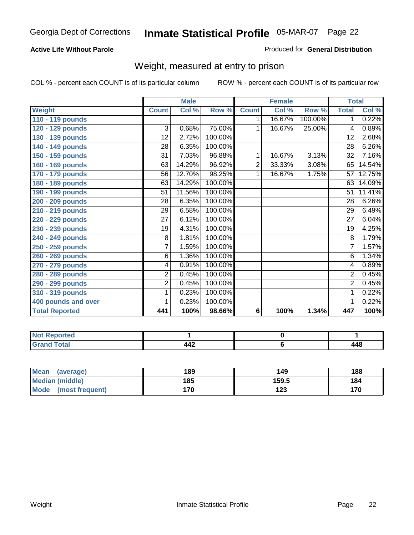#### **Active Life Without Parole**

#### Produced for **General Distribution**

### Weight, measured at entry to prison

|                       |                 | <b>Male</b>               |         |              | <b>Female</b> |         |                 | <b>Total</b> |
|-----------------------|-----------------|---------------------------|---------|--------------|---------------|---------|-----------------|--------------|
| <b>Weight</b>         | <b>Count</b>    | $\overline{\text{Col}}$ % | Row %   | <b>Count</b> | Col %         | Row %   | <b>Total</b>    | Col %        |
| 110 - 119 pounds      |                 |                           |         | 1.           | 16.67%        | 100.00% | 1.              | 0.22%        |
| 120 - 129 pounds      | 3               | 0.68%                     | 75.00%  | 1            | 16.67%        | 25.00%  | 4               | 0.89%        |
| 130 - 139 pounds      | 12              | 2.72%                     | 100.00% |              |               |         | 12              | 2.68%        |
| 140 - 149 pounds      | 28              | 6.35%                     | 100.00% |              |               |         | $\overline{28}$ | 6.26%        |
| 150 - 159 pounds      | $\overline{31}$ | 7.03%                     | 96.88%  | 1            | 16.67%        | 3.13%   | $\overline{32}$ | 7.16%        |
| 160 - 169 pounds      | 63              | 14.29%                    | 96.92%  | 2            | 33.33%        | 3.08%   | 65              | 14.54%       |
| 170 - 179 pounds      | 56              | 12.70%                    | 98.25%  | 1            | 16.67%        | 1.75%   | 57              | 12.75%       |
| 180 - 189 pounds      | 63              | 14.29%                    | 100.00% |              |               |         | 63              | 14.09%       |
| 190 - 199 pounds      | $\overline{51}$ | 11.56%                    | 100.00% |              |               |         | $\overline{51}$ | 11.41%       |
| 200 - 209 pounds      | 28              | 6.35%                     | 100.00% |              |               |         | 28              | 6.26%        |
| 210 - 219 pounds      | 29              | 6.58%                     | 100.00% |              |               |         | $\overline{29}$ | 6.49%        |
| 220 - 229 pounds      | 27              | 6.12%                     | 100.00% |              |               |         | $\overline{27}$ | 6.04%        |
| 230 - 239 pounds      | 19              | 4.31%                     | 100.00% |              |               |         | 19              | 4.25%        |
| 240 - 249 pounds      | $\overline{8}$  | 1.81%                     | 100.00% |              |               |         | $\overline{8}$  | 1.79%        |
| 250 - 259 pounds      | $\overline{7}$  | 1.59%                     | 100.00% |              |               |         | $\overline{7}$  | 1.57%        |
| 260 - 269 pounds      | 6               | 1.36%                     | 100.00% |              |               |         | 6               | 1.34%        |
| 270 - 279 pounds      | 4               | 0.91%                     | 100.00% |              |               |         | 4               | 0.89%        |
| 280 - 289 pounds      | $\overline{2}$  | 0.45%                     | 100.00% |              |               |         | $\overline{2}$  | 0.45%        |
| 290 - 299 pounds      | $\overline{2}$  | 0.45%                     | 100.00% |              |               |         | $\overline{2}$  | 0.45%        |
| 310 - 319 pounds      | 1               | 0.23%                     | 100.00% |              |               |         | 1               | 0.22%        |
| 400 pounds and over   | 1               | 0.23%                     | 100.00% |              |               |         | 1               | 0.22%        |
| <b>Total Reported</b> | 441             | 100%                      | 98.66%  | 6            | 100%          | 1.34%   | 447             | 100%         |

| <b>NO</b><br>vrteo -       |   |               |
|----------------------------|---|---------------|
| <b>ofal</b><br>_<br>______ | . | 448<br>$\sim$ |

| <b>Mean</b><br>(average) | 189 | 149   | 188 |
|--------------------------|-----|-------|-----|
| Median (middle)          | 185 | 159.5 | 184 |
| Mode (most frequent)     | 170 | 123   | 170 |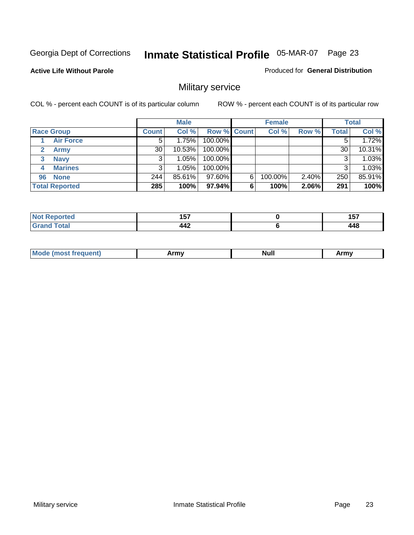**Active Life Without Parole** 

Produced for **General Distribution**

### Military service

|                       |              | <b>Male</b> |                    |   | <b>Female</b> |          |       | <b>Total</b> |
|-----------------------|--------------|-------------|--------------------|---|---------------|----------|-------|--------------|
| <b>Race Group</b>     | <b>Count</b> | Col %       | <b>Row % Count</b> |   | Col %         | Row %    | Total | Col %        |
| <b>Air Force</b>      | 5            | 1.75%       | 100.00%            |   |               |          |       | 1.72%        |
| <b>Army</b>           | 30           | 10.53%      | 100.00%            |   |               |          | 30    | 10.31%       |
| <b>Navy</b><br>3      |              | $1.05\%$    | 100.00%            |   |               |          |       | 1.03%        |
| <b>Marines</b><br>4   | 3            | $1.05\%$    | 100.00%            |   |               |          | 3     | 1.03%        |
| 96 None               | 244          | 85.61%      | 97.60%             | 6 | 100.00%       | $2.40\%$ | 250   | 85.91%       |
| <b>Total Reported</b> | 285          | 100%        | 97.94%             | 6 | 100%          | 2.06%    | 291   | 100%         |

| пето             | $\overline{\phantom{a}}$<br>. | .<br>ּשׁ             |
|------------------|-------------------------------|----------------------|
| $F_{\mathbf{A}}$ | <br>---                       | <b>A A Q</b><br>44 C |

| M<br><b>INUIL</b><br>.<br>. |
|-----------------------------|
|-----------------------------|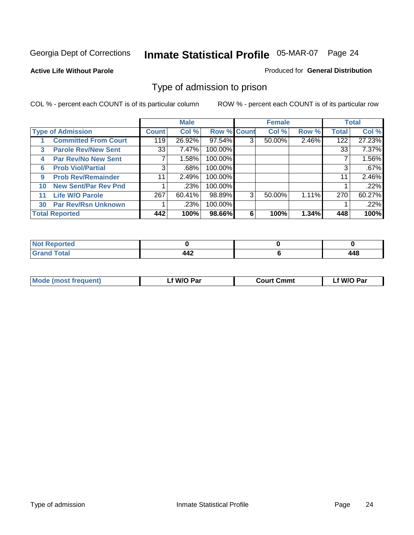#### **Active Life Without Parole**

#### Produced for **General Distribution**

### Type of admission to prison

|    |                             |              | <b>Male</b> |                    |   | <b>Female</b> |       |              | <b>Total</b> |
|----|-----------------------------|--------------|-------------|--------------------|---|---------------|-------|--------------|--------------|
|    | <b>Type of Admission</b>    | <b>Count</b> | Col %       | <b>Row % Count</b> |   | Col %         | Row % | <b>Total</b> | Col %        |
|    | <b>Committed From Court</b> | 119          | 26.92%      | 97.54%             | 3 | 50.00%        | 2.46% | 122          | 27.23%       |
| 3  | <b>Parole Rev/New Sent</b>  | 33           | 7.47%       | 100.00%            |   |               |       | 33           | 7.37%        |
| 4  | <b>Par Rev/No New Sent</b>  |              | 1.58%       | 100.00%            |   |               |       |              | 1.56%        |
| 6  | <b>Prob Viol/Partial</b>    | 3            | .68%        | 100.00%            |   |               |       | 3            | .67%         |
| 9  | <b>Prob Rev/Remainder</b>   | 11           | 2.49%       | 100.00%            |   |               |       | 11           | 2.46%        |
| 10 | <b>New Sent/Par Rev Pnd</b> |              | .23%        | 100.00%            |   |               |       |              | .22%         |
| 11 | <b>Life W/O Parole</b>      | 267          | 60.41%      | 98.89%             | 3 | 50.00%        | 1.11% | 270          | 60.27%       |
| 30 | <b>Par Rev/Rsn Unknown</b>  |              | .23%        | 100.00%            |   |               |       |              | .22%         |
|    | <b>Total Reported</b>       | 442          | 100%        | 98.66%             | 6 | 100%          | 1.34% | 448          | 100%         |

| eported<br>NOT                        |            |            |
|---------------------------------------|------------|------------|
| <b>Total</b><br><b>Circ</b><br>$\sim$ | - -<br>--- | 140<br>44C |

| <b>Mode (most frequent)</b> | <b>W/O Par</b> | <b>Court Cmmt</b> | M/O Par |  |
|-----------------------------|----------------|-------------------|---------|--|
|                             |                |                   |         |  |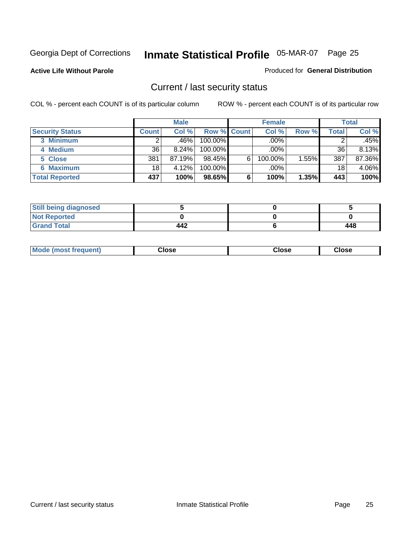**Active Life Without Parole** 

Produced for **General Distribution**

### Current / last security status

|                        |              | <b>Male</b> |                    |   | <b>Female</b> |       |       | <b>Total</b> |
|------------------------|--------------|-------------|--------------------|---|---------------|-------|-------|--------------|
| <b>Security Status</b> | <b>Count</b> | Col %       | <b>Row % Count</b> |   | Col %         | Row % | Total | Col %        |
| 3 Minimum              |              | .46%        | $100.00\%$         |   | .00%          |       |       | .45%         |
| 4 Medium               | 36           | 8.24%       | $100.00\%$         |   | $.00\%$       |       | 36    | 8.13%        |
| 5 Close                | 381          | 87.19%      | 98.45%             | 6 | 100.00%       | 1.55% | 387   | 87.36%       |
| 6 Maximum              | 18           | 4.12%       | 100.00%            |   | .00%          |       | 18    | 4.06%        |
| <b>Total Reported</b>  | 437          | 100%        | 98.65%             | 6 | 100%          | 1.35% | 443   | 100%         |

| <b>Still being diagnosed</b> |     |     |
|------------------------------|-----|-----|
| <b>Not Reported</b>          |     |     |
| <b>Grand Total</b>           | 442 | 448 |

| <b>Mode</b><br><b>OSE</b><br>∵lose<br>(most frequent)<br>oseث<br>- - - -<br>- - - -<br>- - - - |  |
|------------------------------------------------------------------------------------------------|--|
|------------------------------------------------------------------------------------------------|--|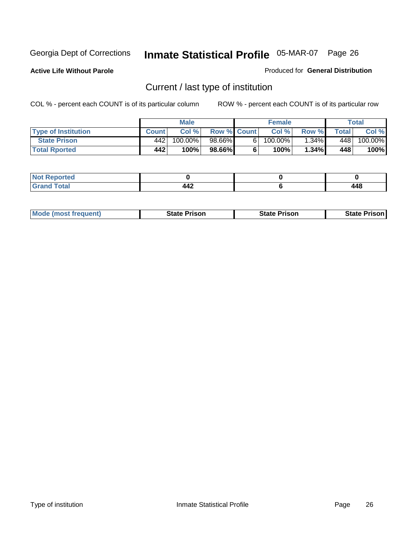**Active Life Without Parole** 

Produced for **General Distribution**

### Current / last type of institution

|                            |              | <b>Male</b> |                    |    | <b>Female</b> |          |       | Total   |
|----------------------------|--------------|-------------|--------------------|----|---------------|----------|-------|---------|
| <b>Type of Institution</b> | <b>Count</b> | Col%        | <b>Row % Count</b> |    | Col %         | Row %    | Total | Col %   |
| <b>State Prison</b>        | 442          | $100.00\%$  | 98.66%             | 61 | $100.00\%$    | $1.34\%$ | 448   | 100.00% |
| <b>Total Rported</b>       | 442          | 100%        | 98.66%             |    | 100%          | 1.34%    | 448   | 100%    |

| rted<br>$\sim$ |        |                        |
|----------------|--------|------------------------|
| $\sim$         | <br>-- | 1 A Q<br>14O<br>$\sim$ |

| <b>Mode (most frequent)</b> | <b>State Prison</b> | <b>State Prison</b> | <b>State Prison I</b> |
|-----------------------------|---------------------|---------------------|-----------------------|
|                             |                     |                     |                       |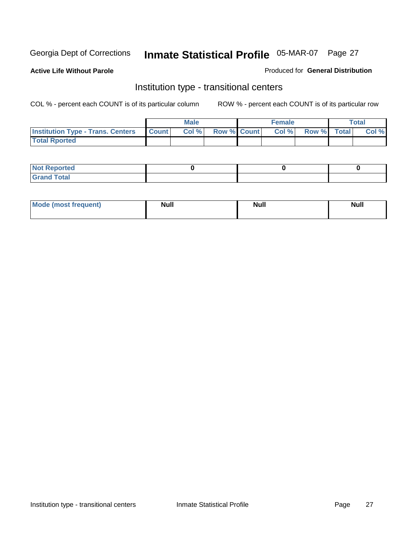**Active Life Without Parole** 

#### Produced for **General Distribution**

### Institution type - transitional centers

|                                                | <b>Male</b> |                          | <b>Female</b> |             | <b>Total</b> |
|------------------------------------------------|-------------|--------------------------|---------------|-------------|--------------|
| <b>Institution Type - Trans. Centers Count</b> |             | <b>Col %</b> Row % Count | Col %         | Row % Total | Col %        |
| <b>Total Rported</b>                           |             |                          |               |             |              |

| <b>Not Reported</b>        |  |  |
|----------------------------|--|--|
| <b>otal</b><br>. Gror<br>. |  |  |

| Mode (most frequent) | <b>Null</b> | <b>Null</b> | <b>Null</b> |
|----------------------|-------------|-------------|-------------|
|                      |             |             |             |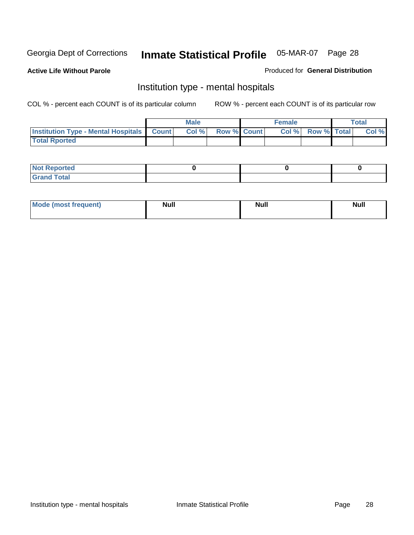**Active Life Without Parole** 

Produced for **General Distribution**

### Institution type - mental hospitals

|                                                  | Male |                    | <b>Female</b> |                   | <b>Total</b> |
|--------------------------------------------------|------|--------------------|---------------|-------------------|--------------|
| <b>Institution Type - Mental Hospitals Count</b> | Col% | <b>Row % Count</b> |               | Col % Row % Total | Col %        |
| <b>Total Rported</b>                             |      |                    |               |                   |              |

| <b>Not Reported</b> |  |  |
|---------------------|--|--|
| <b>Fotal</b><br>Cro |  |  |

| Mode (most frequent) | <b>Null</b> | <b>Null</b> | <b>Null</b> |
|----------------------|-------------|-------------|-------------|
|                      |             |             |             |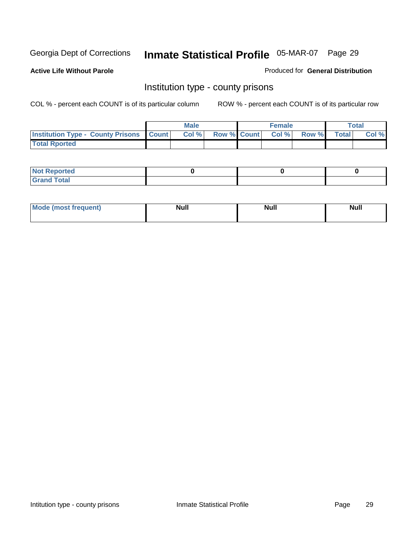**Active Life Without Parole** 

Produced for **General Distribution**

### Institution type - county prisons

|                                                    | <b>Male</b> |                          | <b>Female</b> |       |       | Total |
|----------------------------------------------------|-------------|--------------------------|---------------|-------|-------|-------|
| <b>Institution Type - County Prisons   Count  </b> | Col %       | <b>Row % Count Col %</b> |               | Row % | Total | Col % |
| <b>Total Rported</b>                               |             |                          |               |       |       |       |

| <b>Not</b><br><b>Reported</b> |  |  |
|-------------------------------|--|--|
| <b>Grand Total</b>            |  |  |

| <b>Mo</b><br>frequent) | NI. . II<br>1u 11 | <b>Moll</b> | <b>Null</b> |
|------------------------|-------------------|-------------|-------------|
|                        |                   |             |             |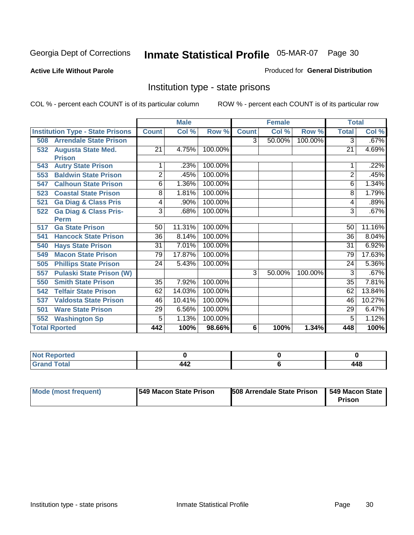#### **Active Life Without Parole**

#### Produced for **General Distribution**

### Institution type - state prisons

|                                         |                                  | <b>Male</b>     |        | <b>Female</b> |                |        | <b>Total</b> |                 |          |
|-----------------------------------------|----------------------------------|-----------------|--------|---------------|----------------|--------|--------------|-----------------|----------|
| <b>Institution Type - State Prisons</b> |                                  | <b>Count</b>    | Col %  | Row %         | <b>Count</b>   | Col %  | Row %        | <b>Total</b>    | Col %    |
| 508                                     | <b>Arrendale State Prison</b>    |                 |        |               | $\overline{3}$ | 50.00% | 100.00%      | 3               | .67%     |
| <b>Augusta State Med.</b><br>532        |                                  | 21              | 4.75%  | 100.00%       |                |        |              | $\overline{21}$ | 4.69%    |
| <b>Prison</b>                           |                                  |                 |        |               |                |        |              |                 |          |
| <b>Autry State Prison</b><br>543        |                                  |                 | .23%   | 100.00%       |                |        |              |                 | .22%     |
| 553                                     | <b>Baldwin State Prison</b>      | $\overline{2}$  | .45%   | 100.00%       |                |        |              | $\overline{c}$  | .45%     |
| 547                                     | <b>Calhoun State Prison</b>      | 6               | 1.36%  | 100.00%       |                |        |              | 6               | 1.34%    |
| 523                                     | <b>Coastal State Prison</b>      | 8               | 1.81%  | 100.00%       |                |        |              | 8               | 1.79%    |
| 521                                     | <b>Ga Diag &amp; Class Pris</b>  | 4               | .90%   | 100.00%       |                |        |              | 4               | .89%     |
| 522                                     | <b>Ga Diag &amp; Class Pris-</b> | 3               | .68%   | 100.00%       |                |        |              | 3               | .67%     |
| <b>Perm</b>                             |                                  |                 |        |               |                |        |              |                 |          |
| <b>Ga State Prison</b><br>517           |                                  | 50              | 11.31% | 100.00%       |                |        |              | 50              | 11.16%   |
| 541                                     | <b>Hancock State Prison</b>      | $\overline{36}$ | 8.14%  | 100.00%       |                |        |              | $\overline{36}$ | $8.04\%$ |
| <b>Hays State Prison</b><br>540         |                                  | $\overline{31}$ | 7.01%  | 100.00%       |                |        |              | 31              | 6.92%    |
| <b>Macon State Prison</b><br>549        |                                  | 79              | 17.87% | 100.00%       |                |        |              | 79              | 17.63%   |
| 505                                     | <b>Phillips State Prison</b>     | $\overline{24}$ | 5.43%  | 100.00%       |                |        |              | 24              | 5.36%    |
| 557                                     | <b>Pulaski State Prison (W)</b>  |                 |        |               | 3              | 50.00% | 100.00%      | 3               | .67%     |
| <b>Smith State Prison</b><br>550        |                                  | 35              | 7.92%  | 100.00%       |                |        |              | 35              | 7.81%    |
| <b>Telfair State Prison</b><br>542      |                                  | 62              | 14.03% | 100.00%       |                |        |              | 62              | 13.84%   |
| 537                                     | <b>Valdosta State Prison</b>     | 46              | 10.41% | 100.00%       |                |        |              | 46              | 10.27%   |
| <b>Ware State Prison</b><br>501         |                                  | 29              | 6.56%  | 100.00%       |                |        |              | 29              | 6.47%    |
| <b>Washington Sp</b><br>552             |                                  | 5               | 1.13%  | 100.00%       |                |        |              | 5               | 1.12%    |
| <b>Total Rported</b>                    |                                  | 442             | 100%   | 98.66%        | 6              | 100%   | 1.34%        | 448             | 100%     |

| <b><i>Continued by Alberta</i></b><br>тес |                                       |                             |
|-------------------------------------------|---------------------------------------|-----------------------------|
| $f$ oto $f$<br>_____                      | $\mathbf{A} \mathbf{A}$<br><b>TTA</b> | <b>AAC</b><br>TTL<br>$\sim$ |

| Mode (most frequent) | 1549 Macon State Prison | <b>508 Arrendale State Prison</b> | 1549 Macon State<br>Prison |
|----------------------|-------------------------|-----------------------------------|----------------------------|
|----------------------|-------------------------|-----------------------------------|----------------------------|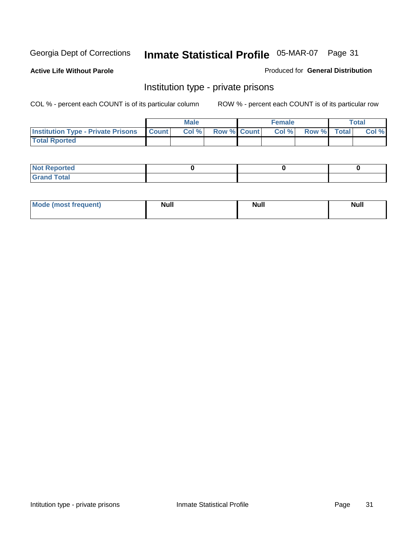**Active Life Without Parole** 

Produced for **General Distribution**

### Institution type - private prisons

|                                                     | <b>Male</b> |                    | <b>Female</b> |             | <b>Total</b> |
|-----------------------------------------------------|-------------|--------------------|---------------|-------------|--------------|
| <b>Institution Type - Private Prisons   Count  </b> | Col %       | <b>Row % Count</b> | Col %         | Row % Total | Col %        |
| <b>Total Rported</b>                                |             |                    |               |             |              |

| <b>Not Reported</b> |  |  |
|---------------------|--|--|
| <b>otal</b><br>r.   |  |  |

| Mode (most frequent) | <b>Null</b> | <b>Null</b> | <b>Null</b> |
|----------------------|-------------|-------------|-------------|
|                      |             |             |             |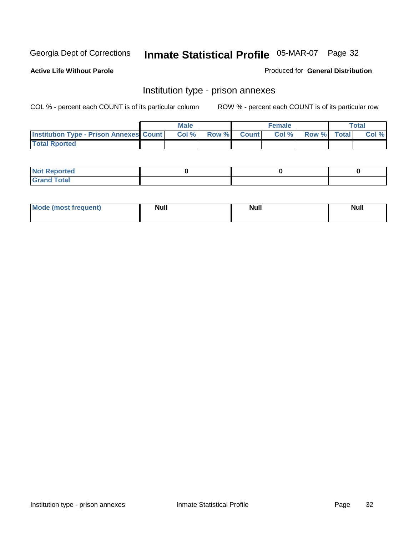**Active Life Without Parole** 

Produced for **General Distribution**

### Institution type - prison annexes

|                                                | <b>Male</b> |              |                | <b>Female</b> |             | <b>Total</b> |
|------------------------------------------------|-------------|--------------|----------------|---------------|-------------|--------------|
| <b>Institution Type - Prison Annexes Count</b> | Col%        | <b>Row %</b> | <b>Count</b> Ⅰ | Col%          | Row % Total | Col %        |
| <b>Total Rported</b>                           |             |              |                |               |             |              |

| <b>Not Reported</b>            |  |  |
|--------------------------------|--|--|
| <b>Total</b><br>Croi<br>$\sim$ |  |  |

| Mode (most frequent) | <b>Null</b> | <b>Null</b><br>_____ | <b>Null</b> |
|----------------------|-------------|----------------------|-------------|
|                      |             |                      |             |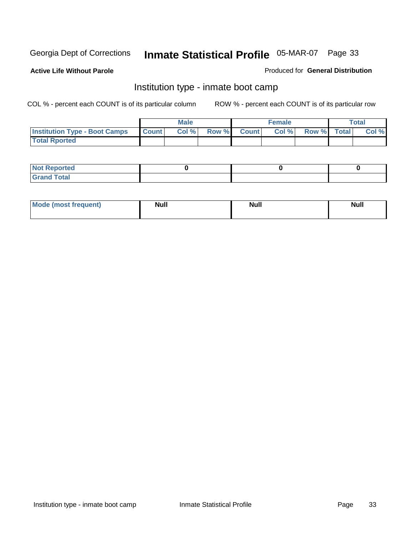**Active Life Without Parole** 

Produced for **General Distribution**

### Institution type - inmate boot camp

|                                      |              | Male  |             | <b>Female</b> |             | <b>Total</b> |
|--------------------------------------|--------------|-------|-------------|---------------|-------------|--------------|
| <b>Institution Type - Boot Camps</b> | <b>Count</b> | Col % | Row % Count | Col%          | Row % Total | Col %        |
| <b>Total Rported</b>                 |              |       |             |               |             |              |

| <b>Not Reported</b>  |  |  |
|----------------------|--|--|
| <b>Total</b><br>Croy |  |  |

| Mode (most frequent) | <b>Null</b> | <b>Null</b> | <b>Null</b> |
|----------------------|-------------|-------------|-------------|
|                      |             |             |             |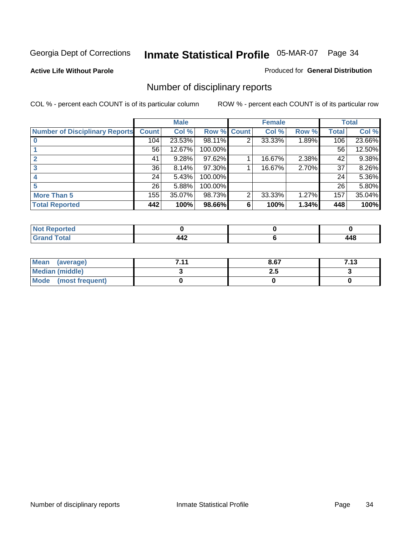#### **Active Life Without Parole**

#### Produced for **General Distribution**

### Number of disciplinary reports

|                                       |                 | <b>Male</b> |             |   | <b>Female</b> |       |              | <b>Total</b> |
|---------------------------------------|-----------------|-------------|-------------|---|---------------|-------|--------------|--------------|
| <b>Number of Disciplinary Reports</b> | <b>Count</b>    | Col %       | Row % Count |   | Col %         | Row % | <b>Total</b> | Col %        |
|                                       | 104             | 23.53%      | 98.11%      | 2 | 33.33%        | 1.89% | 106          | 23.66%       |
|                                       | 56              | 12.67%      | 100.00%     |   |               |       | 56           | 12.50%       |
|                                       | 41              | 9.28%       | 97.62%      |   | 16.67%        | 2.38% | 42           | 9.38%        |
| 3                                     | 36              | 8.14%       | 97.30%      |   | 16.67%        | 2.70% | 37           | 8.26%        |
|                                       | 24              | 5.43%       | 100.00%     |   |               |       | 24           | 5.36%        |
|                                       | 26 <sup>1</sup> | 5.88%       | 100.00%     |   |               |       | 26           | 5.80%        |
| <b>More Than 5</b>                    | 155             | 35.07%      | 98.73%      | 2 | 33.33%        | 1.27% | 157          | 35.04%       |
| <b>Total Reported</b>                 | 442             | 100%        | 98.66%      | 6 | 100%          | 1.34% | 448          | 100%         |

| .<br>N<br>ver.   |         |                      |
|------------------|---------|----------------------|
| $T \sim$ fol $-$ | <br>- - | <b>A</b> 5<br>$\sim$ |

| Mean (average)       | 744 | 8.67 | 7 1 2<br>7.19 |
|----------------------|-----|------|---------------|
| Median (middle)      |     | 2.J  |               |
| Mode (most frequent) |     |      |               |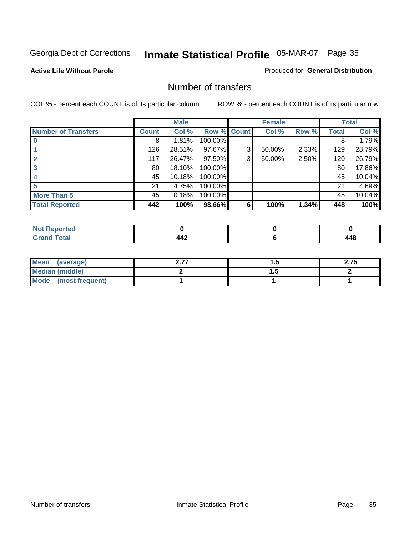#### **Active Life Without Parole**

#### Produced for **General Distribution**

### Number of transfers

|                            |              | <b>Male</b> |             |   | <b>Female</b> |       |              | <b>Total</b> |
|----------------------------|--------------|-------------|-------------|---|---------------|-------|--------------|--------------|
| <b>Number of Transfers</b> | <b>Count</b> | Col %       | Row % Count |   | Col %         | Row % | <b>Total</b> | Col %        |
|                            | 8            | 1.81%       | 100.00%     |   |               |       | 8            | 1.79%        |
|                            | 126          | 28.51%      | 97.67%      | 3 | 50.00%        | 2.33% | 129          | 28.79%       |
|                            | 117          | 26.47%      | 97.50%      | 3 | 50.00%        | 2.50% | 120          | 26.79%       |
| 3                          | 80           | 18.10%      | 100.00%     |   |               |       | 80           | 17.86%       |
|                            | 45           | 10.18%      | 100.00%     |   |               |       | 45           | 10.04%       |
| 5                          | 21           | 4.75%       | 100.00%     |   |               |       | 21           | 4.69%        |
| <b>More Than 5</b>         | 45           | 10.18%      | 100.00%     |   |               |       | 45           | 10.04%       |
| <b>Total Reported</b>      | 442          | 100%        | 98.66%      | 6 | 100%          | 1.34% | 448          | 100%         |

| N<br>н. |                                          |            |
|---------|------------------------------------------|------------|
|         | $\overline{\phantom{a}}$<br><u> 776 </u> | $\epsilon$ |

| Mean (average)       | . . | 2.75 |
|----------------------|-----|------|
| Median (middle)      | .   |      |
| Mode (most frequent) |     |      |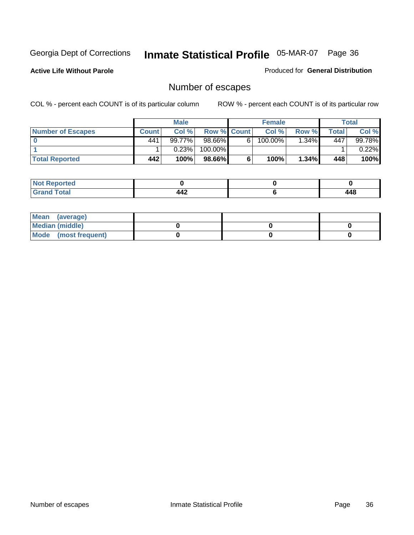**Active Life Without Parole** 

Produced for **General Distribution**

### Number of escapes

|                          |       | <b>Male</b> |                    |    | <b>Female</b> |          |       | <b>Total</b> |
|--------------------------|-------|-------------|--------------------|----|---------------|----------|-------|--------------|
| <b>Number of Escapes</b> | Count | Col %       | <b>Row % Count</b> |    | Col %         | Row %I   | Total | Col %        |
|                          | 441   | 99.77%      | $98.66\%$          | 6. | 100.00%       | $.34\%$  | 447   | 99.78%       |
|                          |       | 0.23%       | 100.00%            |    |               |          |       | $0.22\%$     |
| <b>Total Reported</b>    | 442   | 100%        | 98.66%             |    | 100%          | $1.34\%$ | 448   | 100%         |

| المراجع المعرضة<br>теа                                           |                       |              |
|------------------------------------------------------------------|-----------------------|--------------|
| $f \wedge f \wedge f$<br><b>Uldi</b><br>$\sim$ . $\sim$ . $\sim$ | $\overline{A}$<br>--- | I 4 C<br>440 |

| Mean (average)       |  |  |
|----------------------|--|--|
| Median (middle)      |  |  |
| Mode (most frequent) |  |  |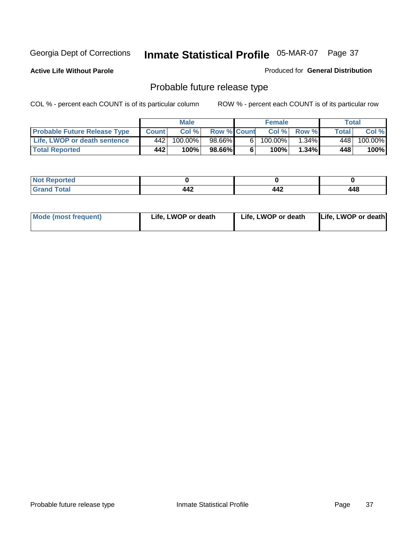**Active Life Without Parole** 

Produced for **General Distribution**

# Probable future release type

|                                     |       | <b>Male</b> |                    |                | <b>Female</b> |          |       | <b>Total</b> |
|-------------------------------------|-------|-------------|--------------------|----------------|---------------|----------|-------|--------------|
| <b>Probable Future Release Type</b> | Count | Col%        | <b>Row % Count</b> |                | Col%          | Row %    | Total | Col %        |
| Life, LWOP or death sentence        | 442   | $100.00\%$  | 98.66%             | 6 <sub>1</sub> | $100.00\%$    | $1.34\%$ | 448   | 100.00%      |
| <b>Total Reported</b>               | 442   | 100%        | 98.66%             | 6              | 100%          | $1.34\%$ | 448   | 100%         |

| <b>Reported</b><br>NOT |                         |     |              |
|------------------------|-------------------------|-----|--------------|
| <b>Total</b><br>-----  | <b>AO</b><br>. .<br>44£ | 442 | 1 1 R<br>TTU |

| Mode (most frequent) | Life, LWOP or death | Life, LWOP or death | Life, LWOP or death |
|----------------------|---------------------|---------------------|---------------------|
|----------------------|---------------------|---------------------|---------------------|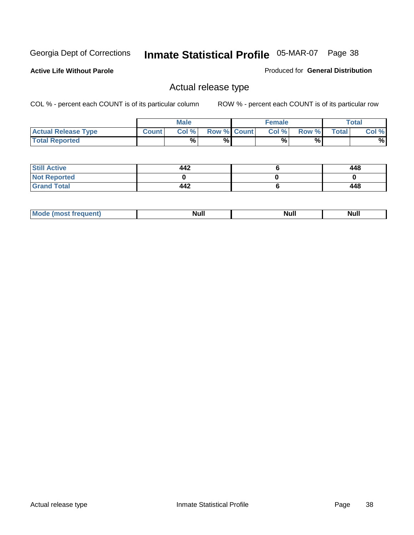**Active Life Without Parole** 

Produced for **General Distribution**

### Actual release type

|                            |              | <b>Male</b> |                    | <b>Female</b> |       |              | $\tau$ otal |
|----------------------------|--------------|-------------|--------------------|---------------|-------|--------------|-------------|
| <b>Actual Release Type</b> | <b>Count</b> | Col %       | <b>Row % Count</b> | Col %         | Row % | <b>Total</b> | Col %       |
| <b>Total Reported</b>      |              | $\%$        | %                  | %             | %     |              | %           |

| <b>Still Active</b> | 442 | 448 |
|---------------------|-----|-----|
| <b>Not Reported</b> |     |     |
| <b>Grand Total</b>  | 442 | 448 |

| M<br>_____<br>_____ | NI | Null | $\cdots$ |
|---------------------|----|------|----------|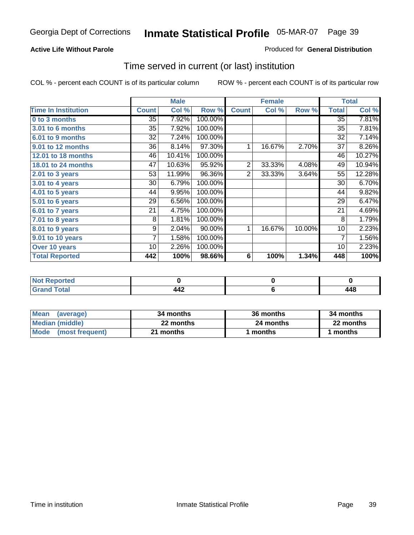### **Active Life Without Parole**

### Produced for **General Distribution**

### Time served in current (or last) institution

|                            |              | <b>Male</b> |         |                | <b>Female</b> |        |              | <b>Total</b> |
|----------------------------|--------------|-------------|---------|----------------|---------------|--------|--------------|--------------|
| <b>Time In Institution</b> | <b>Count</b> | Col %       | Row %   | <b>Count</b>   | Col %         | Row %  | <b>Total</b> | Col %        |
| 0 to 3 months              | 35           | 7.92%       | 100.00% |                |               |        | 35           | 7.81%        |
| 3.01 to 6 months           | 35           | 7.92%       | 100.00% |                |               |        | 35           | 7.81%        |
| 6.01 to 9 months           | 32           | 7.24%       | 100.00% |                |               |        | 32           | 7.14%        |
| 9.01 to 12 months          | 36           | 8.14%       | 97.30%  | 1              | 16.67%        | 2.70%  | 37           | 8.26%        |
| 12.01 to 18 months         | 46           | 10.41%      | 100.00% |                |               |        | 46           | 10.27%       |
| 18.01 to 24 months         | 47           | 10.63%      | 95.92%  | $\overline{2}$ | 33.33%        | 4.08%  | 49           | 10.94%       |
| $2.01$ to 3 years          | 53           | 11.99%      | 96.36%  | 2              | 33.33%        | 3.64%  | 55           | 12.28%       |
| 3.01 to 4 years            | 30           | 6.79%       | 100.00% |                |               |        | 30           | 6.70%        |
| 4.01 to 5 years            | 44           | 9.95%       | 100.00% |                |               |        | 44           | 9.82%        |
| 5.01 to 6 years            | 29           | 6.56%       | 100.00% |                |               |        | 29           | 6.47%        |
| 6.01 to 7 years            | 21           | 4.75%       | 100.00% |                |               |        | 21           | 4.69%        |
| 7.01 to 8 years            | 8            | 1.81%       | 100.00% |                |               |        | 8            | 1.79%        |
| 8.01 to 9 years            | 9            | 2.04%       | 90.00%  | 1              | 16.67%        | 10.00% | 10           | 2.23%        |
| 9.01 to 10 years           | 7            | 1.58%       | 100.00% |                |               |        | 7            | 1.56%        |
| Over 10 years              | 10           | 2.26%       | 100.00% |                |               |        | 10           | 2.23%        |
| <b>Total Reported</b>      | 442          | 100%        | 98.66%  | 6              | 100%          | 1.34%  | 448          | 100%         |

| <b>Reported</b><br><b>Not</b> |     |     |
|-------------------------------|-----|-----|
| <b>Total</b>                  | 44£ | 148 |

| <b>Mean</b><br>(average) | 34 months | 36 months | 34 months |  |
|--------------------------|-----------|-----------|-----------|--|
| Median (middle)          | 22 months | 24 months | 22 months |  |
| Mode (most frequent)     | 21 months | ∣ months  | months    |  |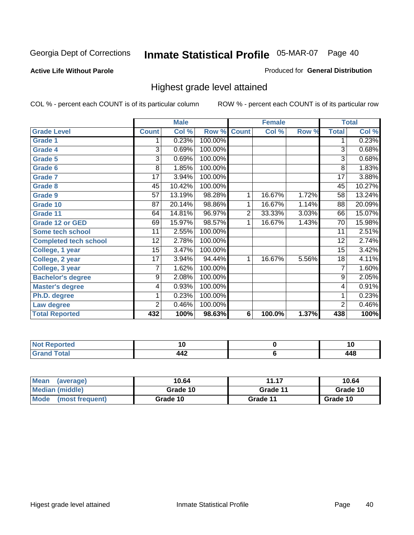### **Active Life Without Parole**

### Produced for **General Distribution**

### Highest grade level attained

|                              |                 | <b>Male</b> |         |                | <b>Female</b> |       |                 | <b>Total</b> |
|------------------------------|-----------------|-------------|---------|----------------|---------------|-------|-----------------|--------------|
| <b>Grade Level</b>           | <b>Count</b>    | Col %       | Row %   | <b>Count</b>   | Col %         | Row % | <b>Total</b>    | Col %        |
| <b>Grade 1</b>               | 1               | 0.23%       | 100.00% |                |               |       | 1               | 0.23%        |
| <b>Grade 4</b>               | 3               | 0.69%       | 100.00% |                |               |       | 3               | 0.68%        |
| <b>Grade 5</b>               | 3               | 0.69%       | 100.00% |                |               |       | 3               | 0.68%        |
| Grade 6                      | 8               | 1.85%       | 100.00% |                |               |       | 8               | 1.83%        |
| <b>Grade 7</b>               | $\overline{17}$ | 3.94%       | 100.00% |                |               |       | $\overline{17}$ | 3.88%        |
| <b>Grade 8</b>               | 45              | 10.42%      | 100.00% |                |               |       | 45              | 10.27%       |
| <b>Grade 9</b>               | 57              | 13.19%      | 98.28%  | 1              | 16.67%        | 1.72% | 58              | 13.24%       |
| Grade 10                     | 87              | 20.14%      | 98.86%  | 1              | 16.67%        | 1.14% | 88              | 20.09%       |
| Grade 11                     | 64              | 14.81%      | 96.97%  | $\overline{c}$ | 33.33%        | 3.03% | 66              | 15.07%       |
| <b>Grade 12 or GED</b>       | 69              | 15.97%      | 98.57%  | 1              | 16.67%        | 1.43% | 70              | 15.98%       |
| <b>Some tech school</b>      | 11              | 2.55%       | 100.00% |                |               |       | $\overline{11}$ | 2.51%        |
| <b>Completed tech school</b> | 12              | 2.78%       | 100.00% |                |               |       | 12              | 2.74%        |
| College, 1 year              | 15              | 3.47%       | 100.00% |                |               |       | 15              | 3.42%        |
| College, 2 year              | $\overline{17}$ | 3.94%       | 94.44%  | 1              | 16.67%        | 5.56% | 18              | 4.11%        |
| College, 3 year              | 7               | 1.62%       | 100.00% |                |               |       | 7               | 1.60%        |
| <b>Bachelor's degree</b>     | 9               | 2.08%       | 100.00% |                |               |       | 9               | 2.05%        |
| <b>Master's degree</b>       | 4               | 0.93%       | 100.00% |                |               |       | 4               | 0.91%        |
| Ph.D. degree                 | 1               | 0.23%       | 100.00% |                |               |       | 1               | 0.23%        |
| Law degree                   | $\overline{2}$  | 0.46%       | 100.00% |                |               |       | $\overline{2}$  | 0.46%        |
| <b>Total Reported</b>        | 432             | 100%        | 98.63%  | 6              | 100.0%        | 1.37% | 438             | 100%         |

| 4 - - - <b>-</b><br>τeα<br>NI.<br>. | . .        | 1 Y                         |
|-------------------------------------|------------|-----------------------------|
| <b>Coto</b> "                       | 14つ<br>. . | <i><b>A A O</b></i><br>44 U |

| <b>Mean</b><br>(average) | 10.64    | 11.17    | 10.64    |
|--------------------------|----------|----------|----------|
| Median (middle)          | Grade 10 | Grade 11 | Grade 10 |
| Mode<br>(most frequent)  | Grade 10 | Grade 11 | Grade 10 |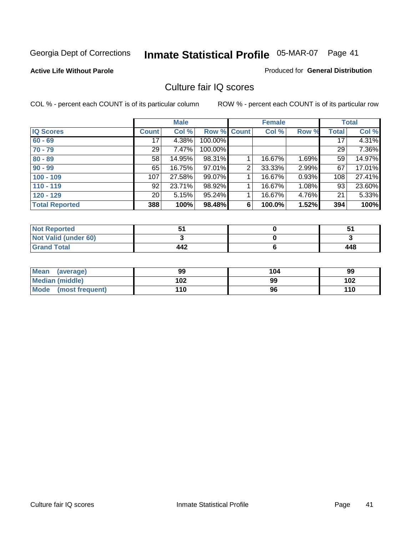### **Active Life Without Parole**

#### Produced for **General Distribution**

### Culture fair IQ scores

|                       |                 | <b>Male</b> |                    |                | <b>Female</b> |       |              | <b>Total</b> |
|-----------------------|-----------------|-------------|--------------------|----------------|---------------|-------|--------------|--------------|
| <b>IQ Scores</b>      | <b>Count</b>    | Col %       | <b>Row % Count</b> |                | Col %         | Row % | <b>Total</b> | Col %        |
| $60 - 69$             | 17              | 4.38%       | 100.00%            |                |               |       | 17           | 4.31%        |
| $70 - 79$             | 29              | 7.47%       | 100.00%            |                |               |       | 29           | 7.36%        |
| $80 - 89$             | 58              | 14.95%      | 98.31%             |                | 16.67%        | 1.69% | 59           | 14.97%       |
| $90 - 99$             | 65              | 16.75%      | 97.01%             | $\overline{2}$ | 33.33%        | 2.99% | 67           | 17.01%       |
| $100 - 109$           | 107             | 27.58%      | 99.07%             |                | 16.67%        | 0.93% | 108          | 27.41%       |
| $110 - 119$           | 92              | 23.71%      | 98.92%             |                | 16.67%        | 1.08% | 93           | 23.60%       |
| $120 - 129$           | 20 <sub>1</sub> | 5.15%       | 95.24%             |                | 16.67%        | 4.76% | 21           | 5.33%        |
| <b>Total Reported</b> | 388             | 100%        | 98.48%             | 6              | 100.0%        | 1.52% | 394          | 100%         |

| <b>Not Reported</b>         |     |     |
|-----------------------------|-----|-----|
| <b>Not Valid (under 60)</b> |     |     |
| <b>Grand Total</b>          | 442 | 448 |

| <b>Mean</b><br>(average)       | 99  | 104 | 99  |
|--------------------------------|-----|-----|-----|
| Median (middle)                | 102 | 99  | 102 |
| <b>Mode</b><br>(most frequent) | 110 | 96  | 110 |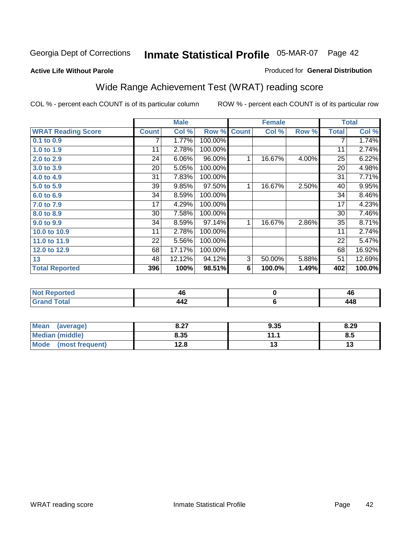#### **Active Life Without Parole**

### Produced for **General Distribution**

# Wide Range Achievement Test (WRAT) reading score

|                           |              | <b>Male</b> |         |              | <b>Female</b> |       |              | <b>Total</b> |
|---------------------------|--------------|-------------|---------|--------------|---------------|-------|--------------|--------------|
| <b>WRAT Reading Score</b> | <b>Count</b> | Col %       | Row %   | <b>Count</b> | Col %         | Row % | <b>Total</b> | Col %        |
| $0.1$ to $0.9$            |              | 1.77%       | 100.00% |              |               |       | 7            | 1.74%        |
| 1.0 to 1.9                | 11           | 2.78%       | 100.00% |              |               |       | 11           | 2.74%        |
| 2.0 to 2.9                | 24           | 6.06%       | 96.00%  | 1            | 16.67%        | 4.00% | 25           | 6.22%        |
| 3.0 to 3.9                | 20           | 5.05%       | 100.00% |              |               |       | 20           | 4.98%        |
| 4.0 to 4.9                | 31           | 7.83%       | 100.00% |              |               |       | 31           | 7.71%        |
| 5.0 to 5.9                | 39           | 9.85%       | 97.50%  | 1            | 16.67%        | 2.50% | 40           | 9.95%        |
| 6.0 to 6.9                | 34           | 8.59%       | 100.00% |              |               |       | 34           | 8.46%        |
| 7.0 to 7.9                | 17           | 4.29%       | 100.00% |              |               |       | 17           | 4.23%        |
| 8.0 to 8.9                | 30           | 7.58%       | 100.00% |              |               |       | 30           | 7.46%        |
| 9.0 to 9.9                | 34           | 8.59%       | 97.14%  | 1            | 16.67%        | 2.86% | 35           | 8.71%        |
| 10.0 to 10.9              | 11           | 2.78%       | 100.00% |              |               |       | 11           | 2.74%        |
| 11.0 to 11.9              | 22           | 5.56%       | 100.00% |              |               |       | 22           | 5.47%        |
| 12.0 to 12.9              | 68           | 17.17%      | 100.00% |              |               |       | 68           | 16.92%       |
| 13                        | 48           | 12.12%      | 94.12%  | 3            | 50.00%        | 5.88% | 51           | 12.69%       |
| <b>Total Reported</b>     | 396          | 100%        | 98.51%  | 6            | 100.0%        | 1.49% | 402          | 100.0%       |
|                           |              |             |         |              |               |       |              |              |
| Not Donortod              |              | AC          |         |              | $\mathbf{r}$  |       |              | AC.          |

| <b>Reported</b><br><b>NO</b>    | י י<br>46  | 46   |
|---------------------------------|------------|------|
| <b>otal</b><br>$\mathbf{v}$ and | 14ء<br>--- | 44 S |
|                                 |            |      |

| Mean (average)         | 8.27 | 9.35 | 8.29 |
|------------------------|------|------|------|
| <b>Median (middle)</b> | 8.35 | 111  | 8.5  |
| Mode (most frequent)   | 12.8 |      | 13   |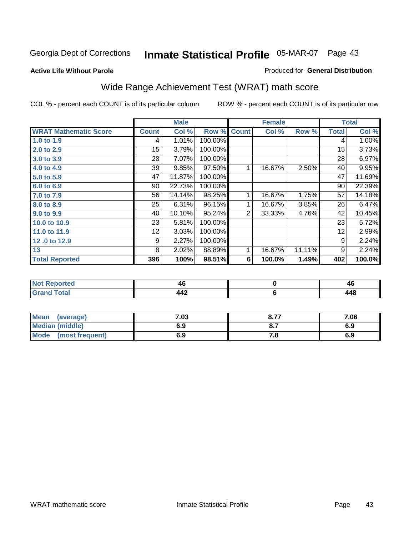### Georgia Dept of Corrections 05-MAR-07 Page **Inmate Statistical Profile** 43

#### **Active Life Without Parole**

#### Produced for **General Distribution**

# Wide Range Achievement Test (WRAT) math score

|                              |                 | <b>Male</b> |         |              | <b>Female</b> |        |              | <b>Total</b> |
|------------------------------|-----------------|-------------|---------|--------------|---------------|--------|--------------|--------------|
| <b>WRAT Mathematic Score</b> | <b>Count</b>    | Col %       | Row %   | <b>Count</b> | Col %         | Row %  | <b>Total</b> | Col %        |
| 1.0 to 1.9                   | 4               | 1.01%       | 100.00% |              |               |        | 4            | 1.00%        |
| 2.0 to 2.9                   | 15              | 3.79%       | 100.00% |              |               |        | 15           | 3.73%        |
| 3.0 to 3.9                   | 28              | 7.07%       | 100.00% |              |               |        | 28           | 6.97%        |
| 4.0 to 4.9                   | 39              | 9.85%       | 97.50%  |              | 16.67%        | 2.50%  | 40           | 9.95%        |
| 5.0 to 5.9                   | 47              | 11.87%      | 100.00% |              |               |        | 47           | 11.69%       |
| 6.0 to 6.9                   | 90              | 22.73%      | 100.00% |              |               |        | 90           | 22.39%       |
| 7.0 to 7.9                   | 56              | 14.14%      | 98.25%  |              | 16.67%        | 1.75%  | 57           | 14.18%       |
| 8.0 to 8.9                   | 25              | 6.31%       | 96.15%  | 1            | 16.67%        | 3.85%  | 26           | 6.47%        |
| 9.0 to 9.9                   | 40              | 10.10%      | 95.24%  | 2            | 33.33%        | 4.76%  | 42           | 10.45%       |
| 10.0 to 10.9                 | 23              | 5.81%       | 100.00% |              |               |        | 23           | 5.72%        |
| 11.0 to 11.9                 | 12 <sub>2</sub> | 3.03%       | 100.00% |              |               |        | 12           | 2.99%        |
| 12.0 to 12.9                 | 9               | 2.27%       | 100.00% |              |               |        | 9            | 2.24%        |
| 13                           | 8               | 2.02%       | 88.89%  |              | 16.67%        | 11.11% | 9            | 2.24%        |
| <b>Total Reported</b>        | 396             | 100%        | 98.51%  | 6            | 100.0%        | 1.49%  | 402          | 100.0%       |

| a continuous contracts of | 40             | лı        |
|---------------------------|----------------|-----------|
| тео                       | $\sim$         | 44        |
| $\sim$                    | <br>--<br>$ -$ | <b>AC</b> |

| <b>Mean</b><br>(average) | 7.03 | 0.77<br>O.1. | 7.06 |
|--------------------------|------|--------------|------|
| <b>Median (middle)</b>   | 6.9  |              | 6.9  |
| Mode<br>(most frequent)  | 6.9  | . о          | 6.9  |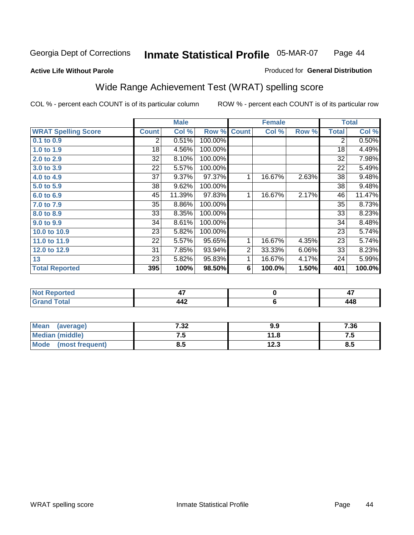### **Active Life Without Parole**

#### Produced for **General Distribution**

# Wide Range Achievement Test (WRAT) spelling score

|                            |                 | <b>Male</b> |         |                | <b>Female</b> |       |                | <b>Total</b> |
|----------------------------|-----------------|-------------|---------|----------------|---------------|-------|----------------|--------------|
| <b>WRAT Spelling Score</b> | <b>Count</b>    | Col %       | Row %   | <b>Count</b>   | Col %         | Row % | <b>Total</b>   | Col %        |
| $0.1$ to $0.9$             | 2               | 0.51%       | 100.00% |                |               |       | $\overline{2}$ | 0.50%        |
| 1.0 to 1.9                 | 18              | 4.56%       | 100.00% |                |               |       | 18             | 4.49%        |
| 2.0 to 2.9                 | 32              | 8.10%       | 100.00% |                |               |       | 32             | 7.98%        |
| 3.0 to 3.9                 | 22              | 5.57%       | 100.00% |                |               |       | 22             | 5.49%        |
| 4.0 to 4.9                 | $\overline{37}$ | 9.37%       | 97.37%  | 1              | 16.67%        | 2.63% | 38             | 9.48%        |
| 5.0 to 5.9                 | 38              | 9.62%       | 100.00% |                |               |       | 38             | 9.48%        |
| 6.0 to 6.9                 | 45              | 11.39%      | 97.83%  | 1              | 16.67%        | 2.17% | 46             | 11.47%       |
| 7.0 to 7.9                 | 35              | 8.86%       | 100.00% |                |               |       | 35             | 8.73%        |
| 8.0 to 8.9                 | 33              | 8.35%       | 100.00% |                |               |       | 33             | 8.23%        |
| 9.0 to 9.9                 | 34              | 8.61%       | 100.00% |                |               |       | 34             | 8.48%        |
| 10.0 to 10.9               | 23              | 5.82%       | 100.00% |                |               |       | 23             | 5.74%        |
| 11.0 to 11.9               | 22              | 5.57%       | 95.65%  | 1              | 16.67%        | 4.35% | 23             | 5.74%        |
| 12.0 to 12.9               | 31              | 7.85%       | 93.94%  | $\overline{2}$ | 33.33%        | 6.06% | 33             | 8.23%        |
| 13                         | 23              | 5.82%       | 95.83%  | 1              | 16.67%        | 4.17% | 24             | 5.99%        |
| <b>Total Reported</b>      | 395             | 100%        | 98.50%  | 6              | 100.0%        | 1.50% | 401            | 100.0%       |
|                            |                 |             |         |                |               |       |                |              |
| <b>Not Reported</b>        |                 | 47          |         |                | $\pmb{0}$     |       |                | 47           |
| <b>Grand Total</b>         |                 | 442         |         |                | $\bf 6$       |       |                | 448          |

| <b>Mean</b><br>(average)       | 7.32 | 9.9  | 7.36     |
|--------------------------------|------|------|----------|
| <b>Median (middle)</b>         | ن. ا | 11.8 | ن. د     |
| <b>Mode</b><br>(most frequent) | 8.5  | 12.3 | О<br>ၓ.ͻ |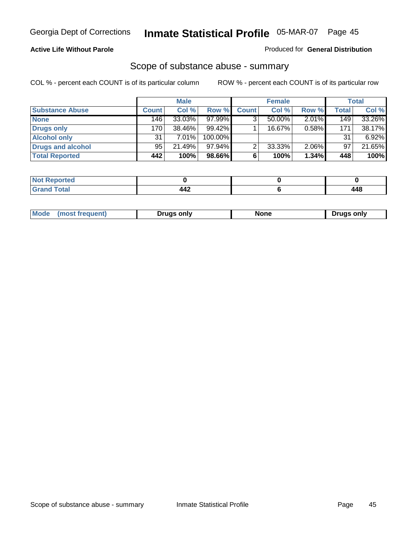### **Active Life Without Parole**

#### Produced for **General Distribution**

### Scope of substance abuse - summary

|                        |              | <b>Male</b> |           |              | <b>Female</b> |          |       | Total    |
|------------------------|--------------|-------------|-----------|--------------|---------------|----------|-------|----------|
| <b>Substance Abuse</b> | <b>Count</b> | Col %       | Row %     | <b>Count</b> | Col %         | Row %    | Total | Col %    |
| <b>None</b>            | 146          | 33.03%      | $97.99\%$ |              | 50.00%        | $2.01\%$ | 149   | 33.26%   |
| Drugs only             | 170          | 38.46%      | $99.42\%$ |              | 16.67%        | 0.58%    | 171   | 38.17%   |
| <b>Alcohol only</b>    | 31           | 7.01%       | 100.00%   |              |               |          | 31    | $6.92\%$ |
| Drugs and alcohol      | 95           | 21.49%      | $97.94\%$ | ◠            | 33.33%        | 2.06%    | 97    | 21.65%   |
| <b>Total Reported</b>  | 442          | 100%        | 98.66%    | 6            | 100%          | 1.34%    | 448   | 100%     |

| 4 - 1<br>керогтеа<br>  |       |       |
|------------------------|-------|-------|
| <b>Total</b><br>$\sim$ | <br>. | 1 A C |

|  | Mode<br>ונוצוווי | Druas onlv | None | only<br>Pruas . |
|--|------------------|------------|------|-----------------|
|--|------------------|------------|------|-----------------|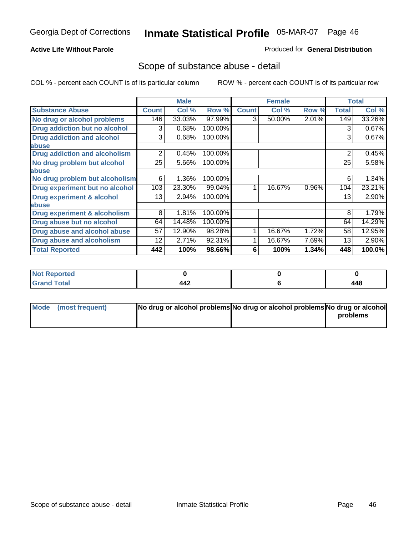### **Active Life Without Parole**

### Produced for **General Distribution**

### Scope of substance abuse - detail

|                                         |              | <b>Male</b> |         |              | <b>Female</b> |       |              | <b>Total</b> |
|-----------------------------------------|--------------|-------------|---------|--------------|---------------|-------|--------------|--------------|
| <b>Substance Abuse</b>                  | <b>Count</b> | Col %       | Row %   | <b>Count</b> | Col %         | Row % | <b>Total</b> | Col %        |
| No drug or alcohol problems             | 146          | 33.03%      | 97.99%  | 3            | 50.00%        | 2.01% | 149          | 33.26%       |
| Drug addiction but no alcohol           | 3            | 0.68%       | 100.00% |              |               |       | 3            | 0.67%        |
| <b>Drug addiction and alcohol</b>       | 3            | 0.68%       | 100.00% |              |               |       | 3            | 0.67%        |
| abuse                                   |              |             |         |              |               |       |              |              |
| <b>Drug addiction and alcoholism</b>    | 2            | 0.45%       | 100.00% |              |               |       | 2            | 0.45%        |
| No drug problem but alcohol             | 25           | 5.66%       | 100.00% |              |               |       | 25           | 5.58%        |
| abuse                                   |              |             |         |              |               |       |              |              |
| No drug problem but alcoholism          | 6            | 1.36%       | 100.00% |              |               |       | 6            | 1.34%        |
| Drug experiment but no alcohol          | 103          | 23.30%      | 99.04%  |              | 16.67%        | 0.96% | 104          | 23.21%       |
| <b>Drug experiment &amp; alcohol</b>    | 13           | 2.94%       | 100.00% |              |               |       | 13           | 2.90%        |
| abuse                                   |              |             |         |              |               |       |              |              |
| <b>Drug experiment &amp; alcoholism</b> | 8            | 1.81%       | 100.00% |              |               |       | 8            | 1.79%        |
| Drug abuse but no alcohol               | 64           | 14.48%      | 100.00% |              |               |       | 64           | 14.29%       |
| Drug abuse and alcohol abuse            | 57           | 12.90%      | 98.28%  |              | 16.67%        | 1.72% | 58           | 12.95%       |
| <b>Drug abuse and alcoholism</b>        | 12           | 2.71%       | 92.31%  |              | 16.67%        | 7.69% | 13           | 2.90%        |
| <b>Total Reported</b>                   | 442          | 100%        | 98.66%  | 6            | 100%          | 1.34% | 448          | 100.0%       |

| <b>Not Reported</b>         |            |     |
|-----------------------------|------------|-----|
| <b>Total</b><br><b>Gran</b> | 112<br>77£ | 448 |

| Mode (most frequent) | No drug or alcohol problems No drug or alcohol problems No drug or alcohol |          |
|----------------------|----------------------------------------------------------------------------|----------|
|                      |                                                                            | problems |
|                      |                                                                            |          |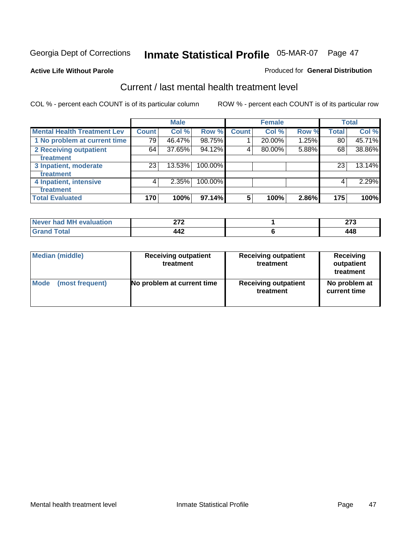#### **Active Life Without Parole**

#### Produced for **General Distribution**

### Current / last mental health treatment level

|                                    |              | <b>Male</b> |         |              | <b>Female</b> |          |              | <b>Total</b> |
|------------------------------------|--------------|-------------|---------|--------------|---------------|----------|--------------|--------------|
| <b>Mental Health Treatment Lev</b> | <b>Count</b> | Col %       | Row %   | <b>Count</b> | Col %         | Row %    | <b>Total</b> | Col %        |
| 1 No problem at current time       | 79           | 46.47%      | 98.75%  |              | 20.00%        | $1.25\%$ | 80           | 45.71%       |
| 2 Receiving outpatient             | 64           | 37.65%      | 94.12%  | 4            | 80.00%        | 5.88%    | 68           | 38.86%       |
| treatment                          |              |             |         |              |               |          |              |              |
| 3 Inpatient, moderate              | 23           | 13.53%      | 100.00% |              |               |          | 23           | 13.14%       |
| treatment                          |              |             |         |              |               |          |              |              |
| 4 Inpatient, intensive             | 4            | 2.35%       | 100.00% |              |               |          | 4            | 2.29%        |
| treatment                          |              |             |         |              |               |          |              |              |
| <b>Total Evaluated</b>             | 170          | 100%        | 97.14%  | 5            | 100%          | 2.86%    | 175          | 100%         |

| Never had MH evaluation | הדה<br>. | $\sim$ |
|-------------------------|----------|--------|
| Total                   | 442      | 148    |

| <b>Median (middle)</b> | <b>Receiving outpatient</b><br>treatment | <b>Receiving outpatient</b><br>treatment | <b>Receiving</b><br>outpatient<br>treatment |  |
|------------------------|------------------------------------------|------------------------------------------|---------------------------------------------|--|
| <b>Mode</b>            | No problem at current time               | <b>Receiving outpatient</b>              | No problem at                               |  |
| (most frequent)        |                                          | treatment                                | current time                                |  |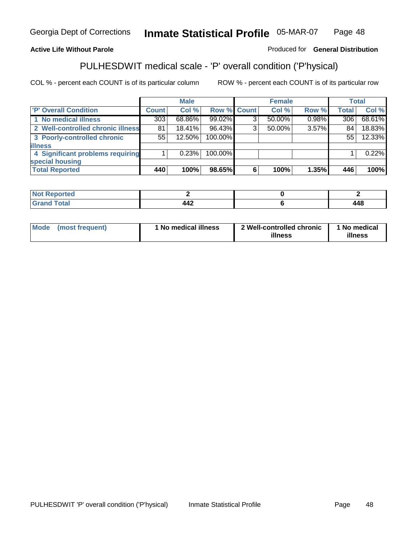### **Active Life Without Parole**

#### Produced for **General Distribution**

### PULHESDWIT medical scale - 'P' overall condition ('P'hysical)

|                                   |              | <b>Male</b> |                    |   | <b>Female</b> |          |              | <b>Total</b> |
|-----------------------------------|--------------|-------------|--------------------|---|---------------|----------|--------------|--------------|
| 'P' Overall Condition             | <b>Count</b> | Col %       | <b>Row % Count</b> |   | Col %         | Row %    | <b>Total</b> | Col %        |
| 1 No medical illness              | 303          | 68.86%      | 99.02%             | ົ | 50.00%        | $0.98\%$ | 306          | 68.61%       |
| 2 Well-controlled chronic illness | 81           | $18.41\%$   | 96.43%             | 3 | $50.00\%$     | 3.57%    | 84           | 18.83%       |
| 3 Poorly-controlled chronic       | 55           | 12.50%      | 100.00%            |   |               |          | 55           | 12.33%       |
| <b>illness</b>                    |              |             |                    |   |               |          |              |              |
| 4 Significant problems requiring  |              | 0.23%       | 100.00%            |   |               |          |              | 0.22%        |
| special housing                   |              |             |                    |   |               |          |              |              |
| <b>Total Reported</b>             | 440          | 100%        | 98.65%             | 6 | 100%          | 1.35%    | 446          | 100%         |

| $N$<br>Reported    |     |     |
|--------------------|-----|-----|
| <b>Grand Total</b> | 442 | 448 |

| <b>Mode</b> | (most frequent) | <sup>1</sup> No medical illness | 2 Well-controlled chronic<br>illness | 1 No medical<br>illness |
|-------------|-----------------|---------------------------------|--------------------------------------|-------------------------|
|             |                 |                                 |                                      |                         |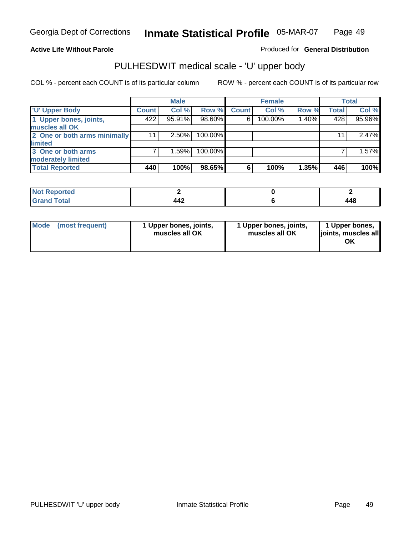### **Active Life Without Parole**

Produced for **General Distribution**

# PULHESDWIT medical scale - 'U' upper body

|                              |              | <b>Male</b> |         |              | <b>Female</b> |       |              | <b>Total</b> |
|------------------------------|--------------|-------------|---------|--------------|---------------|-------|--------------|--------------|
| <b>TU' Upper Body</b>        | <b>Count</b> | Col %       | Row %   | <b>Count</b> | Col %         | Row % | <b>Total</b> | Col %        |
| 1 Upper bones, joints,       | 422          | 95.91%      | 98.60%  | 6            | 100.00%       | 1.40% | 428          | 95.96%       |
| muscles all OK               |              |             |         |              |               |       |              |              |
| 2 One or both arms minimally | 11           | $2.50\%$    | 100.00% |              |               |       | 11           | 2.47%        |
| limited                      |              |             |         |              |               |       |              |              |
| 3 One or both arms           |              | 1.59%       | 100.00% |              |               |       |              | 1.57%        |
| moderately limited           |              |             |         |              |               |       |              |              |
| <b>Total Reported</b>        | 440          | 100%        | 98.65%  | 6            | 100%          | 1.35% | 446          | 100%         |

| Reported<br>. |            |                     |
|---------------|------------|---------------------|
|               | . .<br>--- | <b>AC</b><br>$\sim$ |

| Mode | (most frequent) | 1 Upper bones, joints,<br>muscles all OK | 1 Upper bones, joints,<br>muscles all OK | 1 Upper bones,<br>joints, muscles all<br>ΟK |
|------|-----------------|------------------------------------------|------------------------------------------|---------------------------------------------|
|------|-----------------|------------------------------------------|------------------------------------------|---------------------------------------------|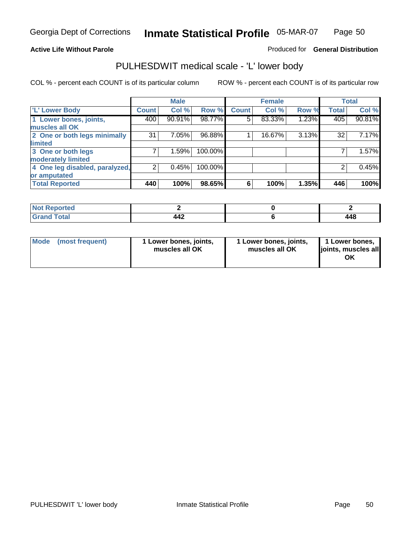#### **Active Life Without Parole**

#### Produced for **General Distribution**

### PULHESDWIT medical scale - 'L' lower body

|                                |                | <b>Male</b> |         |              | <b>Female</b> |       |              | <b>Total</b> |
|--------------------------------|----------------|-------------|---------|--------------|---------------|-------|--------------|--------------|
| <b>L' Lower Body</b>           | Count          | Col %       | Row %   | <b>Count</b> | Col %         | Row % | <b>Total</b> | Col %        |
| 1 Lower bones, joints,         | 400            | 90.91%      | 98.77%  | 5            | 83.33%        | 1.23% | 405          | 90.81%       |
| muscles all OK                 |                |             |         |              |               |       |              |              |
| 2 One or both legs minimally   | 31             | 7.05%       | 96.88%  |              | 16.67%        | 3.13% | 32           | 7.17%        |
| limited                        |                |             |         |              |               |       |              |              |
| 3 One or both legs             | 7              | 1.59%       | 100.00% |              |               |       |              | 1.57%        |
| moderately limited             |                |             |         |              |               |       |              |              |
| 4 One leg disabled, paralyzed, | $\overline{2}$ | 0.45%       | 100.00% |              |               |       | 2            | 0.45%        |
| or amputated                   |                |             |         |              |               |       |              |              |
| <b>Total Reported</b>          | 440            | 100%        | 98.65%  | 6            | 100%          | 1.35% | 446          | 100%         |

| <b>rted</b><br>N                    |            |       |
|-------------------------------------|------------|-------|
| $f \wedge f \wedge f$<br>TOldi<br>. | 18°<br>┱┯∠ | 1 A O |

|  | Mode (most frequent) | 1 Lower bones, joints,<br>muscles all OK | 1 Lower bones, joints,<br>muscles all OK | 1 Lower bones,<br>joints, muscles all<br>OK |
|--|----------------------|------------------------------------------|------------------------------------------|---------------------------------------------|
|--|----------------------|------------------------------------------|------------------------------------------|---------------------------------------------|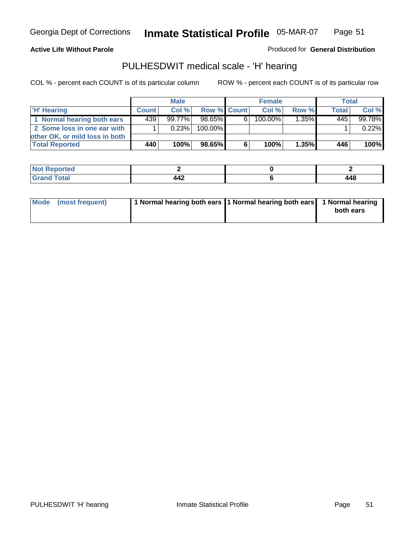#### **Active Life Without Parole**

Produced for **General Distribution**

### PULHESDWIT medical scale - 'H' hearing

|                                | <b>Male</b>  |           |             | <b>Female</b> |         |       | Total        |         |
|--------------------------------|--------------|-----------|-------------|---------------|---------|-------|--------------|---------|
| 'H' Hearing                    | <b>Count</b> | Col%      | Row % Count |               | Col%    | Row % | <b>Total</b> | Col %   |
| 1 Normal hearing both ears     | 439          | $99.77\%$ | 98.65%      | 61            | 100.00% | 1.35% | 445          | 99.78%  |
| 2 Some loss in one ear with    |              | 0.23%     | 100.00%     |               |         |       |              | 0.22%   |
| other OK, or mild loss in both |              |           |             |               |         |       |              |         |
| <b>Total Reported</b>          | 440          | 100%      | 98.65%      | 6             | 100%    | 1.35% | 446          | $100\%$ |

| тео                   |          |                          |
|-----------------------|----------|--------------------------|
| ------<br>----- ----- | $\cdots$ | <i><b>AAO</b></i><br>᠇᠇ᢦ |

| Mode (most frequent) | 1 Normal hearing both ears 1 Normal hearing both ears 1 Normal hearing | both ears |
|----------------------|------------------------------------------------------------------------|-----------|
|                      |                                                                        |           |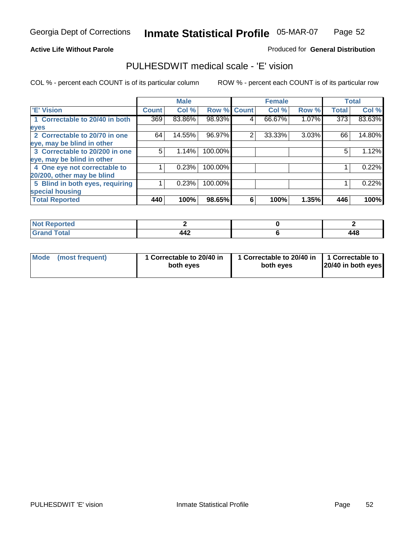#### **Active Life Without Parole**

#### Produced for **General Distribution**

### PULHESDWIT medical scale - 'E' vision

|                                 |              | <b>Male</b> |                    |   | <b>Female</b> |       |                  | <b>Total</b> |
|---------------------------------|--------------|-------------|--------------------|---|---------------|-------|------------------|--------------|
| 'E' Vision                      | <b>Count</b> | Col %       | <b>Row % Count</b> |   | Col %         | Row % | <b>Total</b>     | Col %        |
| 1 Correctable to 20/40 in both  | 369          | 83.86%      | 98.93%             | 4 | 66.67%        | 1.07% | $\overline{373}$ | 83.63%       |
| eyes                            |              |             |                    |   |               |       |                  |              |
| 2 Correctable to 20/70 in one   | 64           | 14.55%      | 96.97%             | 2 | 33.33%        | 3.03% | 66               | 14.80%       |
| eye, may be blind in other      |              |             |                    |   |               |       |                  |              |
| 3 Correctable to 20/200 in one  | 5            | 1.14%       | 100.00%            |   |               |       | 5                | 1.12%        |
| eye, may be blind in other      |              |             |                    |   |               |       |                  |              |
| 4 One eye not correctable to    |              | 0.23%       | 100.00%            |   |               |       |                  | 0.22%        |
| 20/200, other may be blind      |              |             |                    |   |               |       |                  |              |
| 5 Blind in both eyes, requiring |              | 0.23%       | 100.00%            |   |               |       |                  | 0.22%        |
| special housing                 |              |             |                    |   |               |       |                  |              |
| <b>Total Reported</b>           | 440          | 100%        | 98.65%             | 6 | 100%          | 1.35% | 446              | 100%         |

| vred i<br>. |         |            |
|-------------|---------|------------|
| ---         | <br>44z | A A C<br>. |

| <b>Mode</b>     | 1 Correctable to 20/40 in | 1 Correctable to 20/40 in   1 Correctable to | 20/40 in both eyes |
|-----------------|---------------------------|----------------------------------------------|--------------------|
| (most frequent) | both eyes                 | both eves                                    |                    |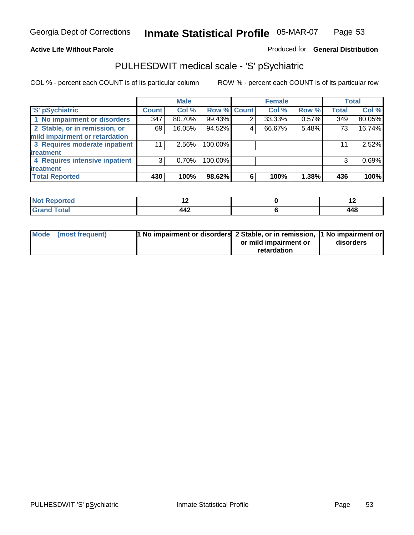### **Active Life Without Parole**

### Produced for **General Distribution**

# PULHESDWIT medical scale - 'S' pSychiatric

|                                |              | <b>Male</b> |             |   | <b>Female</b> |       |              | <b>Total</b> |
|--------------------------------|--------------|-------------|-------------|---|---------------|-------|--------------|--------------|
| 'S' pSychiatric                | <b>Count</b> | Col %       | Row % Count |   | Col %         | Row % | <b>Total</b> | Col %        |
| 1 No impairment or disorders   | 347          | 80.70%      | 99.43%      |   | 33.33%        | 0.57% | 349          | 80.05%       |
| 2 Stable, or in remission, or  | 69           | 16.05%      | 94.52%      | 4 | 66.67%        | 5.48% | 73           | 16.74%       |
| mild impairment or retardation |              |             |             |   |               |       |              |              |
| 3 Requires moderate inpatient  | 11           | $2.56\%$    | 100.00%     |   |               |       | 11           | 2.52%        |
| treatment                      |              |             |             |   |               |       |              |              |
| 4 Requires intensive inpatient | 3            | 0.70%       | 100.00%     |   |               |       | 3            | 0.69%        |
| treatment                      |              |             |             |   |               |       |              |              |
| <b>Total Reported</b>          | 430          | 100%        | 98.62%      | 6 | 100%          | 1.38% | 436          | 100%         |

| د مقامت<br>eportea<br>$\sim$ | $\sim$                | . . |
|------------------------------|-----------------------|-----|
| <b>Total</b>                 | $\overline{A}$<br>44Z | 448 |

| Mode (most frequent) | 1 No impairment or disorders 2 Stable, or in remission, 11 No impairment or |                       |           |
|----------------------|-----------------------------------------------------------------------------|-----------------------|-----------|
|                      |                                                                             | or mild impairment or | disorders |
|                      |                                                                             | retardation           |           |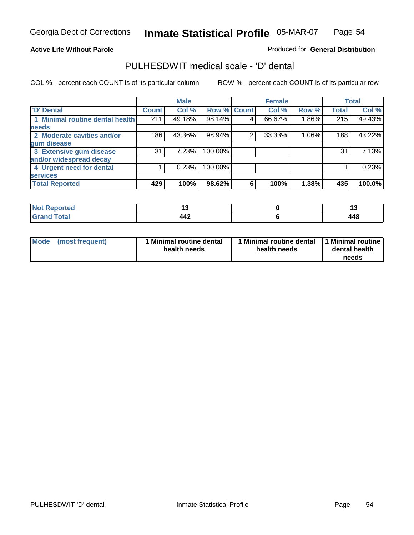#### **Active Life Without Parole**

#### Produced for **General Distribution**

### PULHESDWIT medical scale - 'D' dental

|                                 |              | <b>Male</b> |                    |   | <b>Female</b> |       |              | <b>Total</b> |
|---------------------------------|--------------|-------------|--------------------|---|---------------|-------|--------------|--------------|
| 'D' Dental                      | <b>Count</b> | Col %       | <b>Row % Count</b> |   | Col %         | Row % | <b>Total</b> | Col %        |
| 1 Minimal routine dental health | 211          | 49.18%      | 98.14%             | 4 | 66.67%        | 1.86% | 215          | 49.43%       |
| <b>needs</b>                    |              |             |                    |   |               |       |              |              |
| 2 Moderate cavities and/or      | 186          | 43.36%      | 98.94%             | 2 | 33.33%        | 1.06% | 188          | 43.22%       |
| gum disease                     |              |             |                    |   |               |       |              |              |
| 3 Extensive gum disease         | 31           | 7.23%       | 100.00%            |   |               |       | 31           | 7.13%        |
| and/or widespread decay         |              |             |                    |   |               |       |              |              |
| 4 Urgent need for dental        |              | 0.23%       | 100.00%            |   |               |       |              | 0.23%        |
| <b>services</b>                 |              |             |                    |   |               |       |              |              |
| <b>Total Reported</b>           | 429          | 100%        | 98.62%             | 6 | 100%          | 1.38% | 435          | 100.0%       |

| Reported<br><b>NOT</b> | . .          | . .               |
|------------------------|--------------|-------------------|
| <b>Total</b>           | 1 A 2<br>444 | <b>AAS</b><br>440 |

| <b>Mode</b><br>(most frequent) | <b>Minimal routine dental</b><br>health needs | 1 Minimal routine dental<br>health needs | 11 Minimal routine<br>dental health<br>needs |
|--------------------------------|-----------------------------------------------|------------------------------------------|----------------------------------------------|
|--------------------------------|-----------------------------------------------|------------------------------------------|----------------------------------------------|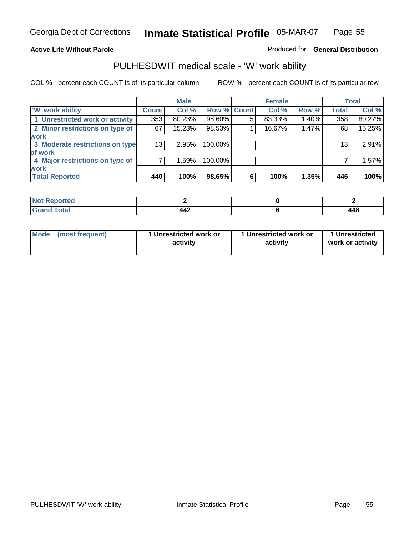#### **Active Life Without Parole**

#### Produced for **General Distribution**

### PULHESDWIT medical scale - 'W' work ability

|                                 |                    | <b>Male</b> |             |   | <b>Female</b> |       |              | <b>Total</b> |
|---------------------------------|--------------------|-------------|-------------|---|---------------|-------|--------------|--------------|
| <b>W' work ability</b>          | Count <sup>'</sup> | Col %       | Row % Count |   | Col %         | Row % | <b>Total</b> | Col %        |
| 1 Unrestricted work or activity | 353                | 80.23%      | 98.60%      | 5 | 83.33%        | 1.40% | 358          | 80.27%       |
| 2 Minor restrictions on type of | 67                 | 15.23%      | 98.53%      |   | 16.67%        | 1.47% | 68           | 15.25%       |
| work                            |                    |             |             |   |               |       |              |              |
| 3 Moderate restrictions on type | 13                 | 2.95%       | 100.00%     |   |               |       | 13           | 2.91%        |
| of work                         |                    |             |             |   |               |       |              |              |
| 4 Major restrictions on type of |                    | 1.59%       | 100.00%     |   |               |       |              | 1.57%        |
| <b>work</b>                     |                    |             |             |   |               |       |              |              |
| <b>Total Reported</b>           | 440                | 100%        | 98.65%      | 6 | 100%          | 1.35% | 446          | 100%         |

| <b>orted</b><br>NOT                     |     |                          |
|-----------------------------------------|-----|--------------------------|
| $F \wedge f \wedge f$<br>υιαι<br>------ | 442 | <i><b>AAC</b></i><br>440 |

| Mode (most frequent) | 1 Unrestricted work or<br>activity | 1 Unrestricted work or<br>activity | 1 Unrestricted<br>work or activity |  |
|----------------------|------------------------------------|------------------------------------|------------------------------------|--|
|                      |                                    |                                    |                                    |  |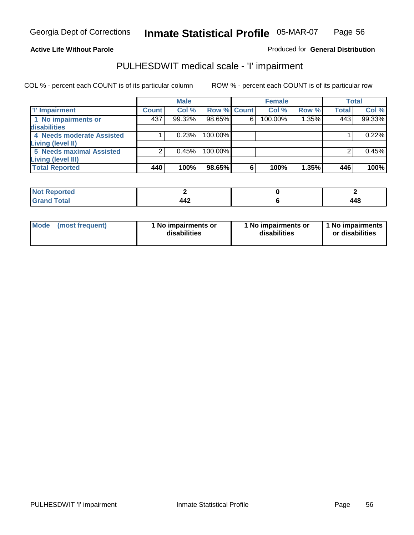#### **Active Life Without Parole**

### Produced for **General Distribution**

### PULHESDWIT medical scale - 'I' impairment

|                                 |              | <b>Male</b> |                    |   | <b>Female</b> |       |              | <b>Total</b> |
|---------------------------------|--------------|-------------|--------------------|---|---------------|-------|--------------|--------------|
| <b>T' Impairment</b>            | <b>Count</b> | Col %       | <b>Row % Count</b> |   | Col %         | Row % | <b>Total</b> | Col %        |
| 1 No impairments or             | 437          | 99.32%      | 98.65%             | 6 | 100.00%       | 1.35% | 443          | 99.33%       |
| disabilities                    |              |             |                    |   |               |       |              |              |
| 4 Needs moderate Assisted       |              | 0.23%       | 100.00%            |   |               |       |              | 0.22%        |
| Living (level II)               |              |             |                    |   |               |       |              |              |
| <b>5 Needs maximal Assisted</b> |              | 0.45%       | 100.00%            |   |               |       |              | 0.45%        |
| <b>Living (level III)</b>       |              |             |                    |   |               |       |              |              |
| <b>Total Reported</b>           | 440          | 100%        | 98.65%             | 6 | 100%          | 1.35% | 446          | 100%         |

| المراجع بالتعبين<br>porteal<br>'N ( |                                 |                   |
|-------------------------------------|---------------------------------|-------------------|
| int                                 | $\Lambda \Lambda$<br><b>TTA</b> | $\cdot$ A $\cdot$ |

| Mode            | 1 No impairments or | 1 No impairments or | 1 No impairments |
|-----------------|---------------------|---------------------|------------------|
| (most frequent) | disabilities        | disabilities        | or disabilities  |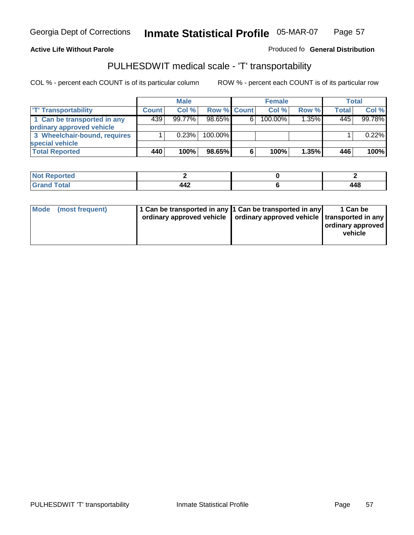#### **Inmate Statistical Profile** 05-MAR-07 Page Page 57

#### **Active Life Without Parole Produced fo Seneral Distribution**

### PULHESDWIT medical scale - 'T' transportability

|                              |              | <b>Male</b> |                    |   | <b>Female</b> |          |       | Total  |
|------------------------------|--------------|-------------|--------------------|---|---------------|----------|-------|--------|
| <b>T' Transportability</b>   | <b>Count</b> | Col%        | <b>Row % Count</b> |   | Col %         | Row %    | Total | Col %  |
| 1 Can be transported in any  | 439          | 99.77%      | $98.65\%$          | 6 | 100.00%       | $1.35\%$ | 445   | 99.78% |
| ordinary approved vehicle    |              |             |                    |   |               |          |       |        |
| 3 Wheelchair-bound, requires |              | 0.23%       | $100.00\%$         |   |               |          |       | 0.22%  |
| special vehicle              |              |             |                    |   |               |          |       |        |
| <b>Total Reported</b>        | 440          | 100%        | 98.65%             | 6 | 100%          | 1.35%    | 446   | 100%   |

| <b>Not Reported</b> |                       |     |
|---------------------|-----------------------|-----|
| <b>Total</b>        | 1. A O<br>17<br>T T 6 | 448 |

| <b>Mode</b><br>(most frequent) | 1 Can be transported in any 1 Can be transported in any<br>ordinary approved vehicle   ordinary approved vehicle   transported in any |  | 1 Can be<br>  ordinary approved  <br>vehicle |
|--------------------------------|---------------------------------------------------------------------------------------------------------------------------------------|--|----------------------------------------------|
|--------------------------------|---------------------------------------------------------------------------------------------------------------------------------------|--|----------------------------------------------|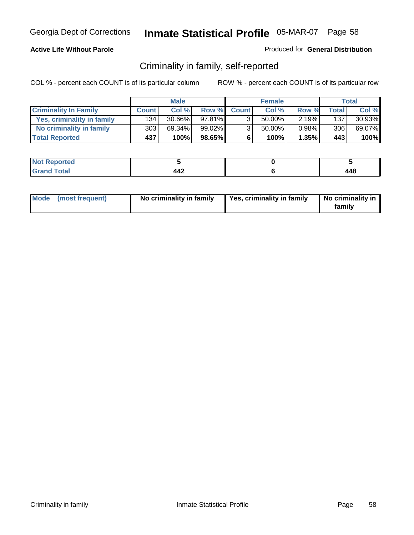### **Active Life Without Parole**

#### Produced for **General Distribution**

### Criminality in family, self-reported

|                              | <b>Male</b>      |           | <b>Female</b> |              |        | Total    |       |        |
|------------------------------|------------------|-----------|---------------|--------------|--------|----------|-------|--------|
| <b>Criminality In Family</b> | <b>Count</b>     | Col %     | Row %         | <b>Count</b> | Col %  | Row %    | Total | Col %  |
| Yes, criminality in family   | 134              | $30.66\%$ | 97.81%        | 3.           | 50.00% | $2.19\%$ | 137   | 30.93% |
| No criminality in family     | 303 <sub>1</sub> | 69.34%    | $99.02\%$     | 3            | 50.00% | $0.98\%$ | 306   | 69.07% |
| <b>Total Reported</b>        | 437              | 100%      | $98.65\%$     | 6            | 100%   | 1.35%    | 443   | 100%   |

| rted<br><b>NOT</b>              |     |            |
|---------------------------------|-----|------------|
| $\sim$<br><b>COMMAND</b><br>--- | ┱┱┻ | л с<br>440 |

| Mode (most frequent) |  | No criminality in family | Yes, criminality in family | No criminality in<br>family |
|----------------------|--|--------------------------|----------------------------|-----------------------------|
|----------------------|--|--------------------------|----------------------------|-----------------------------|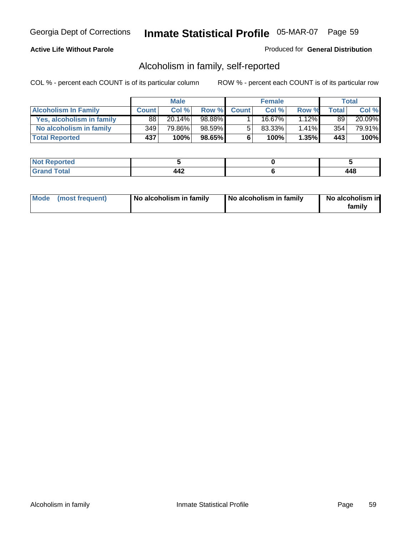### **Active Life Without Parole**

#### Produced for **General Distribution**

### Alcoholism in family, self-reported

|                             | <b>Male</b>  |        | <b>Female</b> |              |        | Total    |       |        |
|-----------------------------|--------------|--------|---------------|--------------|--------|----------|-------|--------|
| <b>Alcoholism In Family</b> | <b>Count</b> | Col %  | Row %         | <b>Count</b> | Col %  | Row %    | Total | Col %  |
| Yes, alcoholism in family   | 88           | 20.14% | 98.88%        |              | 16.67% | 12%      | 89    | 20.09% |
| No alcoholism in family     | 349          | 79.86% | 98.59%        | 5            | 83.33% | $1.41\%$ | 354   | 79.91% |
| <b>Total Reported</b>       | 437          | 100%   | $98.65\%$     | 6            | 100%   | $1.35\%$ | 443   | 100%   |

| rted<br><b>NO</b><br><b>IVGI</b> |     |       |
|----------------------------------|-----|-------|
| $\sim$<br>Grar<br>---            | ┭┭∠ | 1 A C |

|  | Mode (most frequent) | No alcoholism in family | No alcoholism in family | No alcoholism in<br>family |
|--|----------------------|-------------------------|-------------------------|----------------------------|
|--|----------------------|-------------------------|-------------------------|----------------------------|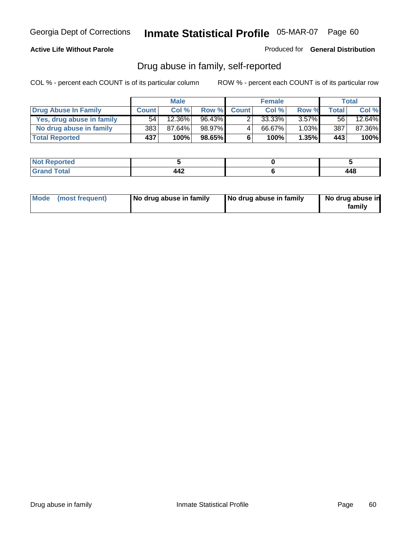### **Active Life Without Parole**

Produced for **General Distribution**

### Drug abuse in family, self-reported

|                           | <b>Male</b>  |                      | <b>Female</b> |              |        | <b>Total</b> |       |        |
|---------------------------|--------------|----------------------|---------------|--------------|--------|--------------|-------|--------|
| Drug Abuse In Family      | <b>Count</b> | Col %                | Row %         | <b>Count</b> | Col %  | Row %        | Total | Col %  |
| Yes, drug abuse in family | 54           | $12.\overline{36\%}$ | 96.43%        |              | 33.33% | $3.57\%$     | 56    | 12.64% |
| No drug abuse in family   | 383          | 87.64%               | 98.97%        | 4            | 66.67% | $1.03\%$     | 387   | 87.36% |
| <b>Total Reported</b>     | 437          | 100%                 | 98.65%        | 6            | 100%   | 1.35%        | 443   | 100%   |

| rted<br><b>NOT</b>              |     |            |
|---------------------------------|-----|------------|
| $\sim$<br><b>COMMAND</b><br>--- | ┱┱┻ | л с<br>440 |

|  | Mode (most frequent) | No drug abuse in family | No drug abuse in family | No drug abuse in<br>family |
|--|----------------------|-------------------------|-------------------------|----------------------------|
|--|----------------------|-------------------------|-------------------------|----------------------------|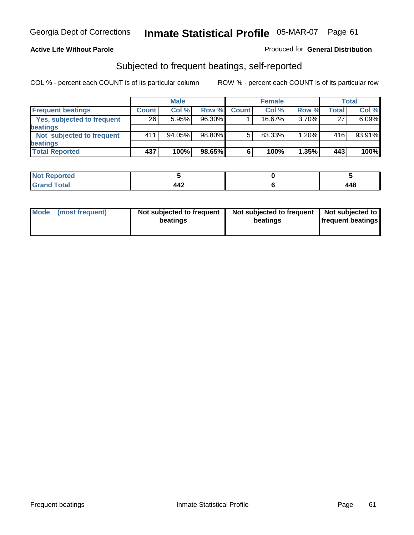#### **Active Life Without Parole**

#### Produced for **General Distribution**

### Subjected to frequent beatings, self-reported

|                            |              | <b>Male</b> |        |              | <b>Female</b> |       |       | <b>Total</b> |
|----------------------------|--------------|-------------|--------|--------------|---------------|-------|-------|--------------|
| <b>Frequent beatings</b>   | <b>Count</b> | Col%        | Row %  | <b>Count</b> | Col%          | Row % | Total | Col %        |
| Yes, subjected to frequent | 26           | 5.95%       | 96.30% |              | $16.67\%$     | 3.70% | 27    | 6.09%        |
| beatings                   |              |             |        |              |               |       |       |              |
| Not subjected to frequent  | 411          | 94.05%      | 98.80% | 5            | 83.33%        | 1.20% | 416   | 93.91%       |
| beatings                   |              |             |        |              |               |       |       |              |
| <b>Total Reported</b>      | 437          | 100%        | 98.65% | 6            | 100%          | 1.35% | 443   | 100%         |

| <b>Contractor</b><br>rtea<br>N<br>$\cdots$<br>. |                        |       |
|-------------------------------------------------|------------------------|-------|
| Cotal                                           | $\overline{ }$<br>44 Z | 1 A O |

| Mode<br>(most frequent) | beatings | Not subjected to frequent | Not subjected to frequent<br>beatings | Not subjected to<br><b>frequent beatings</b> |
|-------------------------|----------|---------------------------|---------------------------------------|----------------------------------------------|
|                         |          |                           |                                       |                                              |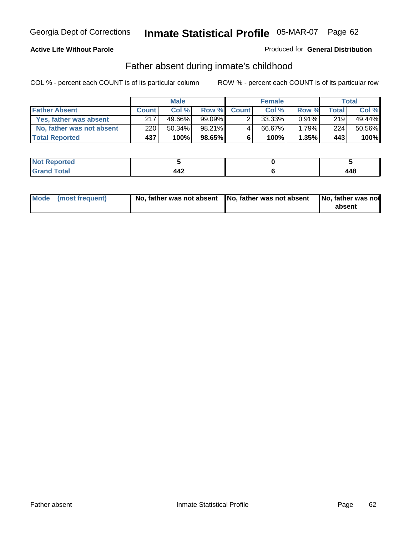### **Active Life Without Parole**

#### Produced for **General Distribution**

### Father absent during inmate's childhood

|                           | <b>Male</b>  |        |           |              | <b>Female</b> | Total    |       |        |
|---------------------------|--------------|--------|-----------|--------------|---------------|----------|-------|--------|
| <b>Father Absent</b>      | <b>Count</b> | Col%   | Row %     | <b>Count</b> | Col %         | Row %    | Total | Col %  |
| Yes, father was absent    | 217          | 49.66% |           |              | 33.33%        | $0.91\%$ | 219   | 49.44% |
| No, father was not absent | 220          | 50.34% | 98.21%    | 4            | 66.67%        | $1.79\%$ | 224   | 50.56% |
| <b>Total Reported</b>     | 437          | 100%   | $98.65\%$ | 6            | 100%          | $1.35\%$ | 443   | 100%   |

| <b>Not Reported</b> |          |     |
|---------------------|----------|-----|
| intal<br>Gran       | .<br>$-$ | 440 |

| Mode (most frequent) |  | 「No, father was not absent ┃No, father was not absent ┃No, father was not | absent |
|----------------------|--|---------------------------------------------------------------------------|--------|
|----------------------|--|---------------------------------------------------------------------------|--------|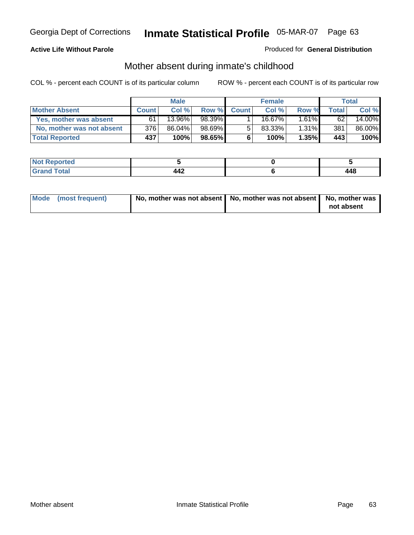### **Active Life Without Parole**

#### Produced for **General Distribution**

# Mother absent during inmate's childhood

|                           | <b>Male</b>  |        |           |              | <b>Female</b> | Total    |       |        |
|---------------------------|--------------|--------|-----------|--------------|---------------|----------|-------|--------|
| <b>Mother Absent</b>      | <b>Count</b> | Col %  | Row %     | <b>Count</b> | Col %         | Row %    | Total | Col %  |
| Yes, mother was absent    | 61           | 13.96% | 98.39%    |              | $16.67\%$     | $1.61\%$ | 62    | 14.00% |
| No, mother was not absent | 3761         | 86.04% | 98.69%    | 5            | $83.33\%$     | $1.31\%$ | 381   | 86.00% |
| <b>Total Reported</b>     | 437          | 100%   | $98.65\%$ | 6            | 100%          | $1.35\%$ | 443   | 100%   |

| <b>Reported</b><br><b>NOL</b> |     |        |
|-------------------------------|-----|--------|
| $f$ ota $'$                   | .   | I A C  |
|                               | 77A | $\sim$ |

| Mode (most frequent) | No, mother was not absent   No, mother was not absent   No, mother was | not absent |
|----------------------|------------------------------------------------------------------------|------------|
|----------------------|------------------------------------------------------------------------|------------|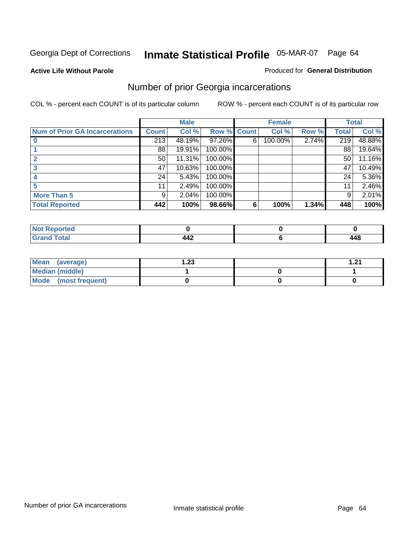#### **Active Life Without Parole**

#### Produced for **General Distribution**

### Number of prior Georgia incarcerations

|                                | <b>Male</b>  |        |         |              | <b>Female</b> | <b>Total</b> |       |        |
|--------------------------------|--------------|--------|---------|--------------|---------------|--------------|-------|--------|
| Num of Prior GA Incarcerations | <b>Count</b> | Col %  | Row %   | <b>Count</b> | Col %         | Row %        | Total | Col %  |
|                                | 213          | 48.19% | 97.26%  | 6            | 100.00%       | 2.74%        | 219   | 48.88% |
|                                | 88           | 19.91% | 100.00% |              |               |              | 88    | 19.64% |
|                                | 50           | 11.31% | 100.00% |              |               |              | 50    | 11.16% |
|                                | 47           | 10.63% | 100.00% |              |               |              | 47    | 10.49% |
|                                | 24           | 5.43%  | 100.00% |              |               |              | 24    | 5.36%  |
|                                | 11           | 2.49%  | 100.00% |              |               |              | 11    | 2.46%  |
| <b>More Than 5</b>             | 9            | 2.04%  | 100.00% |              |               |              | 9     | 2.01%  |
| <b>Total Reported</b>          | 442          | 100%   | 98.66%  | 6            | 100%          | 1.34%        | 448   | 100%   |

| Reported<br>NG |      |                                  |
|----------------|------|----------------------------------|
| ______         | TTA. | $\overline{A}$<br>44 U<br>$\sim$ |

| Mean (average)       | ົາາ<br>I.ZJ | ີ |
|----------------------|-------------|---|
| Median (middle)      |             |   |
| Mode (most frequent) |             |   |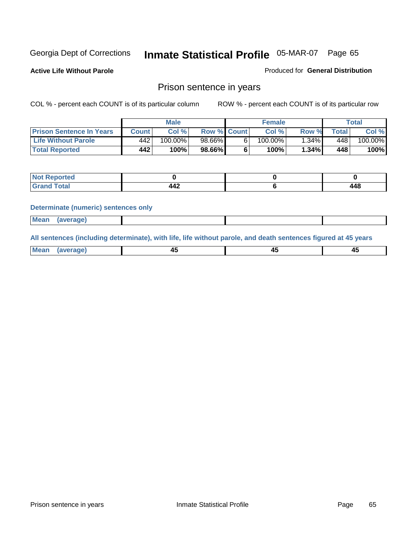**Active Life Without Parole** 

Produced for **General Distribution**

### Prison sentence in years

COL % - percent each COUNT is of its particular column ROW % - percent each COUNT is of its particular row

|                                 | <b>Male</b> |            |                    | <b>Female</b> | Total   |                          |         |
|---------------------------------|-------------|------------|--------------------|---------------|---------|--------------------------|---------|
| <b>Prison Sentence In Years</b> | Count       | Col %      | <b>Row % Count</b> | Col %         | Row %   | $\mathsf{Total}_{\perp}$ | Col %   |
| <b>Life Without Parole</b>      | 442         | $100.00\%$ | 98.66%             | 100.00%       | $.34\%$ | 448'                     | 100.00% |
| <b>Total Reported</b>           | 442         | 100%       | 98.66%             | 100%          | 1.34%   | 448                      | 100%    |

| <b>eported</b>                   |                  |     |
|----------------------------------|------------------|-----|
| <b>Total</b><br>$\mathbf{v}$ and | $\Lambda$<br>44Z | 448 |

#### **Determinate (numeric) sentences only**

| <b>Mean</b> | (average) |  |  |
|-------------|-----------|--|--|

**All sentences (including determinate), with life, life without parole, and death sentences figured at 45 years**

| Me:<br>апет<br>.<br>᠇<br>$\sim$ | -- | т.<br>$\sim$ |
|---------------------------------|----|--------------|
|---------------------------------|----|--------------|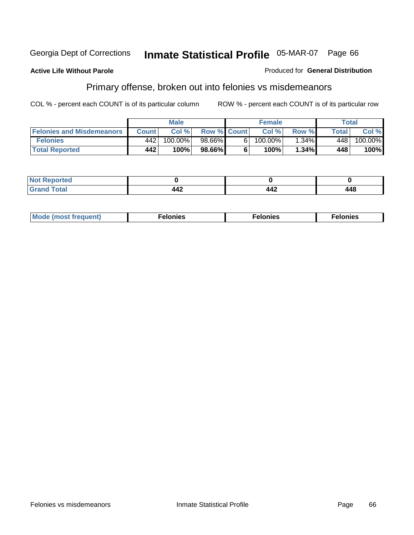### **Active Life Without Parole**

#### Produced for **General Distribution**

# Primary offense, broken out into felonies vs misdemeanors

|                                  | <b>Male</b>  |         |                    | <b>Female</b> |            |          | Total  |         |
|----------------------------------|--------------|---------|--------------------|---------------|------------|----------|--------|---------|
| <b>Felonies and Misdemeanors</b> | <b>Count</b> | Col%    | <b>Row % Count</b> |               | Col%       | Row %    | Total. | Col %   |
| <b>Felonies</b>                  | 442          | 100.00% | 98.66%             | 61            | $100.00\%$ | $1.34\%$ | 448    | 100.00% |
| <b>Total Reported</b>            | 442          | 100%    | $98.66\%$          |               | 100%       | .34%     | 448    | 100%    |

| <b>Not</b><br>$\gamma$ rted<br>$\sim$ |                              |                 |     |
|---------------------------------------|------------------------------|-----------------|-----|
| $int^{\bullet}$<br>Gran<br>$\sim$ .   | $\overline{ }$<br>. .<br>44£ | $\bm{M}$<br>44£ | 448 |

| M<br>$\cdots$<br>пю.<br>. | nies<br>. | . |
|---------------------------|-----------|---|
|---------------------------|-----------|---|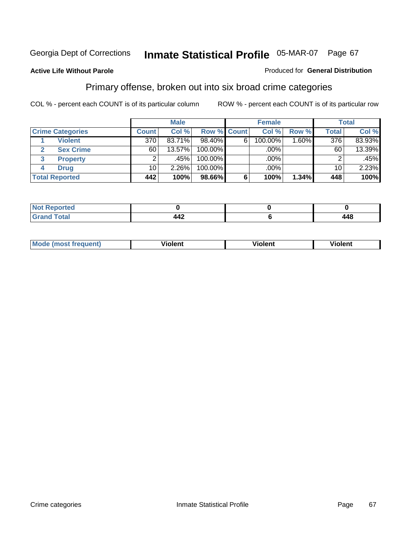#### **Active Life Without Parole**

#### Produced for **General Distribution**

### Primary offense, broken out into six broad crime categories

|                         | <b>Male</b>     |        |             | <b>Female</b> |         |         | Total           |        |
|-------------------------|-----------------|--------|-------------|---------------|---------|---------|-----------------|--------|
| <b>Crime Categories</b> | <b>Count</b>    | Col %  | Row % Count |               | Col %   | Row %   | <b>Total</b>    | Col %  |
| <b>Violent</b>          | 370             | 83.71% | 98.40%      | 6             | 100.00% | 1.60% I | 376             | 83.93% |
| <b>Sex Crime</b><br>2   | 60 <sub>1</sub> | 13.57% | 100.00%     |               | .00%    |         | 60              | 13.39% |
| 3<br><b>Property</b>    | 2               | .45%   | 100.00%     |               | .00%    |         |                 | .45%   |
| <b>Drug</b><br>4        | 10              | 2.26%  | 100.00%     |               | .00%    |         | 10 <sup>1</sup> | 2.23%  |
| <b>Total Reported</b>   | 442             | 100%   | 98.66%      | 6             | 100%    | 1.34%   | 448             | 100%   |

| ____ | $\overline{\phantom{a}}$<br>77A | 1 A S<br>гт.<br>$\sim$ |
|------|---------------------------------|------------------------|

| <b>Mode</b><br>frequent)<br>ns | .<br>Violent | --<br><b>Violent</b> | - -<br><b>olent</b> |
|--------------------------------|--------------|----------------------|---------------------|
|                                |              |                      |                     |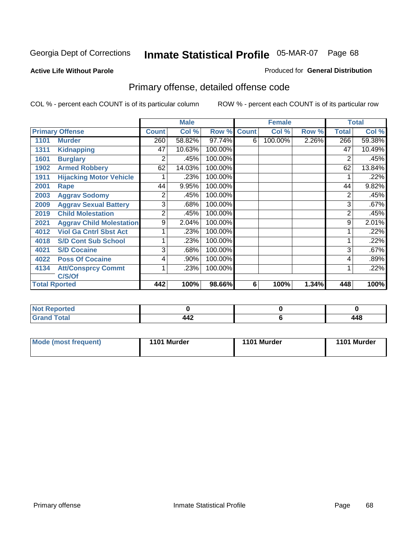#### **Active Life Without Parole**

#### Produced for **General Distribution**

# Primary offense, detailed offense code

|      |                                 |                | <b>Male</b> |             |   | <b>Female</b> |       |                | <b>Total</b> |
|------|---------------------------------|----------------|-------------|-------------|---|---------------|-------|----------------|--------------|
|      | <b>Primary Offense</b>          | <b>Count</b>   | Col %       | Row % Count |   | Col %         | Row % | <b>Total</b>   | Col %        |
| 1101 | <b>Murder</b>                   | 260            | 58.82%      | 97.74%      | 6 | 100.00%       | 2.26% | 266            | 59.38%       |
| 1311 | <b>Kidnapping</b>               | 47             | 10.63%      | 100.00%     |   |               |       | 47             | 10.49%       |
| 1601 | <b>Burglary</b>                 | 2              | .45%        | 100.00%     |   |               |       | 2              | .45%         |
| 1902 | <b>Armed Robbery</b>            | 62             | 14.03%      | 100.00%     |   |               |       | 62             | 13.84%       |
| 1911 | <b>Hijacking Motor Vehicle</b>  |                | .23%        | 100.00%     |   |               |       |                | .22%         |
| 2001 | Rape                            | 44             | 9.95%       | 100.00%     |   |               |       | 44             | 9.82%        |
| 2003 | <b>Aggrav Sodomy</b>            | 2              | .45%        | 100.00%     |   |               |       | $\overline{2}$ | .45%         |
| 2009 | <b>Aggrav Sexual Battery</b>    | 3              | .68%        | 100.00%     |   |               |       | 3              | .67%         |
| 2019 | <b>Child Molestation</b>        | $\overline{2}$ | .45%        | 100.00%     |   |               |       | 2              | .45%         |
| 2021 | <b>Aggrav Child Molestation</b> | 9              | 2.04%       | 100.00%     |   |               |       | 9              | 2.01%        |
| 4012 | <b>Viol Ga Cntrl Sbst Act</b>   |                | .23%        | 100.00%     |   |               |       |                | .22%         |
| 4018 | <b>S/D Cont Sub School</b>      |                | .23%        | 100.00%     |   |               |       |                | .22%         |
| 4021 | <b>S/D Cocaine</b>              | 3              | .68%        | 100.00%     |   |               |       | 3              | .67%         |
| 4022 | <b>Poss Of Cocaine</b>          | 4              | .90%        | 100.00%     |   |               |       | 4              | .89%         |
| 4134 | <b>Att/Consprcy Commt</b>       | 1              | .23%        | 100.00%     |   |               |       |                | .22%         |
|      | C/S/Of                          |                |             |             |   |               |       |                |              |
|      | <b>Total Rported</b>            | 442            | 100%        | 98.66%      | 6 | 100%          | 1.34% | 448            | 100%         |

| rted                     |     |     |
|--------------------------|-----|-----|
| <b>Total</b><br>$\sim$ . | 442 | 448 |

| Mode (most frequent) | 1101 Murder | 1101 Murder | 1101 Murder |
|----------------------|-------------|-------------|-------------|
|                      |             |             |             |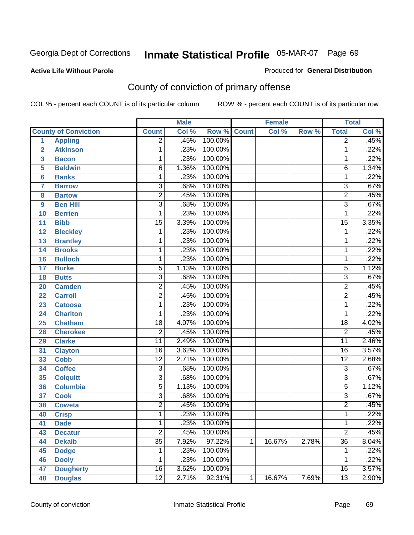**Active Life Without Parole** 

Produced for **General Distribution**

# County of conviction of primary offense

|                 |                             | <b>Male</b>     |       | <b>Female</b>      |   |        | <b>Total</b> |                 |       |
|-----------------|-----------------------------|-----------------|-------|--------------------|---|--------|--------------|-----------------|-------|
|                 | <b>County of Conviction</b> | <b>Count</b>    | Col % | <b>Row % Count</b> |   | Col %  | Row %        | <b>Total</b>    | Col % |
| 1               | <b>Appling</b>              | $\overline{2}$  | .45%  | 100.00%            |   |        |              | $\overline{2}$  | .45%  |
| $\overline{2}$  | <b>Atkinson</b>             | 1               | .23%  | 100.00%            |   |        |              | 1               | .22%  |
| 3               | <b>Bacon</b>                | $\mathbf{1}$    | .23%  | 100.00%            |   |        |              | 1               | .22%  |
| 5               | <b>Baldwin</b>              | $\overline{6}$  | 1.36% | 100.00%            |   |        |              | 6               | 1.34% |
| 6               | <b>Banks</b>                | 1               | .23%  | 100.00%            |   |        |              | $\mathbf{1}$    | .22%  |
| $\overline{7}$  | <b>Barrow</b>               | 3               | .68%  | 100.00%            |   |        |              | $\overline{3}$  | .67%  |
| 8               | <b>Bartow</b>               | $\overline{2}$  | .45%  | 100.00%            |   |        |              | $\overline{2}$  | .45%  |
| 9               | <b>Ben Hill</b>             | $\overline{3}$  | .68%  | 100.00%            |   |        |              | $\overline{3}$  | .67%  |
| 10              | <b>Berrien</b>              | 1               | .23%  | 100.00%            |   |        |              | 1               | .22%  |
| 11              | <b>Bibb</b>                 | $\overline{15}$ | 3.39% | 100.00%            |   |        |              | $\overline{15}$ | 3.35% |
| 12              | <b>Bleckley</b>             | 1               | .23%  | 100.00%            |   |        |              | 1               | .22%  |
| 13              | <b>Brantley</b>             | 1               | .23%  | 100.00%            |   |        |              | 1               | .22%  |
| $\overline{14}$ | <b>Brooks</b>               | 1               | .23%  | 100.00%            |   |        |              | $\mathbf{1}$    | .22%  |
| 16              | <b>Bulloch</b>              | 1               | .23%  | 100.00%            |   |        |              | 1               | .22%  |
| 17              | <b>Burke</b>                | $\overline{5}$  | 1.13% | 100.00%            |   |        |              | $\overline{5}$  | 1.12% |
| 18              | <b>Butts</b>                | 3               | .68%  | 100.00%            |   |        |              | $\overline{3}$  | .67%  |
| 20              | <b>Camden</b>               | $\overline{2}$  | .45%  | 100.00%            |   |        |              | $\overline{2}$  | .45%  |
| 22              | <b>Carroll</b>              | $\overline{2}$  | .45%  | 100.00%            |   |        |              | $\overline{2}$  | .45%  |
| 23              | <b>Catoosa</b>              | 1               | .23%  | 100.00%            |   |        |              | $\mathbf{1}$    | .22%  |
| 24              | <b>Charlton</b>             | 1               | .23%  | 100.00%            |   |        |              | 1               | .22%  |
| 25              | <b>Chatham</b>              | $\overline{18}$ | 4.07% | 100.00%            |   |        |              | $\overline{18}$ | 4.02% |
| 28              | <b>Cherokee</b>             | $\overline{2}$  | .45%  | 100.00%            |   |        |              | $\overline{2}$  | .45%  |
| 29              | <b>Clarke</b>               | $\overline{11}$ | 2.49% | 100.00%            |   |        |              | $\overline{11}$ | 2.46% |
| 31              | <b>Clayton</b>              | 16              | 3.62% | 100.00%            |   |        |              | 16              | 3.57% |
| 33              | Cobb                        | $\overline{12}$ | 2.71% | 100.00%            |   |        |              | $\overline{12}$ | 2.68% |
| 34              | <b>Coffee</b>               | 3               | .68%  | 100.00%            |   |        |              | 3               | .67%  |
| 35              | <b>Colquitt</b>             | $\overline{3}$  | .68%  | 100.00%            |   |        |              | $\overline{3}$  | .67%  |
| 36              | <b>Columbia</b>             | $\overline{5}$  | 1.13% | 100.00%            |   |        |              | $\overline{5}$  | 1.12% |
| 37              | <b>Cook</b>                 | $\overline{3}$  | .68%  | 100.00%            |   |        |              | $\overline{3}$  | .67%  |
| 38              | <b>Coweta</b>               | $\overline{2}$  | .45%  | 100.00%            |   |        |              | $\overline{2}$  | .45%  |
| 40              | <b>Crisp</b>                | 1               | .23%  | 100.00%            |   |        |              | $\mathbf{1}$    | .22%  |
| 41              | <b>Dade</b>                 | 1               | .23%  | 100.00%            |   |        |              | 1               | .22%  |
| 43              | <b>Decatur</b>              | $\overline{2}$  | .45%  | 100.00%            |   |        |              | $\overline{2}$  | .45%  |
| 44              | <b>Dekalb</b>               | $\overline{35}$ | 7.92% | 97.22%             | 1 | 16.67% | 2.78%        | $\overline{36}$ | 8.04% |
| 45              | <b>Dodge</b>                | 1               | .23%  | 100.00%            |   |        |              | 1               | .22%  |
| 46              | <b>Dooly</b>                | 1               | .23%  | 100.00%            |   |        |              | 1               | .22%  |
| 47              | <b>Dougherty</b>            | $\overline{16}$ | 3.62% | 100.00%            |   |        |              | 16              | 3.57% |
| 48              | <b>Douglas</b>              | 12              | 2.71% | 92.31%             | 1 | 16.67% | 7.69%        | $\overline{13}$ | 2.90% |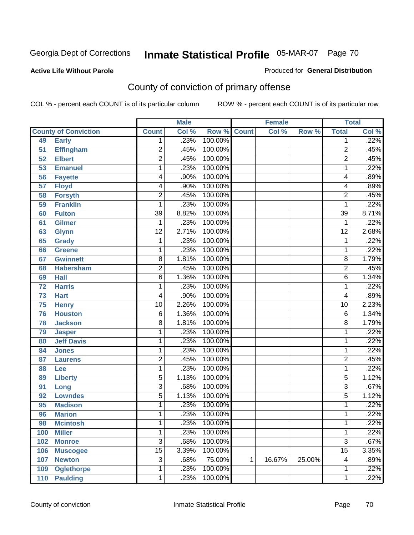### **Active Life Without Parole**

#### Produced for **General Distribution**

# County of conviction of primary offense

|     |                             | <b>Male</b>     |       | <b>Female</b>      |   |        | <b>Total</b> |                 |       |
|-----|-----------------------------|-----------------|-------|--------------------|---|--------|--------------|-----------------|-------|
|     | <b>County of Conviction</b> | <b>Count</b>    | Col % | <b>Row % Count</b> |   | Col %  | Row %        | <b>Total</b>    | Col % |
| 49  | <b>Early</b>                | 1               | .23%  | 100.00%            |   |        |              | 1               | .22%  |
| 51  | <b>Effingham</b>            | $\overline{2}$  | .45%  | 100.00%            |   |        |              | $\overline{2}$  | .45%  |
| 52  | <b>Elbert</b>               | $\overline{2}$  | .45%  | 100.00%            |   |        |              | $\overline{2}$  | .45%  |
| 53  | <b>Emanuel</b>              | 1               | .23%  | 100.00%            |   |        |              | 1               | .22%  |
| 56  | <b>Fayette</b>              | 4               | .90%  | 100.00%            |   |        |              | 4               | .89%  |
| 57  | <b>Floyd</b>                | 4               | .90%  | 100.00%            |   |        |              | 4               | .89%  |
| 58  | <b>Forsyth</b>              | $\overline{2}$  | .45%  | 100.00%            |   |        |              | $\overline{2}$  | .45%  |
| 59  | <b>Franklin</b>             | 1               | .23%  | 100.00%            |   |        |              | 1               | .22%  |
| 60  | <b>Fulton</b>               | $\overline{39}$ | 8.82% | 100.00%            |   |        |              | $\overline{39}$ | 8.71% |
| 61  | <b>Gilmer</b>               | 1               | .23%  | 100.00%            |   |        |              | 1               | .22%  |
| 63  | <b>Glynn</b>                | $\overline{12}$ | 2.71% | 100.00%            |   |        |              | $\overline{12}$ | 2.68% |
| 65  | <b>Grady</b>                | 1               | .23%  | 100.00%            |   |        |              | 1               | .22%  |
| 66  | Greene                      | 1               | .23%  | 100.00%            |   |        |              | 1               | .22%  |
| 67  | <b>Gwinnett</b>             | $\overline{8}$  | 1.81% | 100.00%            |   |        |              | 8               | 1.79% |
| 68  | <b>Habersham</b>            | $\overline{2}$  | .45%  | 100.00%            |   |        |              | $\overline{2}$  | .45%  |
| 69  | <b>Hall</b>                 | $\overline{6}$  | 1.36% | 100.00%            |   |        |              | 6               | 1.34% |
| 72  | <b>Harris</b>               | 1               | .23%  | 100.00%            |   |        |              | 1               | .22%  |
| 73  | <b>Hart</b>                 | 4               | .90%  | 100.00%            |   |        |              | 4               | .89%  |
| 75  | <b>Henry</b>                | $\overline{10}$ | 2.26% | 100.00%            |   |        |              | 10              | 2.23% |
| 76  | <b>Houston</b>              | $\,6$           | 1.36% | 100.00%            |   |        |              | 6               | 1.34% |
| 78  | <b>Jackson</b>              | $\overline{8}$  | 1.81% | 100.00%            |   |        |              | 8               | 1.79% |
| 79  | <b>Jasper</b>               | 1               | .23%  | 100.00%            |   |        |              | 1               | .22%  |
| 80  | <b>Jeff Davis</b>           | 1               | .23%  | 100.00%            |   |        |              | 1               | .22%  |
| 84  | <b>Jones</b>                | 1               | .23%  | 100.00%            |   |        |              | 1               | .22%  |
| 87  | <b>Laurens</b>              | $\overline{2}$  | .45%  | 100.00%            |   |        |              | 2               | .45%  |
| 88  | Lee                         | 1               | .23%  | 100.00%            |   |        |              | 1               | .22%  |
| 89  | <b>Liberty</b>              | $\overline{5}$  | 1.13% | 100.00%            |   |        |              | 5               | 1.12% |
| 91  | Long                        | $\overline{3}$  | .68%  | 100.00%            |   |        |              | $\overline{3}$  | .67%  |
| 92  | <b>Lowndes</b>              | $\overline{5}$  | 1.13% | 100.00%            |   |        |              | 5               | 1.12% |
| 95  | <b>Madison</b>              | 1               | .23%  | 100.00%            |   |        |              | 1               | .22%  |
| 96  | <b>Marion</b>               | 1               | .23%  | 100.00%            |   |        |              | 1               | .22%  |
| 98  | <b>Mcintosh</b>             | 1               | .23%  | 100.00%            |   |        |              | 1               | .22%  |
| 100 | <b>Miller</b>               | 1               | .23%  | 100.00%            |   |        |              | 1               | .22%  |
| 102 | <b>Monroe</b>               | $\overline{3}$  | .68%  | 100.00%            |   |        |              | $\overline{3}$  | .67%  |
| 106 | <b>Muscogee</b>             | $\overline{15}$ | 3.39% | 100.00%            |   |        |              | $\overline{15}$ | 3.35% |
| 107 | <b>Newton</b>               | $\overline{3}$  | .68%  | 75.00%             | 1 | 16.67% | 25.00%       | 4               | .89%  |
| 109 | <b>Oglethorpe</b>           | 1               | .23%  | 100.00%            |   |        |              | 1               | .22%  |
| 110 | <b>Paulding</b>             | $\mathbf 1$     | .23%  | 100.00%            |   |        |              | 1               | .22%  |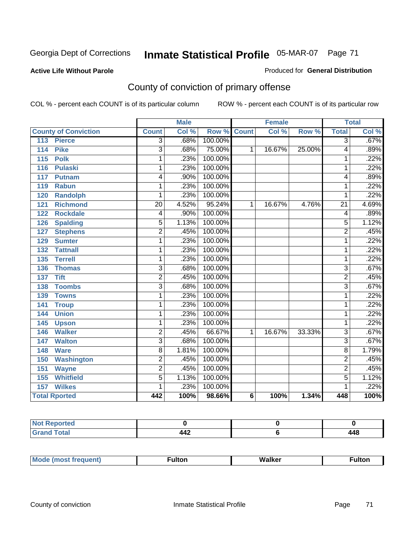#### **Active Life Without Parole**

#### Produced for **General Distribution**

# County of conviction of primary offense

|                                     | <b>Male</b>     |       |                    | <b>Female</b> |        |        | <b>Total</b>    |       |
|-------------------------------------|-----------------|-------|--------------------|---------------|--------|--------|-----------------|-------|
| <b>County of Conviction</b>         | <b>Count</b>    | Col % | <b>Row % Count</b> |               | Col %  | Row %  | <b>Total</b>    | Col % |
| 113<br><b>Pierce</b>                | $\overline{3}$  | .68%  | 100.00%            |               |        |        | 3               | .67%  |
| <b>Pike</b><br>114                  | $\overline{3}$  | .68%  | 75.00%             | 1             | 16.67% | 25.00% | 4               | .89%  |
| $\overline{115}$<br><b>Polk</b>     | 1               | .23%  | 100.00%            |               |        |        | 1               | .22%  |
| <b>Pulaski</b><br>116               | 1               | .23%  | 100.00%            |               |        |        | 1               | .22%  |
| 117<br>Putnam                       | 4               | .90%  | 100.00%            |               |        |        | 4               | .89%  |
| <b>Rabun</b><br>119                 | 1               | .23%  | 100.00%            |               |        |        | 1               | .22%  |
| 120<br><b>Randolph</b>              | 1               | .23%  | 100.00%            |               |        |        | 1               | .22%  |
| <b>Richmond</b><br>121              | $\overline{20}$ | 4.52% | 95.24%             | 1             | 16.67% | 4.76%  | $\overline{21}$ | 4.69% |
| <b>Rockdale</b><br>122              | 4               | .90%  | 100.00%            |               |        |        | 4               | .89%  |
| <b>Spalding</b><br>126              | 5               | 1.13% | 100.00%            |               |        |        | 5               | 1.12% |
| <b>Stephens</b><br>127              | $\overline{2}$  | .45%  | 100.00%            |               |        |        | $\overline{2}$  | .45%  |
| <b>Sumter</b><br>129                | 1               | .23%  | 100.00%            |               |        |        | 1               | .22%  |
| $\overline{132}$<br><b>Tattnall</b> | 1               | .23%  | 100.00%            |               |        |        | 1               | .22%  |
| <b>Terrell</b><br>135               | 1               | .23%  | 100.00%            |               |        |        | 1               | .22%  |
| <b>Thomas</b><br>136                | 3               | .68%  | 100.00%            |               |        |        | 3               | .67%  |
| <b>Tift</b><br>137                  | $\overline{2}$  | .45%  | 100.00%            |               |        |        | $\overline{2}$  | .45%  |
| <b>Toombs</b><br>138                | $\overline{3}$  | .68%  | 100.00%            |               |        |        | $\overline{3}$  | .67%  |
| 139<br><b>Towns</b>                 | 1               | .23%  | 100.00%            |               |        |        | 1               | .22%  |
| 141<br><b>Troup</b>                 | 1               | .23%  | 100.00%            |               |        |        | 1               | .22%  |
| 144<br><b>Union</b>                 | 1               | .23%  | 100.00%            |               |        |        | 1               | .22%  |
| 145<br><b>Upson</b>                 | 1               | .23%  | 100.00%            |               |        |        | 1               | .22%  |
| <b>Walker</b><br>146                | $\overline{2}$  | .45%  | 66.67%             | 1             | 16.67% | 33.33% | $\overline{3}$  | .67%  |
| 147<br><b>Walton</b>                | $\overline{3}$  | .68%  | 100.00%            |               |        |        | $\overline{3}$  | .67%  |
| 148<br><b>Ware</b>                  | $\overline{8}$  | 1.81% | 100.00%            |               |        |        | $\overline{8}$  | 1.79% |
| <b>Washington</b><br>150            | $\overline{2}$  | .45%  | 100.00%            |               |        |        | $\overline{2}$  | .45%  |
| 151<br><b>Wayne</b>                 | $\overline{2}$  | .45%  | 100.00%            |               |        |        | $\overline{2}$  | .45%  |
| <b>Whitfield</b><br>155             | $\overline{5}$  | 1.13% | 100.00%            |               |        |        | $\overline{5}$  | 1.12% |
| <b>Wilkes</b><br>157                | 1               | .23%  | 100.00%            |               |        |        | 1               | .22%  |
| <b>Total Rported</b>                | 442             | 100%  | 98.66%             | 6             | 100%   | 1.34%  | 448             | 100%  |

| ported<br>N     |     |                            |
|-----------------|-----|----------------------------|
| $int^{\bullet}$ | 442 | <i>AA</i> P<br>ャーマ<br>$ -$ |

| M | W۰ | .<br>ш |
|---|----|--------|
|   |    |        |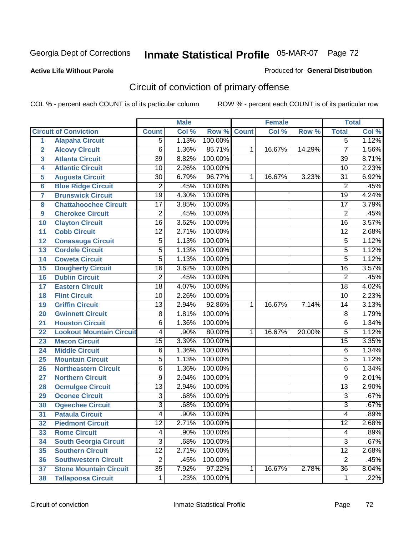#### **Active Life Without Parole**

### Produced for **General Distribution**

# Circuit of conviction of primary offense

|                         |                                 | <b>Male</b>     |       | <b>Female</b> |              |        | <b>Total</b> |                 |       |
|-------------------------|---------------------------------|-----------------|-------|---------------|--------------|--------|--------------|-----------------|-------|
|                         | <b>Circuit of Conviction</b>    | <b>Count</b>    | Col % | Row %         | <b>Count</b> | Col %  | Row %        | <b>Total</b>    | Col % |
| 1                       | <b>Alapaha Circuit</b>          | $\overline{5}$  | 1.13% | 100.00%       |              |        |              | $\overline{5}$  | 1.12% |
| $\overline{2}$          | <b>Alcovy Circuit</b>           | $\overline{6}$  | 1.36% | 85.71%        | 1            | 16.67% | 14.29%       | $\overline{7}$  | 1.56% |
| $\overline{\mathbf{3}}$ | <b>Atlanta Circuit</b>          | $\overline{39}$ | 8.82% | 100.00%       |              |        |              | 39              | 8.71% |
| 4                       | <b>Atlantic Circuit</b>         | $\overline{10}$ | 2.26% | 100.00%       |              |        |              | 10              | 2.23% |
| 5                       | <b>Augusta Circuit</b>          | $\overline{30}$ | 6.79% | 96.77%        | 1            | 16.67% | 3.23%        | 31              | 6.92% |
| $6\phantom{a}$          | <b>Blue Ridge Circuit</b>       | $\overline{2}$  | .45%  | 100.00%       |              |        |              | $\overline{2}$  | .45%  |
| $\overline{7}$          | <b>Brunswick Circuit</b>        | $\overline{19}$ | 4.30% | 100.00%       |              |        |              | $\overline{19}$ | 4.24% |
| 8                       | <b>Chattahoochee Circuit</b>    | $\overline{17}$ | 3.85% | 100.00%       |              |        |              | $\overline{17}$ | 3.79% |
| 9                       | <b>Cherokee Circuit</b>         | $\overline{2}$  | .45%  | 100.00%       |              |        |              | $\overline{2}$  | .45%  |
| 10                      | <b>Clayton Circuit</b>          | $\overline{16}$ | 3.62% | 100.00%       |              |        |              | $\overline{16}$ | 3.57% |
| 11                      | <b>Cobb Circuit</b>             | $\overline{12}$ | 2.71% | 100.00%       |              |        |              | $\overline{12}$ | 2.68% |
| 12                      | <b>Conasauga Circuit</b>        | $\overline{5}$  | 1.13% | 100.00%       |              |        |              | 5               | 1.12% |
| 13                      | <b>Cordele Circuit</b>          | $\overline{5}$  | 1.13% | 100.00%       |              |        |              | $\overline{5}$  | 1.12% |
| 14                      | <b>Coweta Circuit</b>           | $\overline{5}$  | 1.13% | 100.00%       |              |        |              | $\overline{5}$  | 1.12% |
| 15                      | <b>Dougherty Circuit</b>        | $\overline{16}$ | 3.62% | 100.00%       |              |        |              | $\overline{16}$ | 3.57% |
| 16                      | <b>Dublin Circuit</b>           | $\overline{2}$  | .45%  | 100.00%       |              |        |              | $\overline{2}$  | .45%  |
| 17                      | <b>Eastern Circuit</b>          | $\overline{18}$ | 4.07% | 100.00%       |              |        |              | 18              | 4.02% |
| 18                      | <b>Flint Circuit</b>            | $\overline{10}$ | 2.26% | 100.00%       |              |        |              | 10              | 2.23% |
| 19                      | <b>Griffin Circuit</b>          | $\overline{13}$ | 2.94% | 92.86%        | $\mathbf{1}$ | 16.67% | 7.14%        | 14              | 3.13% |
| 20                      | <b>Gwinnett Circuit</b>         | $\overline{8}$  | 1.81% | 100.00%       |              |        |              | 8               | 1.79% |
| 21                      | <b>Houston Circuit</b>          | 6               | 1.36% | 100.00%       |              |        |              | $\overline{6}$  | 1.34% |
| 22                      | <b>Lookout Mountain Circuit</b> | 4               | .90%  | 80.00%        | 1            | 16.67% | 20.00%       | $\overline{5}$  | 1.12% |
| 23                      | <b>Macon Circuit</b>            | $\overline{15}$ | 3.39% | 100.00%       |              |        |              | $\overline{15}$ | 3.35% |
| 24                      | <b>Middle Circuit</b>           | $\overline{6}$  | 1.36% | 100.00%       |              |        |              | 6               | 1.34% |
| 25                      | <b>Mountain Circuit</b>         | $\overline{5}$  | 1.13% | 100.00%       |              |        |              | 5               | 1.12% |
| 26                      | <b>Northeastern Circuit</b>     | 6               | 1.36% | 100.00%       |              |        |              | 6               | 1.34% |
| 27                      | <b>Northern Circuit</b>         | 9               | 2.04% | 100.00%       |              |        |              | 9               | 2.01% |
| 28                      | <b>Ocmulgee Circuit</b>         | $\overline{13}$ | 2.94% | 100.00%       |              |        |              | $\overline{13}$ | 2.90% |
| 29                      | <b>Oconee Circuit</b>           | $\overline{3}$  | .68%  | 100.00%       |              |        |              | $\overline{3}$  | .67%  |
| 30                      | <b>Ogeechee Circuit</b>         | $\overline{3}$  | .68%  | 100.00%       |              |        |              | $\overline{3}$  | .67%  |
| $\overline{31}$         | <b>Pataula Circuit</b>          | 4               | .90%  | 100.00%       |              |        |              | 4               | .89%  |
| 32                      | <b>Piedmont Circuit</b>         | 12              | 2.71% | 100.00%       |              |        |              | 12              | 2.68% |
| 33                      | <b>Rome Circuit</b>             | 4               | .90%  | 100.00%       |              |        |              | 4               | .89%  |
| 34                      | <b>South Georgia Circuit</b>    | $\overline{3}$  | .68%  | 100.00%       |              |        |              | $\overline{3}$  | .67%  |
| 35                      | <b>Southern Circuit</b>         | $\overline{12}$ | 2.71% | 100.00%       |              |        |              | $\overline{12}$ | 2.68% |
| 36                      | <b>Southwestern Circuit</b>     | $\overline{2}$  | .45%  | 100.00%       |              |        |              | $\overline{2}$  | .45%  |
| 37                      | <b>Stone Mountain Circuit</b>   | $\overline{35}$ | 7.92% | 97.22%        | 1            | 16.67% | 2.78%        | $\overline{36}$ | 8.04% |
| 38                      | <b>Tallapoosa Circuit</b>       | $\mathbf 1$     | .23%  | 100.00%       |              |        |              | 1               | .22%  |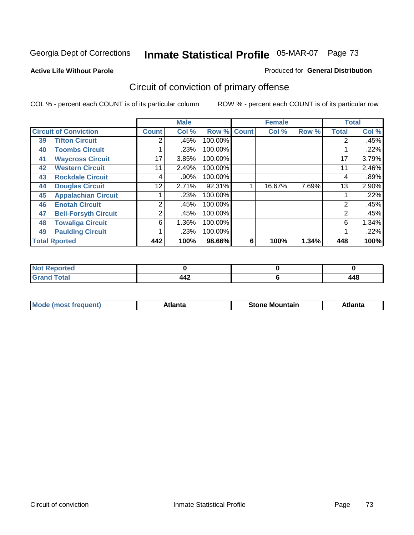#### **Active Life Without Parole**

#### Produced for **General Distribution**

# Circuit of conviction of primary offense

|    |                              |                | <b>Male</b> |         | <b>Female</b> |        |       | <b>Total</b> |       |
|----|------------------------------|----------------|-------------|---------|---------------|--------|-------|--------------|-------|
|    | <b>Circuit of Conviction</b> | <b>Count</b>   | Col %       | Row %   | <b>Count</b>  | Col %  | Row % | <b>Total</b> | Col % |
| 39 | <b>Tifton Circuit</b>        | 2              | $.45\%$     | 100.00% |               |        |       | 2            | .45%  |
| 40 | <b>Toombs Circuit</b>        |                | .23%        | 100.00% |               |        |       |              | .22%  |
| 41 | <b>Waycross Circuit</b>      | 17             | 3.85%       | 100.00% |               |        |       | 17           | 3.79% |
| 42 | <b>Western Circuit</b>       | 11             | 2.49%       | 100.00% |               |        |       | 11           | 2.46% |
| 43 | <b>Rockdale Circuit</b>      | 4              | .90%        | 100.00% |               |        |       | 4            | .89%  |
| 44 | <b>Douglas Circuit</b>       | 12             | 2.71%       | 92.31%  |               | 16.67% | 7.69% | 13           | 2.90% |
| 45 | <b>Appalachian Circuit</b>   |                | .23%        | 100.00% |               |        |       |              | .22%  |
| 46 | <b>Enotah Circuit</b>        | $\overline{2}$ | .45%        | 100.00% |               |        |       | 2            | .45%  |
| 47 | <b>Bell-Forsyth Circuit</b>  | 2              | .45%        | 100.00% |               |        |       | 2            | .45%  |
| 48 | <b>Towaliga Circuit</b>      | 6              | 1.36%       | 100.00% |               |        |       | 6            | 1.34% |
| 49 | <b>Paulding Circuit</b>      |                | .23%        | 100.00% |               |        |       |              | .22%  |
|    | <b>Total Rported</b>         | 442            | 100%        | 98.66%  | 6             | 100%   | 1.34% | 448          | 100%  |

| <b>Reported</b><br>' NOT |     |     |
|--------------------------|-----|-----|
| <b>Grand Total</b>       | 442 | 448 |

| M | *****<br>лш.<br>71 I C | Stone<br>Mountain | .<br>ulo |
|---|------------------------|-------------------|----------|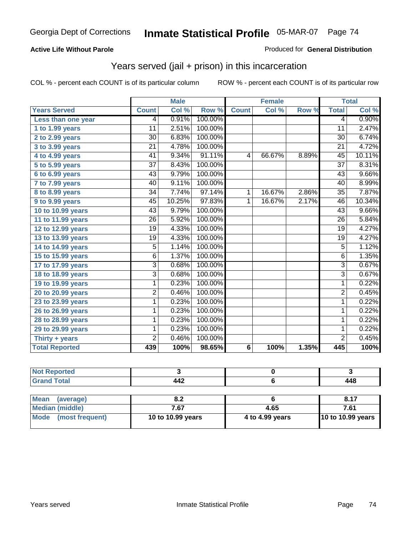### **Active Life Without Parole**

#### Produced for **General Distribution**

## Years served (jail + prison) in this incarceration

|                       |                 | <b>Male</b> |         |                 | <b>Female</b> |       | <b>Total</b>    |        |
|-----------------------|-----------------|-------------|---------|-----------------|---------------|-------|-----------------|--------|
| <b>Years Served</b>   | <b>Count</b>    | Col %       | Row %   | <b>Count</b>    | Col %         | Row % | <b>Total</b>    | Col %  |
| Less than one year    | 4               | 0.91%       | 100.00% |                 |               |       | 4               | 0.90%  |
| 1 to 1.99 years       | 11              | 2.51%       | 100.00% |                 |               |       | 11              | 2.47%  |
| 2 to 2.99 years       | $\overline{30}$ | 6.83%       | 100.00% |                 |               |       | 30              | 6.74%  |
| 3 to 3.99 years       | $\overline{21}$ | 4.78%       | 100.00% |                 |               |       | $\overline{21}$ | 4.72%  |
| 4 to 4.99 years       | 41              | 9.34%       | 91.11%  | 4               | 66.67%        | 8.89% | $\overline{45}$ | 10.11% |
| 5 to 5.99 years       | 37              | 8.43%       | 100.00% |                 |               |       | 37              | 8.31%  |
| 6 to 6.99 years       | 43              | 9.79%       | 100.00% |                 |               |       | 43              | 9.66%  |
| 7 to 7.99 years       | 40              | 9.11%       | 100.00% |                 |               |       | 40              | 8.99%  |
| 8 to 8.99 years       | 34              | 7.74%       | 97.14%  | 1               | 16.67%        | 2.86% | 35              | 7.87%  |
| 9 to 9.99 years       | 45              | 10.25%      | 97.83%  | 1               | 16.67%        | 2.17% | 46              | 10.34% |
| 10 to 10.99 years     | $\overline{43}$ | 9.79%       | 100.00% |                 |               |       | $\overline{43}$ | 9.66%  |
| 11 to 11.99 years     | 26              | 5.92%       | 100.00% |                 |               |       | 26              | 5.84%  |
| 12 to 12.99 years     | $\overline{19}$ | 4.33%       | 100.00% |                 |               |       | $\overline{19}$ | 4.27%  |
| 13 to 13.99 years     | $\overline{19}$ | 4.33%       | 100.00% |                 |               |       | $\overline{19}$ | 4.27%  |
| 14 to 14.99 years     | 5               | 1.14%       | 100.00% |                 |               |       | $\overline{5}$  | 1.12%  |
| 15 to 15.99 years     | $\overline{6}$  | 1.37%       | 100.00% |                 |               |       | $\overline{6}$  | 1.35%  |
| 17 to 17.99 years     | $\overline{3}$  | 0.68%       | 100.00% |                 |               |       | $\overline{3}$  | 0.67%  |
| 18 to 18.99 years     | $\overline{3}$  | 0.68%       | 100.00% |                 |               |       | 3               | 0.67%  |
| 19 to 19.99 years     | 1               | 0.23%       | 100.00% |                 |               |       | $\mathbf{1}$    | 0.22%  |
| 20 to 20.99 years     | $\overline{2}$  | 0.46%       | 100.00% |                 |               |       | $\overline{2}$  | 0.45%  |
| 23 to 23.99 years     | 1               | 0.23%       | 100.00% |                 |               |       | $\mathbf{1}$    | 0.22%  |
| 26 to 26.99 years     | 1               | 0.23%       | 100.00% |                 |               |       | 1               | 0.22%  |
| 28 to 28.99 years     | 1               | 0.23%       | 100.00% |                 |               |       | 1               | 0.22%  |
| 29 to 29.99 years     | 1               | 0.23%       | 100.00% |                 |               |       | 1               | 0.22%  |
| Thirty + years        | 2               | 0.46%       | 100.00% |                 |               |       | $\overline{2}$  | 0.45%  |
| <b>Total Reported</b> | 439             | 100%        | 98.65%  | $6\phantom{1}6$ | 100%          | 1.35% | 445             | 100%   |

| <b>Not Reported</b>            |                   |                 |                   |
|--------------------------------|-------------------|-----------------|-------------------|
| <b>Grand Total</b>             | 442               |                 | 448               |
|                                |                   |                 |                   |
| <b>Mean</b><br>(average)       | 8.2               |                 | 8.17              |
| Median (middle)                | 7.67              | 4.65            | 7.61              |
| <b>Mode</b><br>(most frequent) | 10 to 10.99 years | 4 to 4.99 years | 10 to 10.99 years |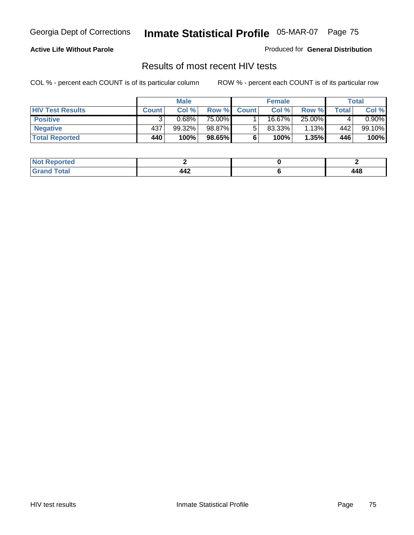### **Active Life Without Parole**

Produced for **General Distribution**

## Results of most recent HIV tests

|                         | <b>Male</b>  |        | <b>Female</b> |              |           | Total  |       |          |
|-------------------------|--------------|--------|---------------|--------------|-----------|--------|-------|----------|
| <b>HIV Test Results</b> | <b>Count</b> | Col %  | Row %         | <b>Count</b> | Col %     | Row %  | Total | Col %    |
| <b>Positive</b>         |              | 0.68%  | 75.00%        |              | 16.67%    | 25.00% |       | $0.90\%$ |
| <b>Negative</b>         | 437          | 99.32% | 98.87%        |              | $83.33\%$ | 1.13%  | 442   | 99.10%   |
| <b>Total Reported</b>   | 440          | 100%   | 98.65%        |              | 100%      | 1.35%  | 446   | 100%     |

| <b>Not Reported</b> |  |              |
|---------------------|--|--------------|
| <b>Grand Total</b>  |  | 1 A S<br>440 |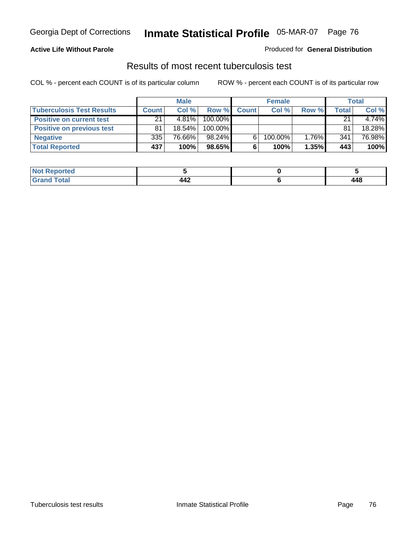### **Active Life Without Parole**

#### Produced for **General Distribution**

## Results of most recent tuberculosis test

|                                  | <b>Male</b>  |           | <b>Female</b> |              |         | Total |       |        |
|----------------------------------|--------------|-----------|---------------|--------------|---------|-------|-------|--------|
| <b>Tuberculosis Test Results</b> | <b>Count</b> | Col%      | Row %         | <b>Count</b> | Col %   | Row % | Total | Col %  |
| <b>Positive on current test</b>  | 21           | $4.81\%$  | 100.00%       |              |         |       | 21    | 4.74%  |
| <b>Positive on previous test</b> | 81           | $18.54\%$ | 100.00%       |              |         |       | 81    | 18.28% |
| <b>Negative</b>                  | 335          | 76.66%    | 98.24%        |              | 100.00% | 1.76% | 341   | 76.98% |
| <b>Total Reported</b>            | 437          | 100%      | $98.65\%$     |              | 100%    | 1.35% | 443   | 100%   |

| <b>Reported</b>        |                          |              |
|------------------------|--------------------------|--------------|
| <b>Total</b><br>------ | $\Lambda \Lambda$<br>TT4 | 1 A S<br>440 |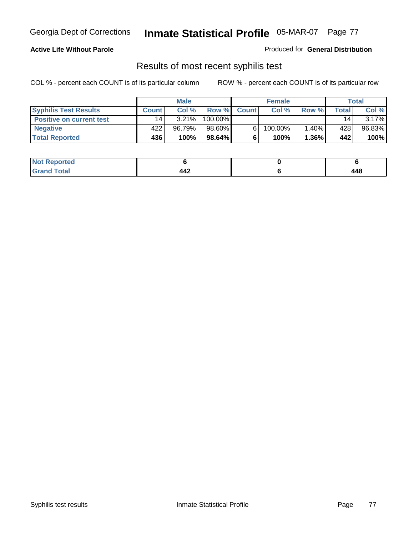### **Active Life Without Parole**

Produced for **General Distribution**

## Results of most recent syphilis test

|                                 | <b>Male</b> |        | <b>Female</b> |              |         | <b>Total</b> |              |          |
|---------------------------------|-------------|--------|---------------|--------------|---------|--------------|--------------|----------|
| <b>Syphilis Test Results</b>    | Count       | Col%   | Row %         | <b>Count</b> | Col%    | Row %        | <b>Total</b> | Col %    |
| <b>Positive on current test</b> | 14          | 3.21%  | 100.00%       |              |         |              | 14           | $3.17\%$ |
| <b>Negative</b>                 | 422         | 96.79% | 98.60%        |              | 100.00% | 1.40%        | 428          | 96.83%   |
| <b>Total Reported</b>           | 436         | 100%   | $98.64\%$     |              | 100%    | $1.36\%$     | 442          | 100%     |

| <b>Not Reported</b> |                   |               |
|---------------------|-------------------|---------------|
| <b>Total</b>        | 18°<br><b>TTA</b> | 1 A Q<br>$ -$ |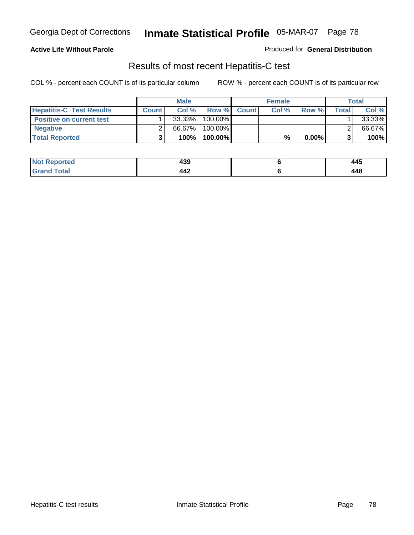### **Active Life Without Parole**

Produced for **General Distribution**

## Results of most recent Hepatitis-C test

|                                 | <b>Male</b>  |        | <b>Female</b> |             |       | <b>Total</b> |       |        |
|---------------------------------|--------------|--------|---------------|-------------|-------|--------------|-------|--------|
| <b>Hepatitis-C Test Results</b> | <b>Count</b> | Col%   |               | Row % Count | Col % | Row %        | Total | Col %  |
| <b>Positive on current test</b> |              | 33.33% | 100.00%       |             |       |              |       | 33.33% |
| <b>Negative</b>                 |              | 66.67% | 100.00%       |             |       |              |       | 66.67% |
| <b>Total Reported</b>           |              | 100%   | 100.00%       |             | %     | $0.00\%$     |       | 100%   |

| Not  <br><b>Reported</b> | ה הו<br>433                      | 445 |
|--------------------------|----------------------------------|-----|
| <b>Cotal</b><br>cdot     | $\Lambda \Lambda$<br><b>TTA.</b> | 448 |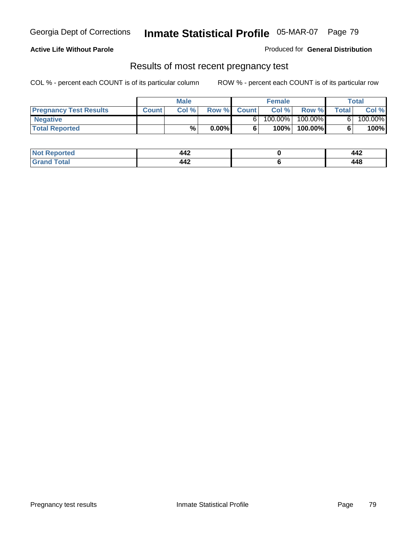### **Active Life Without Parole**

Produced for **General Distribution**

### Results of most recent pregnancy test

|                               | <b>Male</b>  |      |          | <b>Female</b> |         |         | <b>Total</b> |         |
|-------------------------------|--------------|------|----------|---------------|---------|---------|--------------|---------|
| <b>Pregnancy Test Results</b> | <b>Count</b> | Col% | Row %    | <b>Count</b>  | Col %   | Row %   | <b>Total</b> | Col %   |
| <b>Negative</b>               |              |      |          |               | 100.00% | 100.00% |              | 100.00% |
| <b>Total Reported</b>         |              | %    | $0.00\%$ |               | 100%    | 100.00% |              | 100%    |

| <b>Reported</b> | $\Lambda \Lambda$<br>.  | ۰۸۰<br>--    |
|-----------------|-------------------------|--------------|
| <b>cotal</b>    | $\Lambda \Lambda$<br>╌╌ | 1 A C<br>770 |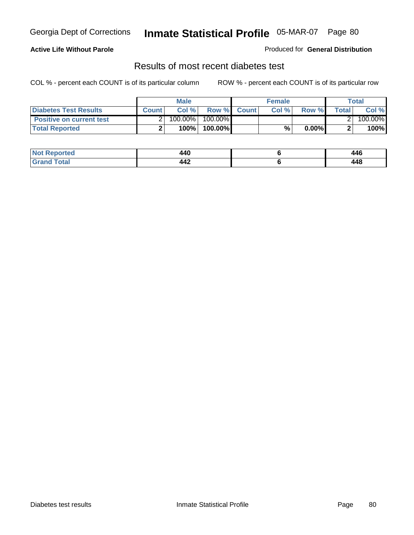### **Active Life Without Parole**

#### Produced for **General Distribution**

## Results of most recent diabetes test

|                                 |              | <b>Male</b> |            |             | <b>Female</b> |          |        | Total   |
|---------------------------------|--------------|-------------|------------|-------------|---------------|----------|--------|---------|
| <b>Diabetes Test Results</b>    | <b>Count</b> | Col %       |            | Row % Count | Col%          | Row %    | Totall | Col %   |
| <b>Positive on current test</b> |              | 100.00%     | $100.00\%$ |             |               |          |        | 100.00% |
| <b>Total Reported</b>           |              | 100%        | 100.00%    |             | %.            | $0.00\%$ |        | 100%    |

| <b>Reported</b>      | 440              | 446         |
|----------------------|------------------|-------------|
| <b>otal</b><br>_____ | $\bm{M}$<br>- 77 | 448<br>$ -$ |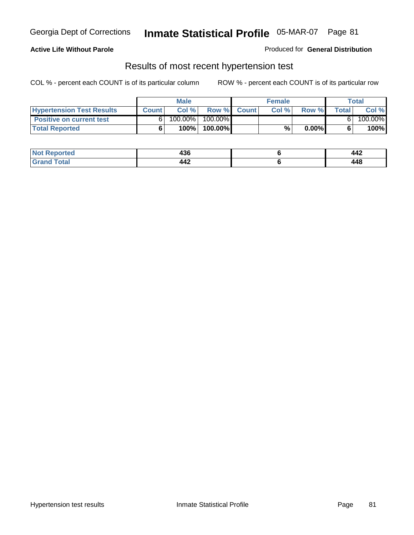### **Active Life Without Parole**

#### Produced for **General Distribution**

### Results of most recent hypertension test

|                                  |              | <b>Male</b> |            |             | <b>Female</b> |          |        | Total   |
|----------------------------------|--------------|-------------|------------|-------------|---------------|----------|--------|---------|
| <b>Hypertension Test Results</b> | <b>Count</b> | Col %       |            | Row % Count | Col%          | Row %    | Totall | Col %   |
| <b>Positive on current test</b>  |              | 100.00%     | $100.00\%$ |             |               |          |        | 100.00% |
| <b>Total Reported</b>            |              | 100%        | 100.00%    |             | %             | $0.00\%$ |        | 100%    |

| orted                | <br>490          | 14°<br><b>TTA</b> |
|----------------------|------------------|-------------------|
| <b>otal</b><br>_____ | $\bm{M}$<br>- 77 | 448               |